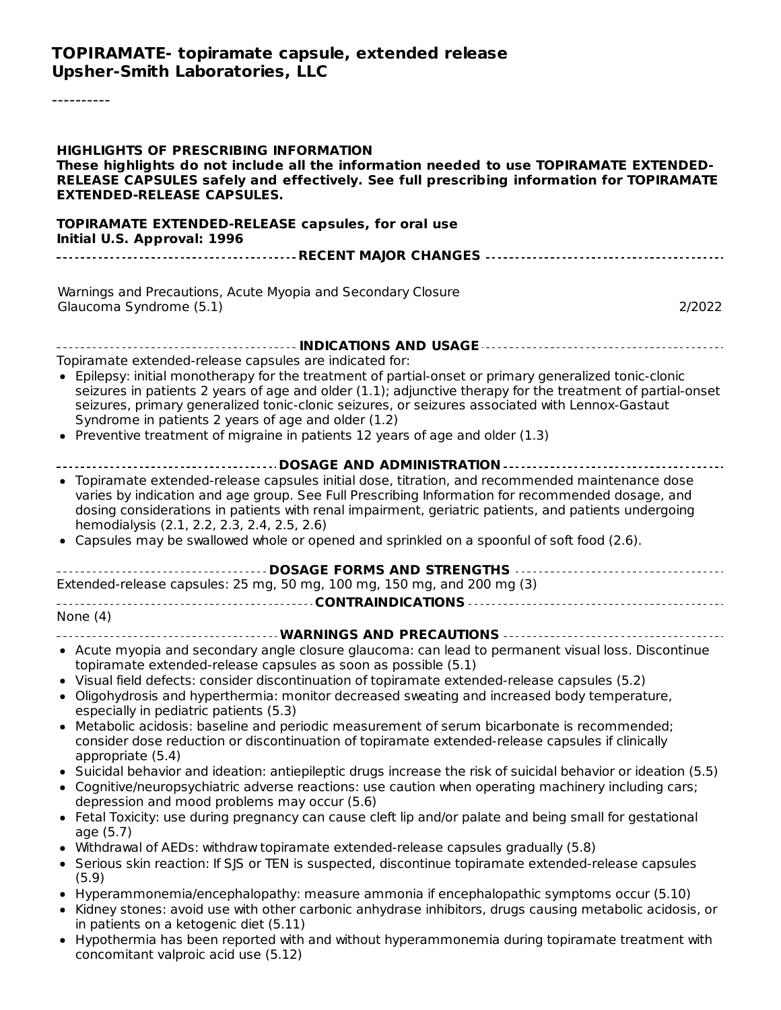#### **TOPIRAMATE- topiramate capsule, extended release Upsher-Smith Laboratories, LLC**

----------

| <b>HIGHLIGHTS OF PRESCRIBING INFORMATION</b><br>These highlights do not include all the information needed to use TOPIRAMATE EXTENDED-<br>RELEASE CAPSULES safely and effectively. See full prescribing information for TOPIRAMATE<br><b>EXTENDED-RELEASE CAPSULES.</b>                                                                                                                                                                                                                                                     |
|-----------------------------------------------------------------------------------------------------------------------------------------------------------------------------------------------------------------------------------------------------------------------------------------------------------------------------------------------------------------------------------------------------------------------------------------------------------------------------------------------------------------------------|
| <b>TOPIRAMATE EXTENDED-RELEASE capsules, for oral use</b><br>Initial U.S. Approval: 1996                                                                                                                                                                                                                                                                                                                                                                                                                                    |
|                                                                                                                                                                                                                                                                                                                                                                                                                                                                                                                             |
| Warnings and Precautions, Acute Myopia and Secondary Closure<br>Glaucoma Syndrome (5.1)<br>2/2022                                                                                                                                                                                                                                                                                                                                                                                                                           |
|                                                                                                                                                                                                                                                                                                                                                                                                                                                                                                                             |
| Topiramate extended-release capsules are indicated for:<br>• Epilepsy: initial monotherapy for the treatment of partial-onset or primary generalized tonic-clonic<br>seizures in patients 2 years of age and older (1.1); adjunctive therapy for the treatment of partial-onset<br>seizures, primary generalized tonic-clonic seizures, or seizures associated with Lennox-Gastaut<br>Syndrome in patients 2 years of age and older (1.2)<br>• Preventive treatment of migraine in patients 12 years of age and older (1.3) |
| ------------------------------------DOSAGE AND ADMINISTRATION -----------------------------                                                                                                                                                                                                                                                                                                                                                                                                                                 |
| • Topiramate extended-release capsules initial dose, titration, and recommended maintenance dose<br>varies by indication and age group. See Full Prescribing Information for recommended dosage, and<br>dosing considerations in patients with renal impairment, geriatric patients, and patients undergoing<br>hemodialysis (2.1, 2.2, 2.3, 2.4, 2.5, 2.6)<br>• Capsules may be swallowed whole or opened and sprinkled on a spoonful of soft food (2.6).                                                                  |
| Extended-release capsules: 25 mg, 50 mg, 100 mg, 150 mg, and 200 mg (3)                                                                                                                                                                                                                                                                                                                                                                                                                                                     |
|                                                                                                                                                                                                                                                                                                                                                                                                                                                                                                                             |
| None $(4)$                                                                                                                                                                                                                                                                                                                                                                                                                                                                                                                  |
| ------------------------------------- WARNINGS AND PRECAUTIONS ----------------------------------                                                                                                                                                                                                                                                                                                                                                                                                                           |
| • Acute myopia and secondary angle closure glaucoma: can lead to permanent visual loss. Discontinue<br>topiramate extended-release capsules as soon as possible (5.1)<br>• Visual field defects: consider discontinuation of topiramate extended-release capsules (5.2)<br>• Oligohydrosis and hyperthermia: monitor decreased sweating and increased body temperature,<br>especially in pediatric patients (5.3)                                                                                                           |
| • Metabolic acidosis: baseline and periodic measurement of serum bicarbonate is recommended;<br>consider dose reduction or discontinuation of topiramate extended-release capsules if clinically<br>appropriate (5.4)                                                                                                                                                                                                                                                                                                       |
| • Suicidal behavior and ideation: antiepileptic drugs increase the risk of suicidal behavior or ideation (5.5)<br>• Cognitive/neuropsychiatric adverse reactions: use caution when operating machinery including cars;<br>depression and mood problems may occur (5.6)                                                                                                                                                                                                                                                      |
| • Fetal Toxicity: use during pregnancy can cause cleft lip and/or palate and being small for gestational<br>age (5.7)                                                                                                                                                                                                                                                                                                                                                                                                       |
| • Withdrawal of AEDs: withdraw topiramate extended-release capsules gradually (5.8)<br>• Serious skin reaction: If SJS or TEN is suspected, discontinue topiramate extended-release capsules<br>(5.9)                                                                                                                                                                                                                                                                                                                       |
| • Hyperammonemia/encephalopathy: measure ammonia if encephalopathic symptoms occur (5.10)<br>• Kidney stones: avoid use with other carbonic anhydrase inhibitors, drugs causing metabolic acidosis, or<br>in patients on a ketogenic diet (5.11)                                                                                                                                                                                                                                                                            |
| • Hypothermia has been reported with and without hyperammonemia during topiramate treatment with<br>concomitant valproic acid use (5.12)                                                                                                                                                                                                                                                                                                                                                                                    |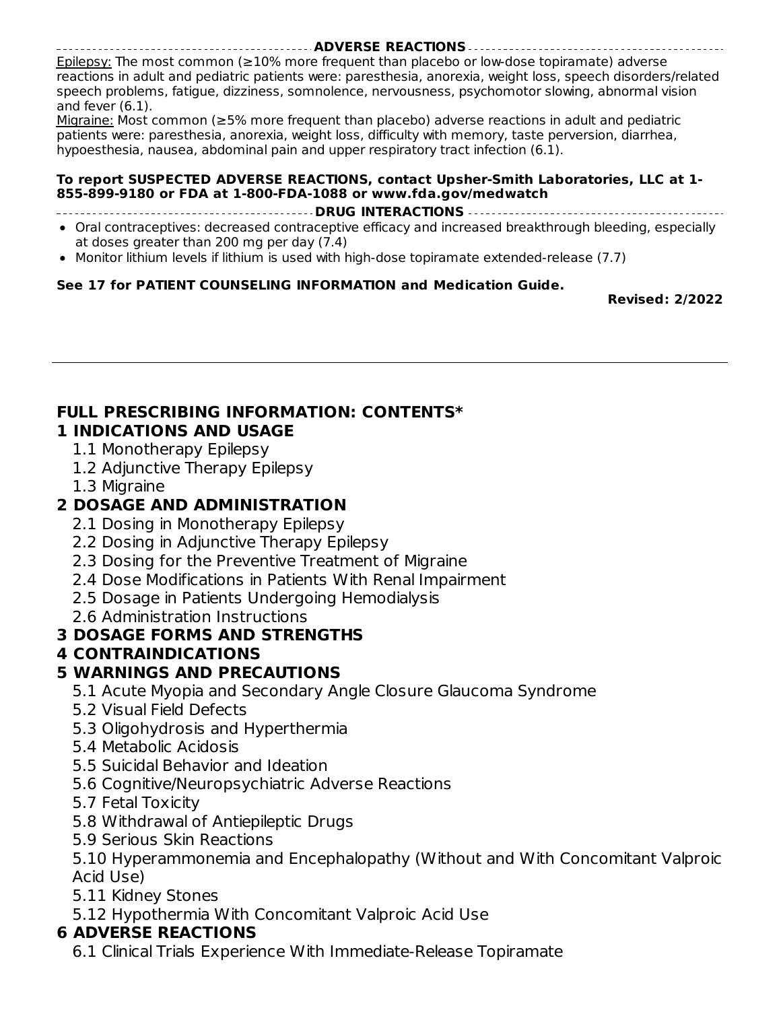#### **ADVERSE REACTIONS** Epilepsy: The most common (≥10% more frequent than placebo or low-dose topiramate) adverse reactions in adult and pediatric patients were: paresthesia, anorexia, weight loss, speech disorders/related speech problems, fatigue, dizziness, somnolence, nervousness, psychomotor slowing, abnormal vision and fever (6.1).

Migraine: Most common (≥5% more frequent than placebo) adverse reactions in adult and pediatric patients were: paresthesia, anorexia, weight loss, difficulty with memory, taste perversion, diarrhea, hypoesthesia, nausea, abdominal pain and upper respiratory tract infection (6.1).

#### **To report SUSPECTED ADVERSE REACTIONS, contact Upsher-Smith Laboratories, LLC at 1- 855-899-9180 or FDA at 1-800-FDA-1088 or www.fda.gov/medwatch**

**DRUG INTERACTIONS**

- Oral contraceptives: decreased contraceptive efficacy and increased breakthrough bleeding, especially at doses greater than 200 mg per day (7.4)
- Monitor lithium levels if lithium is used with high-dose topiramate extended-release (7.7)  $\bullet$

#### **See 17 for PATIENT COUNSELING INFORMATION and Medication Guide.**

**Revised: 2/2022**

#### **FULL PRESCRIBING INFORMATION: CONTENTS\* 1 INDICATIONS AND USAGE**

#### 1.1 Monotherapy Epilepsy

- 1.2 Adjunctive Therapy Epilepsy
- 1.3 Migraine

# **2 DOSAGE AND ADMINISTRATION**

- 2.1 Dosing in Monotherapy Epilepsy
- 2.2 Dosing in Adjunctive Therapy Epilepsy
- 2.3 Dosing for the Preventive Treatment of Migraine
- 2.4 Dose Modifications in Patients With Renal Impairment
- 2.5 Dosage in Patients Undergoing Hemodialysis
- 2.6 Administration Instructions

### **3 DOSAGE FORMS AND STRENGTHS**

### **4 CONTRAINDICATIONS**

### **5 WARNINGS AND PRECAUTIONS**

- 5.1 Acute Myopia and Secondary Angle Closure Glaucoma Syndrome
- 5.2 Visual Field Defects
- 5.3 Oligohydrosis and Hyperthermia
- 5.4 Metabolic Acidosis
- 5.5 Suicidal Behavior and Ideation
- 5.6 Cognitive/Neuropsychiatric Adverse Reactions
- 5.7 Fetal Toxicity
- 5.8 Withdrawal of Antiepileptic Drugs
- 5.9 Serious Skin Reactions

5.10 Hyperammonemia and Encephalopathy (Without and With Concomitant Valproic Acid Use)

- 5.11 Kidney Stones
- 5.12 Hypothermia With Concomitant Valproic Acid Use

### **6 ADVERSE REACTIONS**

6.1 Clinical Trials Experience With Immediate-Release Topiramate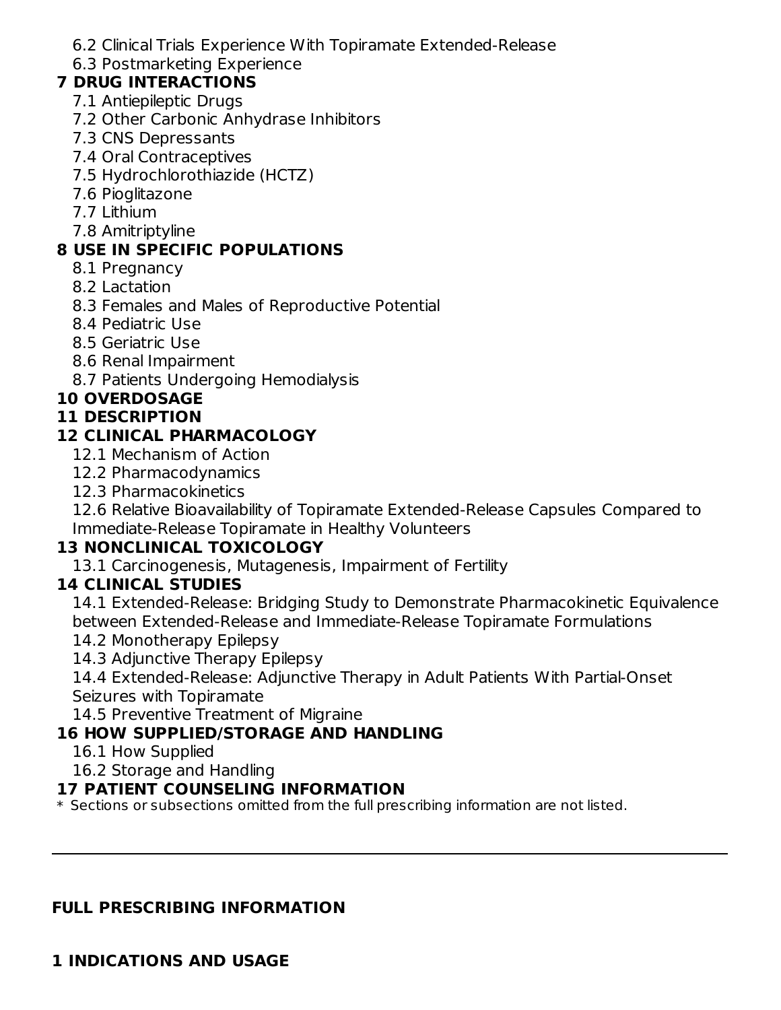6.2 Clinical Trials Experience With Topiramate Extended-Release

6.3 Postmarketing Experience

### **7 DRUG INTERACTIONS**

- 7.1 Antiepileptic Drugs
- 7.2 Other Carbonic Anhydrase Inhibitors
- 7.3 CNS Depressants
- 7.4 Oral Contraceptives
- 7.5 Hydrochlorothiazide (HCTZ)
- 7.6 Pioglitazone
- 7.7 Lithium
- 7.8 Amitriptyline

# **8 USE IN SPECIFIC POPULATIONS**

- 8.1 Pregnancy
- 8.2 Lactation
- 8.3 Females and Males of Reproductive Potential
- 8.4 Pediatric Use
- 8.5 Geriatric Use
- 8.6 Renal Impairment
- 8.7 Patients Undergoing Hemodialysis

# **10 OVERDOSAGE**

# **11 DESCRIPTION**

# **12 CLINICAL PHARMACOLOGY**

- 12.1 Mechanism of Action
- 12.2 Pharmacodynamics
- 12.3 Pharmacokinetics

12.6 Relative Bioavailability of Topiramate Extended-Release Capsules Compared to Immediate-Release Topiramate in Healthy Volunteers

# **13 NONCLINICAL TOXICOLOGY**

13.1 Carcinogenesis, Mutagenesis, Impairment of Fertility

# **14 CLINICAL STUDIES**

14.1 Extended-Release: Bridging Study to Demonstrate Pharmacokinetic Equivalence between Extended-Release and Immediate-Release Topiramate Formulations

- 14.2 Monotherapy Epilepsy
- 14.3 Adjunctive Therapy Epilepsy

14.4 Extended-Release: Adjunctive Therapy in Adult Patients With Partial-Onset Seizures with Topiramate

14.5 Preventive Treatment of Migraine

# **16 HOW SUPPLIED/STORAGE AND HANDLING**

- 16.1 How Supplied
- 16.2 Storage and Handling

### **17 PATIENT COUNSELING INFORMATION**

 $\ast$  Sections or subsections omitted from the full prescribing information are not listed.

### **FULL PRESCRIBING INFORMATION**

### **1 INDICATIONS AND USAGE**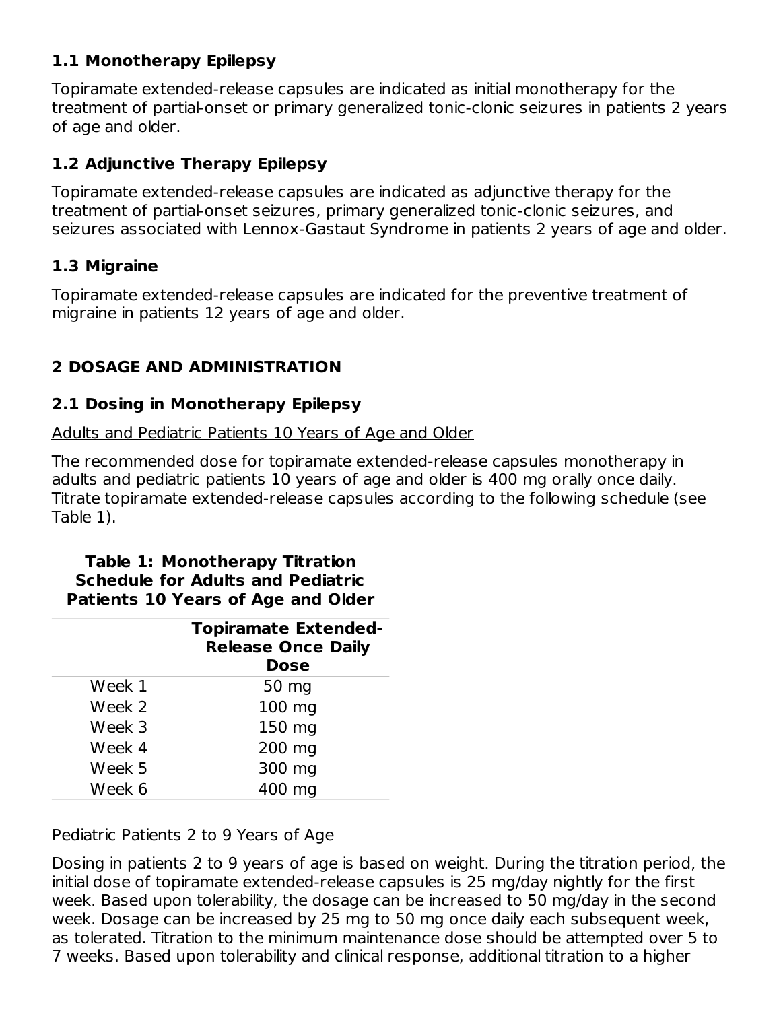# **1.1 Monotherapy Epilepsy**

Topiramate extended-release capsules are indicated as initial monotherapy for the treatment of partial-onset or primary generalized tonic-clonic seizures in patients 2 years of age and older.

# **1.2 Adjunctive Therapy Epilepsy**

Topiramate extended-release capsules are indicated as adjunctive therapy for the treatment of partial-onset seizures, primary generalized tonic-clonic seizures, and seizures associated with Lennox-Gastaut Syndrome in patients 2 years of age and older.

# **1.3 Migraine**

Topiramate extended-release capsules are indicated for the preventive treatment of migraine in patients 12 years of age and older.

# **2 DOSAGE AND ADMINISTRATION**

# **2.1 Dosing in Monotherapy Epilepsy**

Adults and Pediatric Patients 10 Years of Age and Older

The recommended dose for topiramate extended-release capsules monotherapy in adults and pediatric patients 10 years of age and older is 400 mg orally once daily. Titrate topiramate extended-release capsules according to the following schedule (see Table 1).

#### **Table 1: Monotherapy Titration Schedule for Adults and Pediatric Patients 10 Years of Age and Older**

|        | <b>Topiramate Extended-</b><br><b>Release Once Daily</b><br><b>Dose</b> |
|--------|-------------------------------------------------------------------------|
| Week 1 | 50 mg                                                                   |
| Week 2 | 100 mg                                                                  |
| Week 3 | 150 mg                                                                  |
| Week 4 | 200 mg                                                                  |
| Week 5 | 300 mg                                                                  |
| Week 6 | 400 mg                                                                  |

# Pediatric Patients 2 to 9 Years of Age

Dosing in patients 2 to 9 years of age is based on weight. During the titration period, the initial dose of topiramate extended-release capsules is 25 mg/day nightly for the first week. Based upon tolerability, the dosage can be increased to 50 mg/day in the second week. Dosage can be increased by 25 mg to 50 mg once daily each subsequent week, as tolerated. Titration to the minimum maintenance dose should be attempted over 5 to 7 weeks. Based upon tolerability and clinical response, additional titration to a higher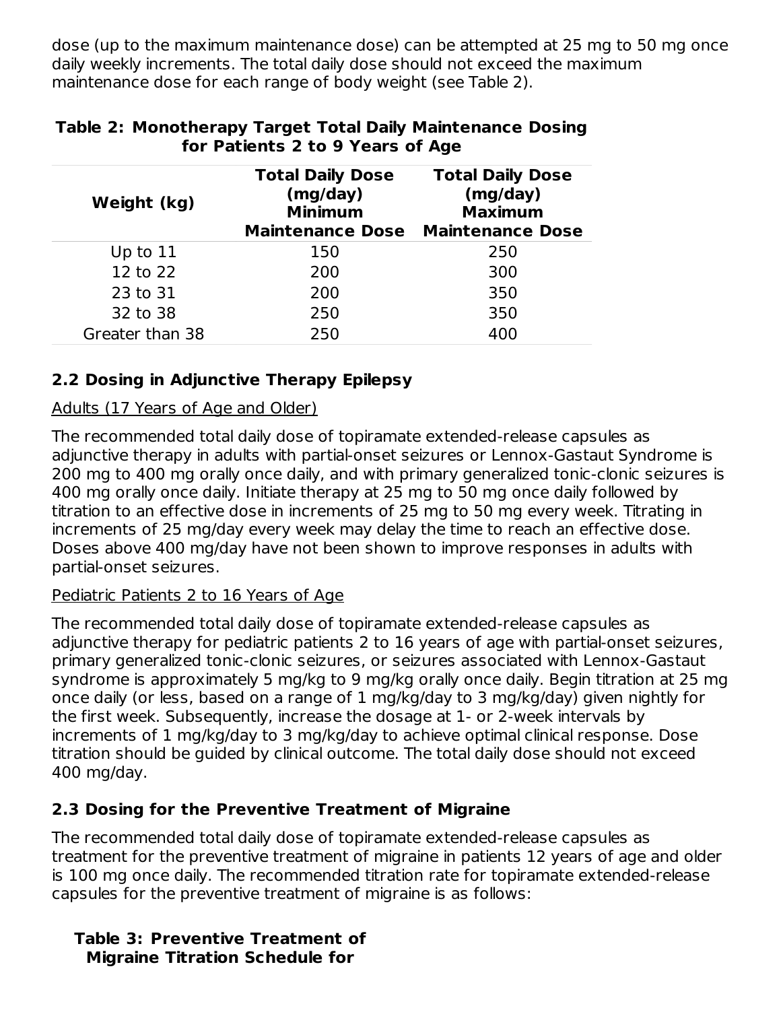dose (up to the maximum maintenance dose) can be attempted at 25 mg to 50 mg once daily weekly increments. The total daily dose should not exceed the maximum maintenance dose for each range of body weight (see Table 2).

| Weight (kg)     | <b>Total Daily Dose</b><br>(mg/day)<br><b>Minimum</b><br><b>Maintenance Dose</b> | <b>Total Daily Dose</b><br>(mg/day)<br><b>Maximum</b><br><b>Maintenance Dose</b> |
|-----------------|----------------------------------------------------------------------------------|----------------------------------------------------------------------------------|
| Up to $11$      | 150                                                                              | 250                                                                              |
| 12 to 22        | 200                                                                              | 300                                                                              |
| 23 to 31        | 200                                                                              | 350                                                                              |
| 32 to 38        | 250                                                                              | 350                                                                              |
| Greater than 38 | 250                                                                              | 400                                                                              |

### **Table 2: Monotherapy Target Total Daily Maintenance Dosing for Patients 2 to 9 Years of Age**

# **2.2 Dosing in Adjunctive Therapy Epilepsy**

### Adults (17 Years of Age and Older)

The recommended total daily dose of topiramate extended-release capsules as adjunctive therapy in adults with partial-onset seizures or Lennox-Gastaut Syndrome is 200 mg to 400 mg orally once daily, and with primary generalized tonic-clonic seizures is 400 mg orally once daily. Initiate therapy at 25 mg to 50 mg once daily followed by titration to an effective dose in increments of 25 mg to 50 mg every week. Titrating in increments of 25 mg/day every week may delay the time to reach an effective dose. Doses above 400 mg/day have not been shown to improve responses in adults with partial-onset seizures.

# Pediatric Patients 2 to 16 Years of Age

The recommended total daily dose of topiramate extended-release capsules as adjunctive therapy for pediatric patients 2 to 16 years of age with partial-onset seizures, primary generalized tonic-clonic seizures, or seizures associated with Lennox-Gastaut syndrome is approximately 5 mg/kg to 9 mg/kg orally once daily. Begin titration at 25 mg once daily (or less, based on a range of 1 mg/kg/day to 3 mg/kg/day) given nightly for the first week. Subsequently, increase the dosage at 1- or 2-week intervals by increments of 1 mg/kg/day to 3 mg/kg/day to achieve optimal clinical response. Dose titration should be guided by clinical outcome. The total daily dose should not exceed 400 mg/day.

# **2.3 Dosing for the Preventive Treatment of Migraine**

The recommended total daily dose of topiramate extended-release capsules as treatment for the preventive treatment of migraine in patients 12 years of age and older is 100 mg once daily. The recommended titration rate for topiramate extended-release capsules for the preventive treatment of migraine is as follows:

**Table 3: Preventive Treatment of Migraine Titration Schedule for**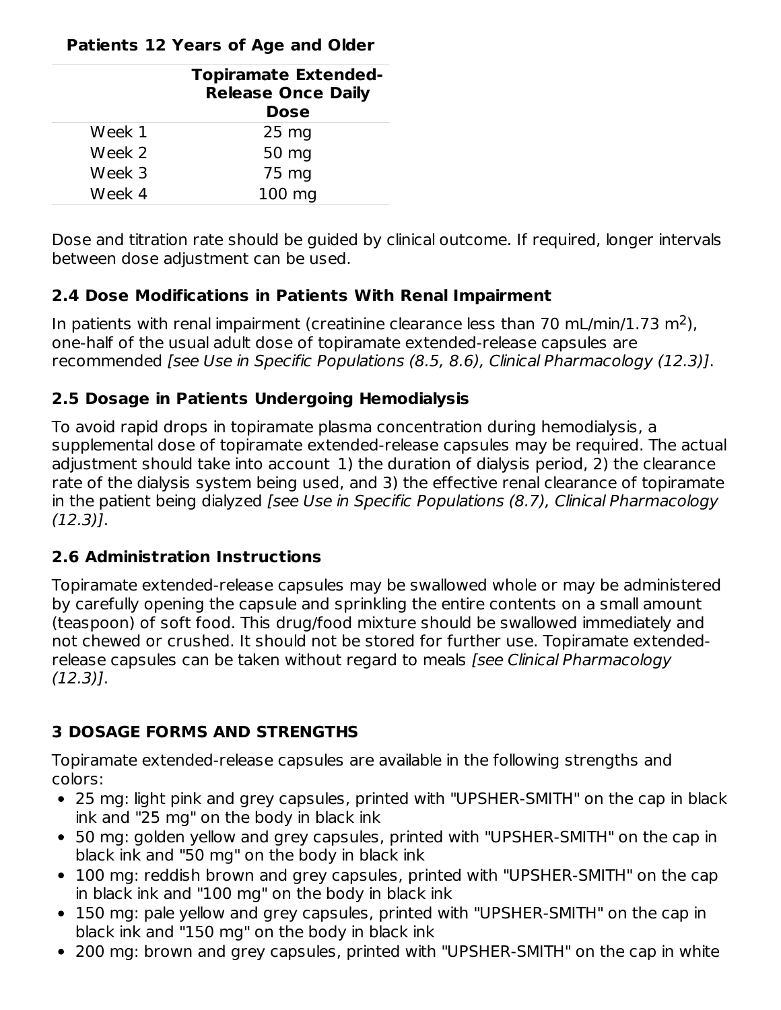### **Patients 12 Years of Age and Older**

|        | <b>Topiramate Extended-</b><br><b>Release Once Daily</b><br><b>Dose</b> |
|--------|-------------------------------------------------------------------------|
| Week 1 | 25 <sub>mg</sub>                                                        |
| Week 2 | 50 mg                                                                   |
| Week 3 | 75 mg                                                                   |
| Week 4 | 100 mg                                                                  |

Dose and titration rate should be guided by clinical outcome. If required, longer intervals between dose adjustment can be used.

### **2.4 Dose Modifications in Patients With Renal Impairment**

In patients with renal impairment (creatinine clearance less than 70 mL/min/1.73 m<sup>2</sup>), one-half of the usual adult dose of topiramate extended-release capsules are recommended [see Use in Specific Populations (8.5, 8.6), Clinical Pharmacology (12.3)].

### **2.5 Dosage in Patients Undergoing Hemodialysis**

To avoid rapid drops in topiramate plasma concentration during hemodialysis, a supplemental dose of topiramate extended-release capsules may be required. The actual adjustment should take into account 1) the duration of dialysis period, 2) the clearance rate of the dialysis system being used, and 3) the effective renal clearance of topiramate in the patient being dialyzed [see Use in Specific Populations (8.7), Clinical Pharmacology (12.3)].

# **2.6 Administration Instructions**

Topiramate extended-release capsules may be swallowed whole or may be administered by carefully opening the capsule and sprinkling the entire contents on a small amount (teaspoon) of soft food. This drug/food mixture should be swallowed immediately and not chewed or crushed. It should not be stored for further use. Topiramate extendedrelease capsules can be taken without regard to meals [see Clinical Pharmacology (12.3)].

# **3 DOSAGE FORMS AND STRENGTHS**

Topiramate extended-release capsules are available in the following strengths and colors:

- 25 mg: light pink and grey capsules, printed with "UPSHER-SMITH" on the cap in black ink and "25 mg" on the body in black ink
- 50 mg: golden yellow and grey capsules, printed with "UPSHER-SMITH" on the cap in black ink and "50 mg" on the body in black ink
- 100 mg: reddish brown and grey capsules, printed with "UPSHER-SMITH" on the cap in black ink and "100 mg" on the body in black ink
- 150 mg: pale yellow and grey capsules, printed with "UPSHER-SMITH" on the cap in black ink and "150 mg" on the body in black ink
- 200 mg: brown and grey capsules, printed with "UPSHER-SMITH" on the cap in white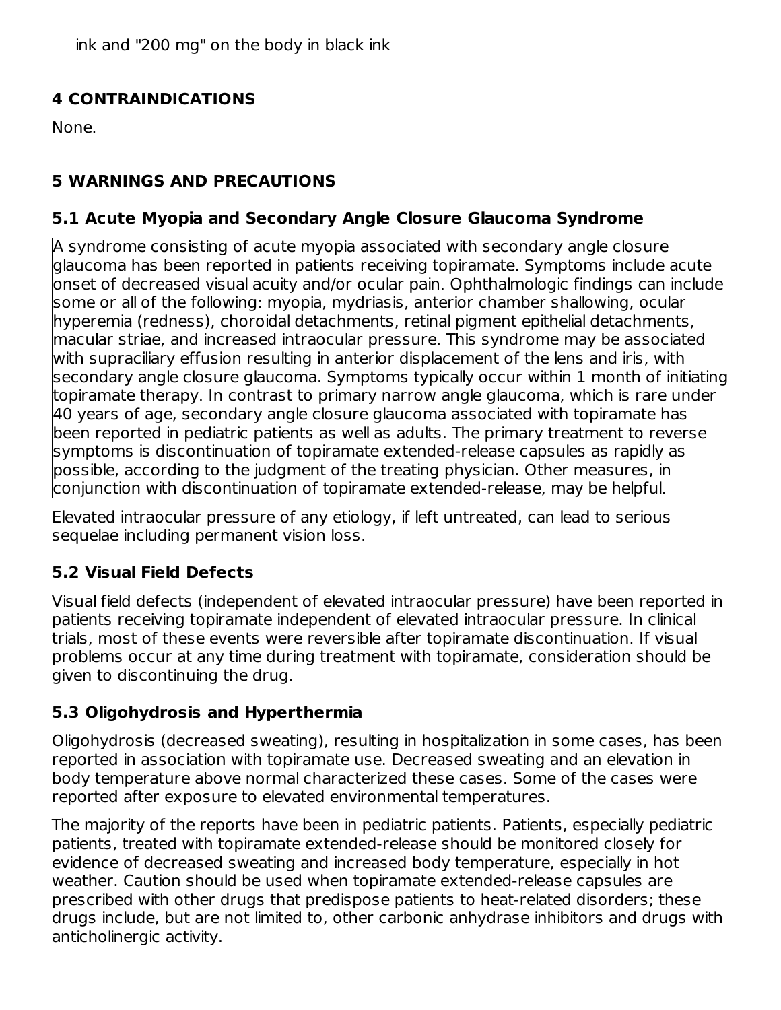ink and "200 mg" on the body in black ink

# **4 CONTRAINDICATIONS**

None.

# **5 WARNINGS AND PRECAUTIONS**

# **5.1 Acute Myopia and Secondary Angle Closure Glaucoma Syndrome**

A syndrome consisting of acute myopia associated with secondary angle closure glaucoma has been reported in patients receiving topiramate. Symptoms include acute onset of decreased visual acuity and/or ocular pain. Ophthalmologic findings can include some or all of the following: myopia, mydriasis, anterior chamber shallowing, ocular hyperemia (redness), choroidal detachments, retinal pigment epithelial detachments, macular striae, and increased intraocular pressure. This syndrome may be associated with supraciliary effusion resulting in anterior displacement of the lens and iris, with secondary angle closure glaucoma. Symptoms typically occur within 1 month of initiating topiramate therapy. In contrast to primary narrow angle glaucoma, which is rare under 40 years of age, secondary angle closure glaucoma associated with topiramate has been reported in pediatric patients as well as adults. The primary treatment to reverse symptoms is discontinuation of topiramate extended-release capsules as rapidly as possible, according to the judgment of the treating physician. Other measures, in conjunction with discontinuation of topiramate extended-release, may be helpful.

Elevated intraocular pressure of any etiology, if left untreated, can lead to serious sequelae including permanent vision loss.

# **5.2 Visual Field Defects**

Visual field defects (independent of elevated intraocular pressure) have been reported in patients receiving topiramate independent of elevated intraocular pressure. In clinical trials, most of these events were reversible after topiramate discontinuation. If visual problems occur at any time during treatment with topiramate, consideration should be given to discontinuing the drug.

# **5.3 Oligohydrosis and Hyperthermia**

Oligohydrosis (decreased sweating), resulting in hospitalization in some cases, has been reported in association with topiramate use. Decreased sweating and an elevation in body temperature above normal characterized these cases. Some of the cases were reported after exposure to elevated environmental temperatures.

The majority of the reports have been in pediatric patients. Patients, especially pediatric patients, treated with topiramate extended-release should be monitored closely for evidence of decreased sweating and increased body temperature, especially in hot weather. Caution should be used when topiramate extended-release capsules are prescribed with other drugs that predispose patients to heat-related disorders; these drugs include, but are not limited to, other carbonic anhydrase inhibitors and drugs with anticholinergic activity.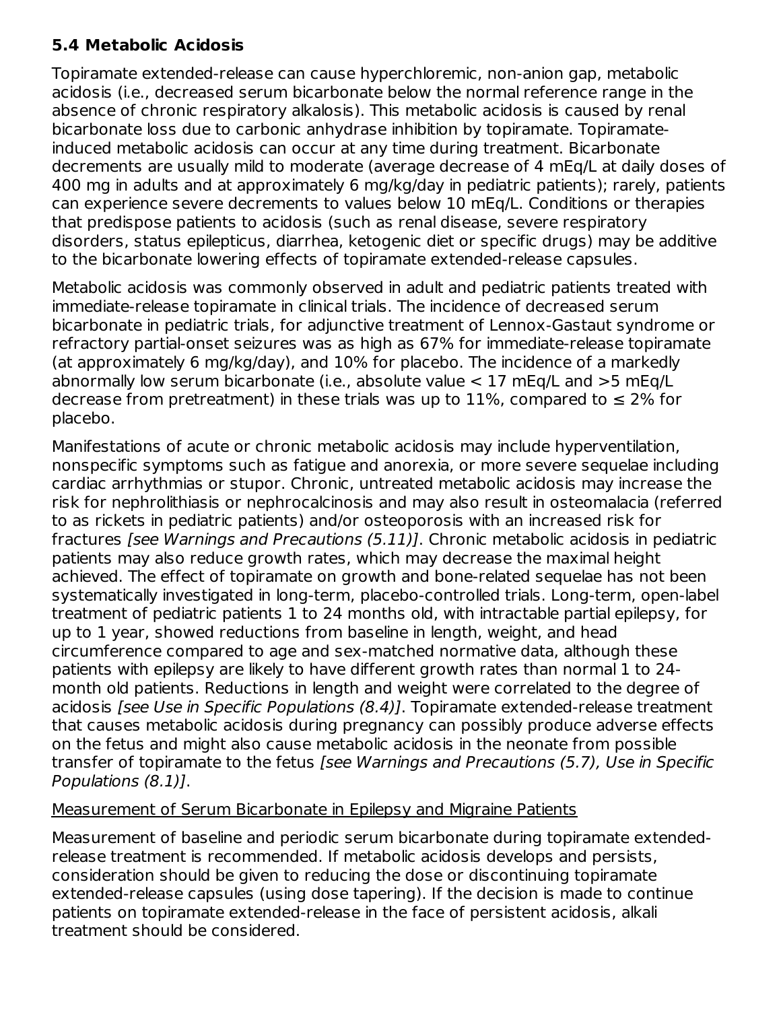### **5.4 Metabolic Acidosis**

Topiramate extended-release can cause hyperchloremic, non-anion gap, metabolic acidosis (i.e., decreased serum bicarbonate below the normal reference range in the absence of chronic respiratory alkalosis). This metabolic acidosis is caused by renal bicarbonate loss due to carbonic anhydrase inhibition by topiramate. Topiramateinduced metabolic acidosis can occur at any time during treatment. Bicarbonate decrements are usually mild to moderate (average decrease of 4 mEq/L at daily doses of 400 mg in adults and at approximately 6 mg/kg/day in pediatric patients); rarely, patients can experience severe decrements to values below 10 mEq/L. Conditions or therapies that predispose patients to acidosis (such as renal disease, severe respiratory disorders, status epilepticus, diarrhea, ketogenic diet or specific drugs) may be additive to the bicarbonate lowering effects of topiramate extended-release capsules.

Metabolic acidosis was commonly observed in adult and pediatric patients treated with immediate-release topiramate in clinical trials. The incidence of decreased serum bicarbonate in pediatric trials, for adjunctive treatment of Lennox-Gastaut syndrome or refractory partial-onset seizures was as high as 67% for immediate-release topiramate (at approximately 6 mg/kg/day), and 10% for placebo. The incidence of a markedly abnormally low serum bicarbonate (i.e., absolute value < 17 mEq/L and >5 mEq/L decrease from pretreatment) in these trials was up to 11%, compared to  $\leq 2\%$  for placebo.

Manifestations of acute or chronic metabolic acidosis may include hyperventilation, nonspecific symptoms such as fatigue and anorexia, or more severe sequelae including cardiac arrhythmias or stupor. Chronic, untreated metabolic acidosis may increase the risk for nephrolithiasis or nephrocalcinosis and may also result in osteomalacia (referred to as rickets in pediatric patients) and/or osteoporosis with an increased risk for fractures [see Warnings and Precautions (5.11)]. Chronic metabolic acidosis in pediatric patients may also reduce growth rates, which may decrease the maximal height achieved. The effect of topiramate on growth and bone-related sequelae has not been systematically investigated in long-term, placebo-controlled trials. Long-term, open-label treatment of pediatric patients 1 to 24 months old, with intractable partial epilepsy, for up to 1 year, showed reductions from baseline in length, weight, and head circumference compared to age and sex-matched normative data, although these patients with epilepsy are likely to have different growth rates than normal 1 to 24 month old patients. Reductions in length and weight were correlated to the degree of acidosis [see Use in Specific Populations (8.4)]. Topiramate extended-release treatment that causes metabolic acidosis during pregnancy can possibly produce adverse effects on the fetus and might also cause metabolic acidosis in the neonate from possible transfer of topiramate to the fetus [see Warnings and Precautions (5.7), Use in Specific Populations (8.1)].

### Measurement of Serum Bicarbonate in Epilepsy and Migraine Patients

Measurement of baseline and periodic serum bicarbonate during topiramate extendedrelease treatment is recommended. If metabolic acidosis develops and persists, consideration should be given to reducing the dose or discontinuing topiramate extended-release capsules (using dose tapering). If the decision is made to continue patients on topiramate extended-release in the face of persistent acidosis, alkali treatment should be considered.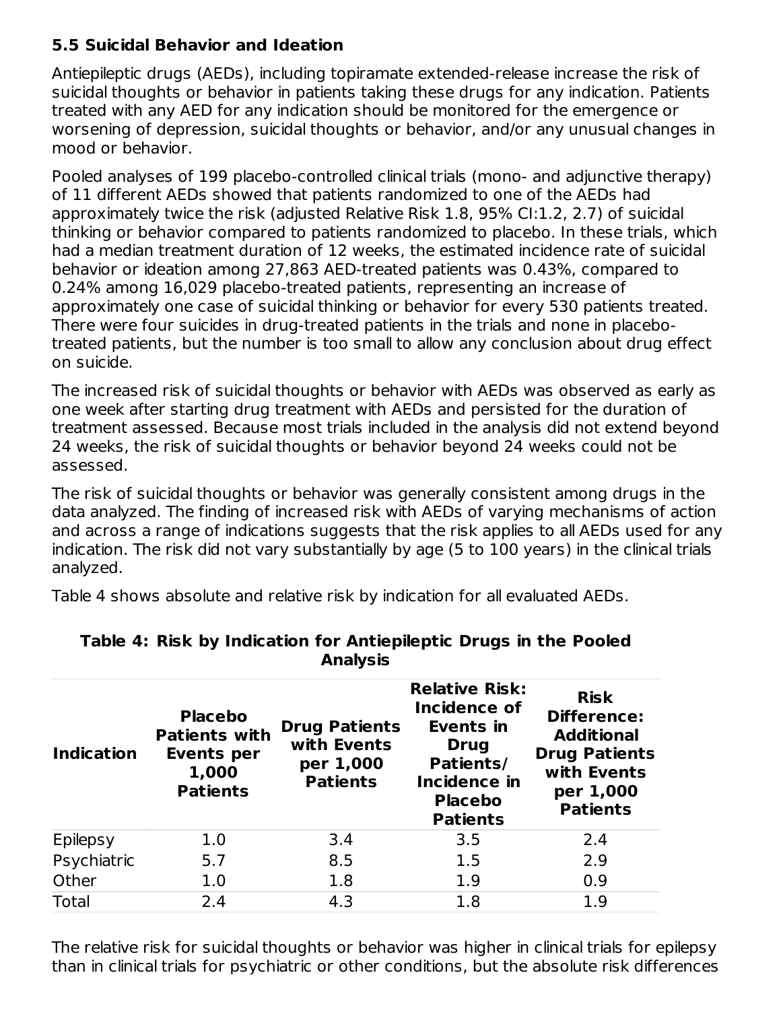# **5.5 Suicidal Behavior and Ideation**

Antiepileptic drugs (AEDs), including topiramate extended-release increase the risk of suicidal thoughts or behavior in patients taking these drugs for any indication. Patients treated with any AED for any indication should be monitored for the emergence or worsening of depression, suicidal thoughts or behavior, and/or any unusual changes in mood or behavior.

Pooled analyses of 199 placebo-controlled clinical trials (mono- and adjunctive therapy) of 11 different AEDs showed that patients randomized to one of the AEDs had approximately twice the risk (adjusted Relative Risk 1.8, 95% CI:1.2, 2.7) of suicidal thinking or behavior compared to patients randomized to placebo. In these trials, which had a median treatment duration of 12 weeks, the estimated incidence rate of suicidal behavior or ideation among 27,863 AED-treated patients was 0.43%, compared to 0.24% among 16,029 placebo-treated patients, representing an increase of approximately one case of suicidal thinking or behavior for every 530 patients treated. There were four suicides in drug-treated patients in the trials and none in placebotreated patients, but the number is too small to allow any conclusion about drug effect on suicide.

The increased risk of suicidal thoughts or behavior with AEDs was observed as early as one week after starting drug treatment with AEDs and persisted for the duration of treatment assessed. Because most trials included in the analysis did not extend beyond 24 weeks, the risk of suicidal thoughts or behavior beyond 24 weeks could not be assessed.

The risk of suicidal thoughts or behavior was generally consistent among drugs in the data analyzed. The finding of increased risk with AEDs of varying mechanisms of action and across a range of indications suggests that the risk applies to all AEDs used for any indication. The risk did not vary substantially by age (5 to 100 years) in the clinical trials analyzed.

Table 4 shows absolute and relative risk by indication for all evaluated AEDs.

| <b>Indication</b> | <b>Placebo</b><br><b>Patients with</b><br><b>Events per</b><br>1,000<br><b>Patients</b> | <b>Drug Patients</b><br>with Events<br>per 1,000<br><b>Patients</b> | <b>Relative Risk:</b><br>Incidence of<br>Events in<br><b>Drug</b><br>Patients/<br>Incidence in<br><b>Placebo</b><br><b>Patients</b> | <b>Risk</b><br><b>Difference:</b><br><b>Additional</b><br><b>Drug Patients</b><br>with Events<br>per 1,000<br><b>Patients</b> |
|-------------------|-----------------------------------------------------------------------------------------|---------------------------------------------------------------------|-------------------------------------------------------------------------------------------------------------------------------------|-------------------------------------------------------------------------------------------------------------------------------|
| <b>Epilepsy</b>   | 1.0                                                                                     | 3.4                                                                 | 3.5                                                                                                                                 | 2.4                                                                                                                           |
| Psychiatric       | 5.7                                                                                     | 8.5                                                                 | 1.5                                                                                                                                 | 2.9                                                                                                                           |
| Other             | 1.0                                                                                     | 1.8                                                                 | 1.9                                                                                                                                 | 0.9                                                                                                                           |
| <b>Total</b>      | 2.4                                                                                     | 4.3                                                                 | 1.8                                                                                                                                 | 1.9                                                                                                                           |

#### **Table 4: Risk by Indication for Antiepileptic Drugs in the Pooled Analysis**

The relative risk for suicidal thoughts or behavior was higher in clinical trials for epilepsy than in clinical trials for psychiatric or other conditions, but the absolute risk differences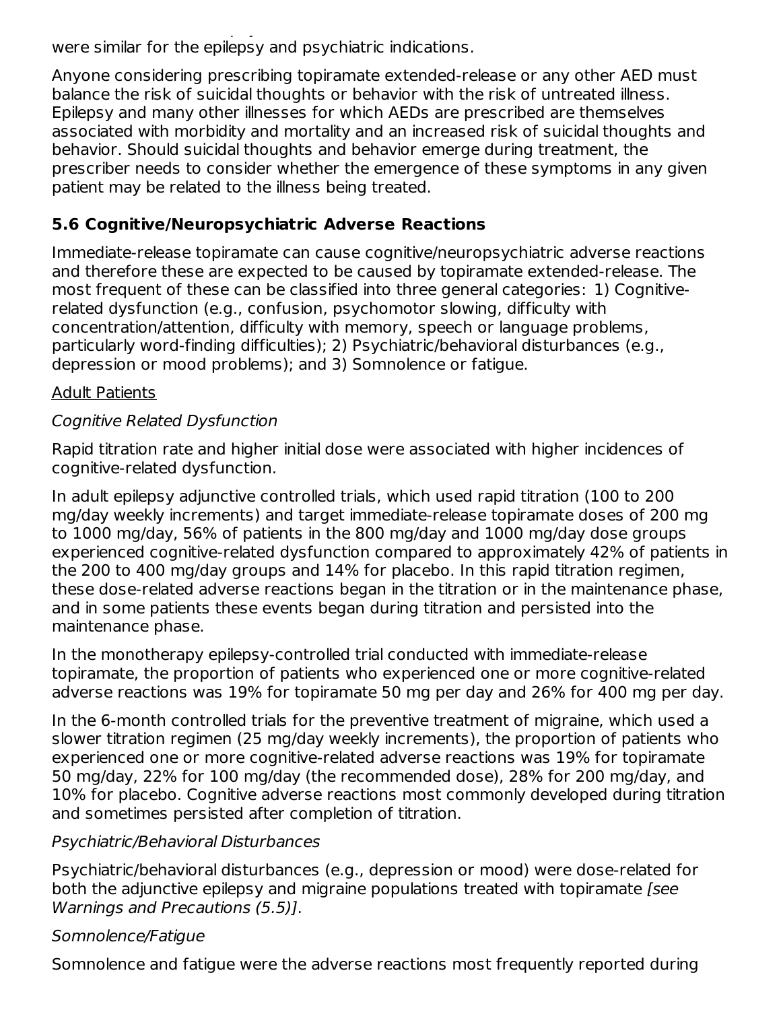than in clinical trials for psychiatric or other conditions, but the absolute risk differences  $\mathbf{r}_i$ were similar for the epilepsy and psychiatric indications.

Anyone considering prescribing topiramate extended-release or any other AED must balance the risk of suicidal thoughts or behavior with the risk of untreated illness. Epilepsy and many other illnesses for which AEDs are prescribed are themselves associated with morbidity and mortality and an increased risk of suicidal thoughts and behavior. Should suicidal thoughts and behavior emerge during treatment, the prescriber needs to consider whether the emergence of these symptoms in any given patient may be related to the illness being treated.

# **5.6 Cognitive/Neuropsychiatric Adverse Reactions**

Immediate-release topiramate can cause cognitive/neuropsychiatric adverse reactions and therefore these are expected to be caused by topiramate extended-release. The most frequent of these can be classified into three general categories: 1) Cognitiverelated dysfunction (e.g., confusion, psychomotor slowing, difficulty with concentration/attention, difficulty with memory, speech or language problems, particularly word-finding difficulties); 2) Psychiatric/behavioral disturbances (e.g., depression or mood problems); and 3) Somnolence or fatigue.

### Adult Patients

### Cognitive Related Dysfunction

Rapid titration rate and higher initial dose were associated with higher incidences of cognitive-related dysfunction.

In adult epilepsy adjunctive controlled trials, which used rapid titration (100 to 200 mg/day weekly increments) and target immediate-release topiramate doses of 200 mg to 1000 mg/day, 56% of patients in the 800 mg/day and 1000 mg/day dose groups experienced cognitive-related dysfunction compared to approximately 42% of patients in the 200 to 400 mg/day groups and 14% for placebo. In this rapid titration regimen, these dose-related adverse reactions began in the titration or in the maintenance phase, and in some patients these events began during titration and persisted into the maintenance phase.

In the monotherapy epilepsy-controlled trial conducted with immediate-release topiramate, the proportion of patients who experienced one or more cognitive-related adverse reactions was 19% for topiramate 50 mg per day and 26% for 400 mg per day.

In the 6-month controlled trials for the preventive treatment of migraine, which used a slower titration regimen (25 mg/day weekly increments), the proportion of patients who experienced one or more cognitive-related adverse reactions was 19% for topiramate 50 mg/day, 22% for 100 mg/day (the recommended dose), 28% for 200 mg/day, and 10% for placebo. Cognitive adverse reactions most commonly developed during titration and sometimes persisted after completion of titration.

### Psychiatric/Behavioral Disturbances

Psychiatric/behavioral disturbances (e.g., depression or mood) were dose-related for both the adjunctive epilepsy and migraine populations treated with topiramate [see Warnings and Precautions (5.5)].

### Somnolence/Fatigue

Somnolence and fatigue were the adverse reactions most frequently reported during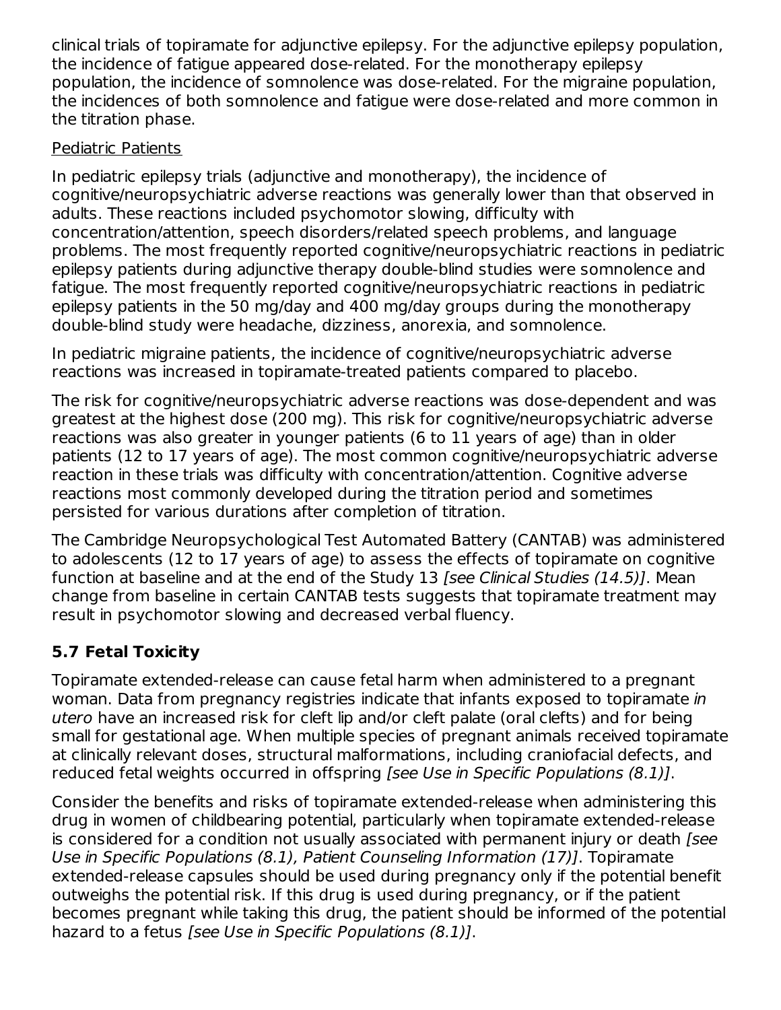clinical trials of topiramate for adjunctive epilepsy. For the adjunctive epilepsy population, the incidence of fatigue appeared dose-related. For the monotherapy epilepsy population, the incidence of somnolence was dose-related. For the migraine population, the incidences of both somnolence and fatigue were dose-related and more common in the titration phase.

# Pediatric Patients

In pediatric epilepsy trials (adjunctive and monotherapy), the incidence of cognitive/neuropsychiatric adverse reactions was generally lower than that observed in adults. These reactions included psychomotor slowing, difficulty with concentration/attention, speech disorders/related speech problems, and language problems. The most frequently reported cognitive/neuropsychiatric reactions in pediatric epilepsy patients during adjunctive therapy double-blind studies were somnolence and fatigue. The most frequently reported cognitive/neuropsychiatric reactions in pediatric epilepsy patients in the 50 mg/day and 400 mg/day groups during the monotherapy double-blind study were headache, dizziness, anorexia, and somnolence.

In pediatric migraine patients, the incidence of cognitive/neuropsychiatric adverse reactions was increased in topiramate-treated patients compared to placebo.

The risk for cognitive/neuropsychiatric adverse reactions was dose-dependent and was greatest at the highest dose (200 mg). This risk for cognitive/neuropsychiatric adverse reactions was also greater in younger patients (6 to 11 years of age) than in older patients (12 to 17 years of age). The most common cognitive/neuropsychiatric adverse reaction in these trials was difficulty with concentration/attention. Cognitive adverse reactions most commonly developed during the titration period and sometimes persisted for various durations after completion of titration.

The Cambridge Neuropsychological Test Automated Battery (CANTAB) was administered to adolescents (12 to 17 years of age) to assess the effects of topiramate on cognitive function at baseline and at the end of the Study 13 [see Clinical Studies (14.5)]. Mean change from baseline in certain CANTAB tests suggests that topiramate treatment may result in psychomotor slowing and decreased verbal fluency.

# **5.7 Fetal Toxicity**

Topiramate extended-release can cause fetal harm when administered to a pregnant woman. Data from pregnancy registries indicate that infants exposed to topiramate in utero have an increased risk for cleft lip and/or cleft palate (oral clefts) and for being small for gestational age. When multiple species of pregnant animals received topiramate at clinically relevant doses, structural malformations, including craniofacial defects, and reduced fetal weights occurred in offspring [see Use in Specific Populations (8.1)].

Consider the benefits and risks of topiramate extended-release when administering this drug in women of childbearing potential, particularly when topiramate extended-release is considered for a condition not usually associated with permanent injury or death [see Use in Specific Populations (8.1), Patient Counseling Information (17)]. Topiramate extended-release capsules should be used during pregnancy only if the potential benefit outweighs the potential risk. If this drug is used during pregnancy, or if the patient becomes pregnant while taking this drug, the patient should be informed of the potential hazard to a fetus [see Use in Specific Populations (8.1)].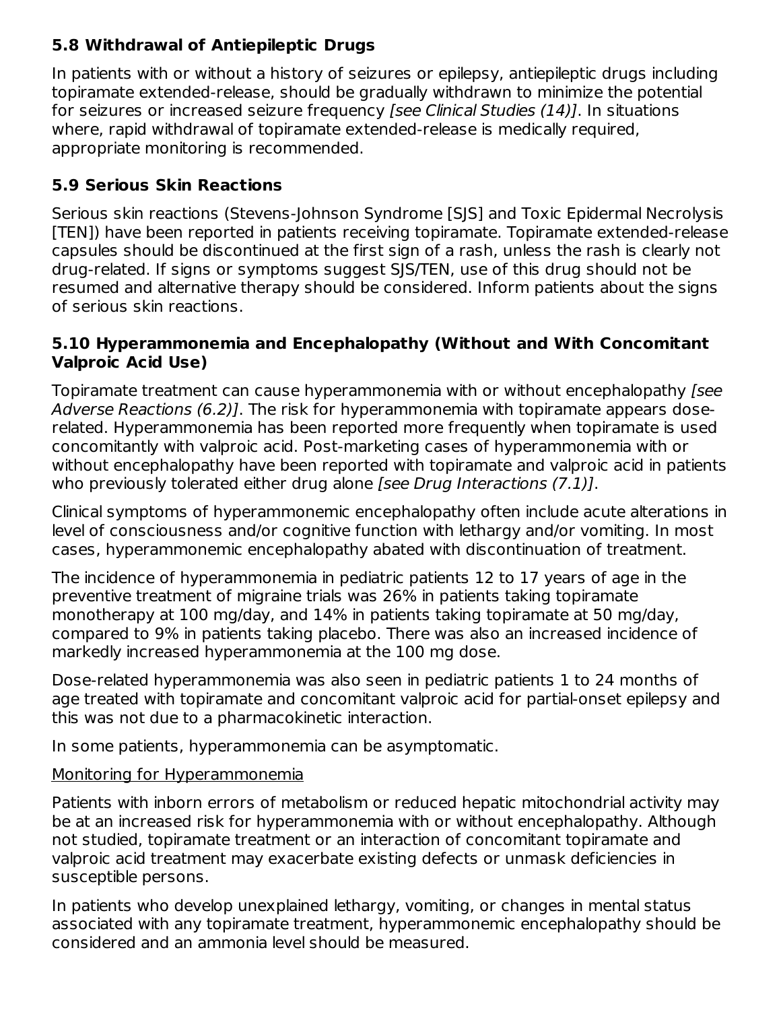# **5.8 Withdrawal of Antiepileptic Drugs**

In patients with or without a history of seizures or epilepsy, antiepileptic drugs including topiramate extended-release, should be gradually withdrawn to minimize the potential for seizures or increased seizure frequency [see Clinical Studies (14)]. In situations where, rapid withdrawal of topiramate extended-release is medically required, appropriate monitoring is recommended.

# **5.9 Serious Skin Reactions**

Serious skin reactions (Stevens-Johnson Syndrome [SJS] and Toxic Epidermal Necrolysis [TEN]) have been reported in patients receiving topiramate. Topiramate extended-release capsules should be discontinued at the first sign of a rash, unless the rash is clearly not drug-related. If signs or symptoms suggest SJS/TEN, use of this drug should not be resumed and alternative therapy should be considered. Inform patients about the signs of serious skin reactions.

### **5.10 Hyperammonemia and Encephalopathy (Without and With Concomitant Valproic Acid Use)**

Topiramate treatment can cause hyperammonemia with or without encephalopathy [see Adverse Reactions (6.2)]. The risk for hyperammonemia with topiramate appears doserelated. Hyperammonemia has been reported more frequently when topiramate is used concomitantly with valproic acid. Post-marketing cases of hyperammonemia with or without encephalopathy have been reported with topiramate and valproic acid in patients who previously tolerated either drug alone [see Drug Interactions (7.1)].

Clinical symptoms of hyperammonemic encephalopathy often include acute alterations in level of consciousness and/or cognitive function with lethargy and/or vomiting. In most cases, hyperammonemic encephalopathy abated with discontinuation of treatment.

The incidence of hyperammonemia in pediatric patients 12 to 17 years of age in the preventive treatment of migraine trials was 26% in patients taking topiramate monotherapy at 100 mg/day, and 14% in patients taking topiramate at 50 mg/day, compared to 9% in patients taking placebo. There was also an increased incidence of markedly increased hyperammonemia at the 100 mg dose.

Dose-related hyperammonemia was also seen in pediatric patients 1 to 24 months of age treated with topiramate and concomitant valproic acid for partial-onset epilepsy and this was not due to a pharmacokinetic interaction.

In some patients, hyperammonemia can be asymptomatic.

# Monitoring for Hyperammonemia

Patients with inborn errors of metabolism or reduced hepatic mitochondrial activity may be at an increased risk for hyperammonemia with or without encephalopathy. Although not studied, topiramate treatment or an interaction of concomitant topiramate and valproic acid treatment may exacerbate existing defects or unmask deficiencies in susceptible persons.

In patients who develop unexplained lethargy, vomiting, or changes in mental status associated with any topiramate treatment, hyperammonemic encephalopathy should be considered and an ammonia level should be measured.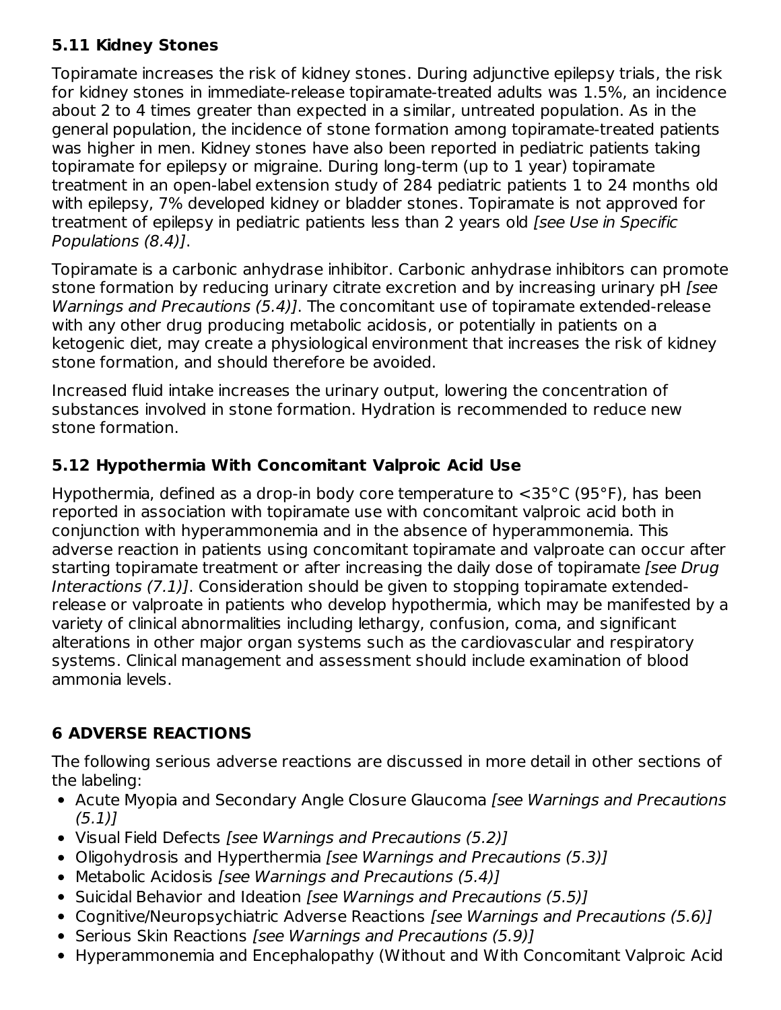# **5.11 Kidney Stones**

Topiramate increases the risk of kidney stones. During adjunctive epilepsy trials, the risk for kidney stones in immediate-release topiramate-treated adults was 1.5%, an incidence about 2 to 4 times greater than expected in a similar, untreated population. As in the general population, the incidence of stone formation among topiramate-treated patients was higher in men. Kidney stones have also been reported in pediatric patients taking topiramate for epilepsy or migraine. During long-term (up to 1 year) topiramate treatment in an open-label extension study of 284 pediatric patients 1 to 24 months old with epilepsy, 7% developed kidney or bladder stones. Topiramate is not approved for treatment of epilepsy in pediatric patients less than 2 years old [see Use in Specific Populations (8.4)].

Topiramate is a carbonic anhydrase inhibitor. Carbonic anhydrase inhibitors can promote stone formation by reducing urinary citrate excretion and by increasing urinary pH [see Warnings and Precautions (5.4)]. The concomitant use of topiramate extended-release with any other drug producing metabolic acidosis, or potentially in patients on a ketogenic diet, may create a physiological environment that increases the risk of kidney stone formation, and should therefore be avoided.

Increased fluid intake increases the urinary output, lowering the concentration of substances involved in stone formation. Hydration is recommended to reduce new stone formation.

# **5.12 Hypothermia With Concomitant Valproic Acid Use**

Hypothermia, defined as a drop-in body core temperature to <35°C (95°F), has been reported in association with topiramate use with concomitant valproic acid both in conjunction with hyperammonemia and in the absence of hyperammonemia. This adverse reaction in patients using concomitant topiramate and valproate can occur after starting topiramate treatment or after increasing the daily dose of topiramate [see Drug Interactions (7.1)]. Consideration should be given to stopping topiramate extendedrelease or valproate in patients who develop hypothermia, which may be manifested by a variety of clinical abnormalities including lethargy, confusion, coma, and significant alterations in other major organ systems such as the cardiovascular and respiratory systems. Clinical management and assessment should include examination of blood ammonia levels.

# **6 ADVERSE REACTIONS**

The following serious adverse reactions are discussed in more detail in other sections of the labeling:

- Acute Myopia and Secondary Angle Closure Glaucoma [see Warnings and Precautions (5.1)]
- Visual Field Defects [see Warnings and Precautions (5.2)]
- Oligohydrosis and Hyperthermia [see Warnings and Precautions (5.3)]
- Metabolic Acidosis *[see Warnings and Precautions (5.4)]*
- Suicidal Behavior and Ideation [see Warnings and Precautions (5.5)]
- Cognitive/Neuropsychiatric Adverse Reactions [see Warnings and Precautions (5.6)]
- Serious Skin Reactions [see Warnings and Precautions (5.9)]
- Hyperammonemia and Encephalopathy (Without and With Concomitant Valproic Acid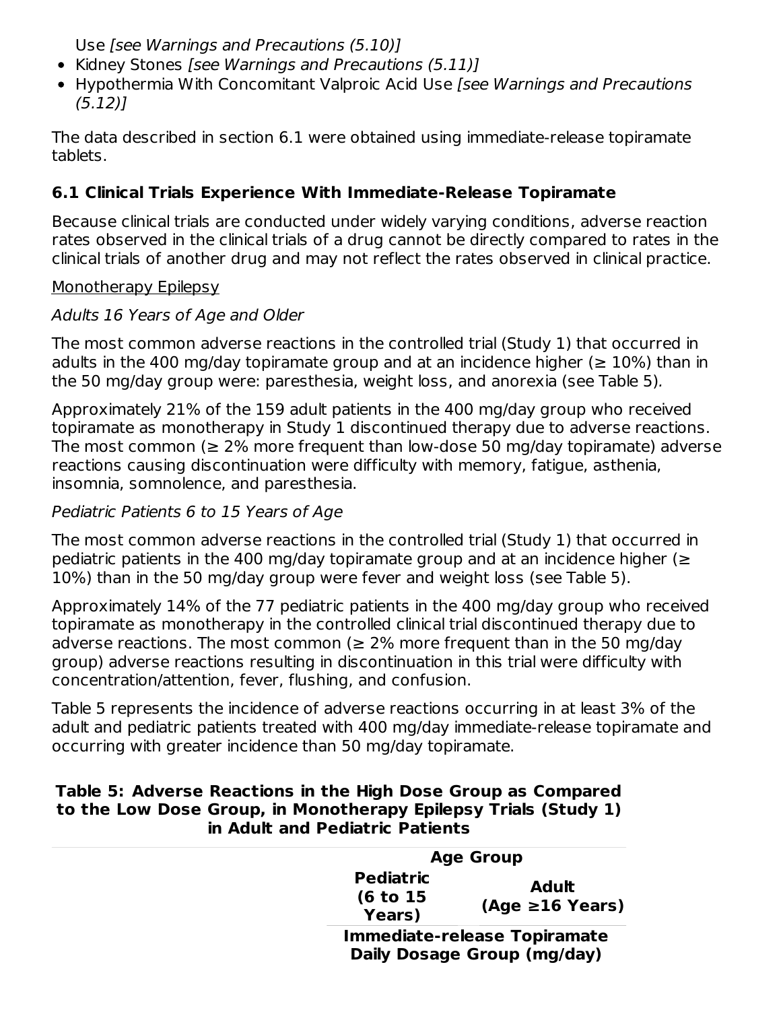Use [see Warnings and Precautions (5.10)]

- Kidney Stones [see Warnings and Precautions (5.11)]
- Hypothermia With Concomitant Valproic Acid Use [see Warnings and Precautions (5.12)]

The data described in section 6.1 were obtained using immediate-release topiramate tablets.

# **6.1 Clinical Trials Experience With Immediate-Release Topiramate**

Because clinical trials are conducted under widely varying conditions, adverse reaction rates observed in the clinical trials of a drug cannot be directly compared to rates in the clinical trials of another drug and may not reflect the rates observed in clinical practice.

### Monotherapy Epilepsy

# Adults 16 Years of Age and Older

The most common adverse reactions in the controlled trial (Study 1) that occurred in adults in the 400 mg/day topiramate group and at an incidence higher ( $\geq 10\%$ ) than in the 50 mg/day group were: paresthesia, weight loss, and anorexia (see Table 5).

Approximately 21% of the 159 adult patients in the 400 mg/day group who received topiramate as monotherapy in Study 1 discontinued therapy due to adverse reactions. The most common ( $\geq 2\%$  more frequent than low-dose 50 mg/day topiramate) adverse reactions causing discontinuation were difficulty with memory, fatigue, asthenia, insomnia, somnolence, and paresthesia.

# Pediatric Patients 6 to 15 Years of Age

The most common adverse reactions in the controlled trial (Study 1) that occurred in pediatric patients in the 400 mg/day topiramate group and at an incidence higher ( $\geq$ 10%) than in the 50 mg/day group were fever and weight loss (see Table 5).

Approximately 14% of the 77 pediatric patients in the 400 mg/day group who received topiramate as monotherapy in the controlled clinical trial discontinued therapy due to adverse reactions. The most common ( $\geq$  2% more frequent than in the 50 mg/day group) adverse reactions resulting in discontinuation in this trial were difficulty with concentration/attention, fever, flushing, and confusion.

Table 5 represents the incidence of adverse reactions occurring in at least 3% of the adult and pediatric patients treated with 400 mg/day immediate-release topiramate and occurring with greater incidence than 50 mg/day topiramate.

#### **Table 5: Adverse Reactions in the High Dose Group as Compared to the Low Dose Group, in Monotherapy Epilepsy Trials (Study 1) in Adult and Pediatric Patients**

|                                         | <b>Age Group</b>                                                   |  |  |
|-----------------------------------------|--------------------------------------------------------------------|--|--|
| <b>Pediatric</b><br>(6 to 15)<br>Years) | <b>Adult</b><br>$(Age \ge 16$ Years)                               |  |  |
|                                         | <b>Immediate-release Topiramate</b><br>Daily Dosage Group (mg/day) |  |  |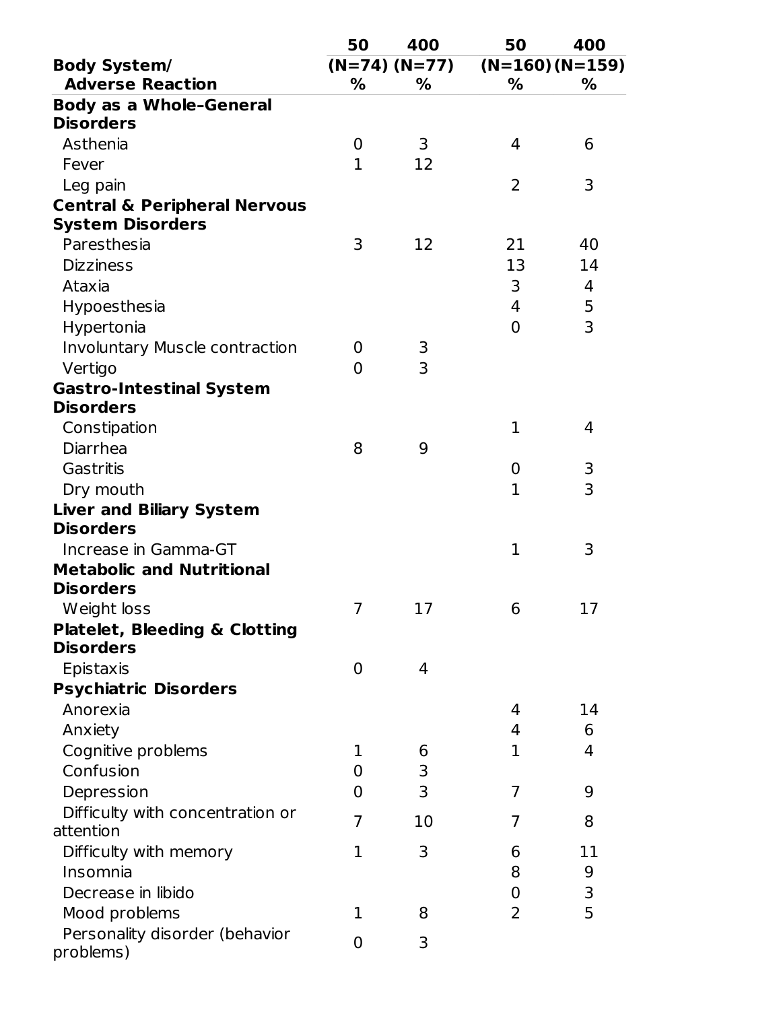|                                          | 50               | 400             | 50               | 400               |
|------------------------------------------|------------------|-----------------|------------------|-------------------|
| <b>Body System/</b>                      |                  | $(N=74) (N=77)$ |                  | $(N=160) (N=159)$ |
| <b>Adverse Reaction</b>                  | %                | %               | %                | %                 |
| <b>Body as a Whole-General</b>           |                  |                 |                  |                   |
| <b>Disorders</b>                         |                  |                 |                  |                   |
| Asthenia                                 | $\boldsymbol{0}$ | 3               | 4                | 6                 |
| Fever                                    | $\mathbf{1}$     | 12              |                  |                   |
| Leg pain                                 |                  |                 | $\overline{2}$   | 3                 |
| <b>Central &amp; Peripheral Nervous</b>  |                  |                 |                  |                   |
| <b>System Disorders</b>                  |                  |                 |                  |                   |
| Paresthesia                              | 3                | 12              | 21               | 40                |
| <b>Dizziness</b>                         |                  |                 | 13               | 14                |
| Ataxia                                   |                  |                 | 3                | 4                 |
| Hypoesthesia                             |                  |                 | 4                | $\frac{5}{3}$     |
| Hypertonia                               |                  |                 | $\overline{0}$   |                   |
| <b>Involuntary Muscle contraction</b>    | 0                | 3               |                  |                   |
| Vertigo                                  | $\Omega$         | 3               |                  |                   |
| <b>Gastro-Intestinal System</b>          |                  |                 |                  |                   |
| <b>Disorders</b>                         |                  |                 |                  |                   |
| Constipation                             |                  |                 | $\mathbf{1}$     | 4                 |
| Diarrhea                                 | 8                | 9               |                  |                   |
| Gastritis                                |                  |                 | $\boldsymbol{0}$ | 3                 |
| Dry mouth                                |                  |                 | $\mathbf{1}$     | 3                 |
| <b>Liver and Biliary System</b>          |                  |                 |                  |                   |
| <b>Disorders</b>                         |                  |                 |                  |                   |
| Increase in Gamma-GT                     |                  |                 | $\mathbf{1}$     | 3                 |
| <b>Metabolic and Nutritional</b>         |                  |                 |                  |                   |
| <b>Disorders</b>                         |                  |                 |                  |                   |
| Weight loss                              | 7                | 17              | 6                | 17                |
| <b>Platelet, Bleeding &amp; Clotting</b> |                  |                 |                  |                   |
| <b>Disorders</b>                         |                  |                 |                  |                   |
| Epistaxis                                | 0                | 4               |                  |                   |
| <b>Psychiatric Disorders</b>             |                  |                 |                  |                   |
| Anorexia                                 |                  |                 | 4                | 14                |
| Anxiety                                  |                  |                 | 4                | 6                 |
| Cognitive problems                       | 1                | 6               | 1                | 4                 |
| Confusion                                | $\overline{0}$   | 3               |                  |                   |
| Depression                               | $\overline{0}$   | 3               | 7                | 9                 |
| Difficulty with concentration or         | 7                | 10              | 7                |                   |
| attention                                |                  |                 |                  | 8                 |
| Difficulty with memory                   | $\mathbf{1}$     | 3               | 6                | 11                |
| Insomnia                                 |                  |                 | 8                | 9                 |
| Decrease in libido                       |                  |                 | 0                | 3                 |
| Mood problems                            | 1                | 8               | 2                | 5                 |
| Personality disorder (behavior           |                  |                 |                  |                   |
| problems)                                | 0                | 3               |                  |                   |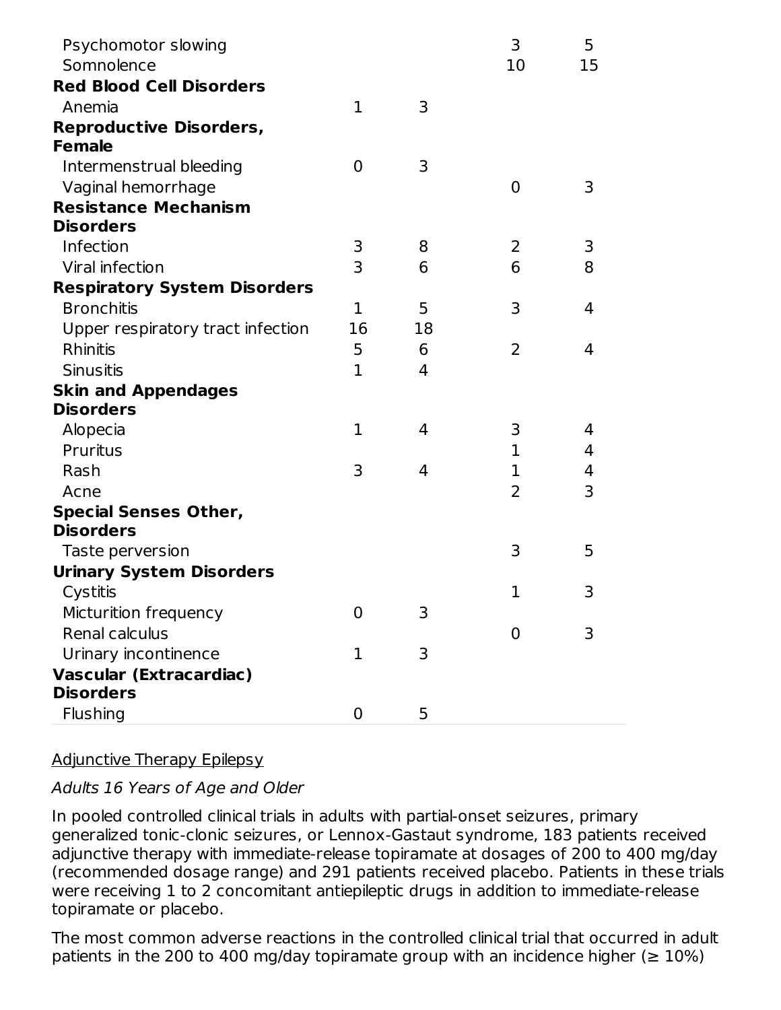| Psychomotor slowing<br>Somnolence   |                |    | 3<br>10        | 5<br>15 |
|-------------------------------------|----------------|----|----------------|---------|
| <b>Red Blood Cell Disorders</b>     |                |    |                |         |
| Anemia                              | $\mathbf{1}$   | 3  |                |         |
| <b>Reproductive Disorders,</b>      |                |    |                |         |
| <b>Female</b>                       |                |    |                |         |
| Intermenstrual bleeding             | $\overline{0}$ | 3  |                |         |
| Vaginal hemorrhage                  |                |    | 0              | 3       |
| <b>Resistance Mechanism</b>         |                |    |                |         |
| <b>Disorders</b>                    |                |    |                |         |
| Infection                           | 3              | 8  | 2              | 3       |
| Viral infection                     | $\overline{3}$ | 6  | 6              | 8       |
| <b>Respiratory System Disorders</b> |                |    |                |         |
| <b>Bronchitis</b>                   | 1              | 5  | 3              | 4       |
| Upper respiratory tract infection   | 16             | 18 |                |         |
| Rhinitis                            | 5              | 6  | 2              | 4       |
| <b>Sinusitis</b>                    | 1              | 4  |                |         |
| <b>Skin and Appendages</b>          |                |    |                |         |
| <b>Disorders</b>                    |                |    |                |         |
| Alopecia                            | 1              | 4  | 3              | 4       |
| Pruritus                            |                |    | 1              | 4       |
| Rash                                | 3              | 4  | $\mathbf{1}$   | 4       |
| Acne                                |                |    | 2              | 3       |
| <b>Special Senses Other,</b>        |                |    |                |         |
| <b>Disorders</b>                    |                |    |                |         |
| Taste perversion                    |                |    | 3              | 5       |
| <b>Urinary System Disorders</b>     |                |    |                |         |
| Cystitis                            |                |    | $\mathbf{1}$   | 3       |
| Micturition frequency               | 0              | 3  |                |         |
| Renal calculus                      |                |    | $\overline{0}$ | 3       |
| Urinary incontinence                | 1              | 3  |                |         |
| <b>Vascular (Extracardiac)</b>      |                |    |                |         |
| <b>Disorders</b>                    |                |    |                |         |
| <b>Flushing</b>                     | $\mathbf 0$    | 5  |                |         |

# Adjunctive Therapy Epilepsy

### Adults 16 Years of Age and Older

In pooled controlled clinical trials in adults with partial-onset seizures, primary generalized tonic-clonic seizures, or Lennox-Gastaut syndrome, 183 patients received adjunctive therapy with immediate-release topiramate at dosages of 200 to 400 mg/day (recommended dosage range) and 291 patients received placebo. Patients in these trials were receiving 1 to 2 concomitant antiepileptic drugs in addition to immediate-release topiramate or placebo.

The most common adverse reactions in the controlled clinical trial that occurred in adult patients in the 200 to 400 mg/day topiramate group with an incidence higher ( $\geq 10\%$ )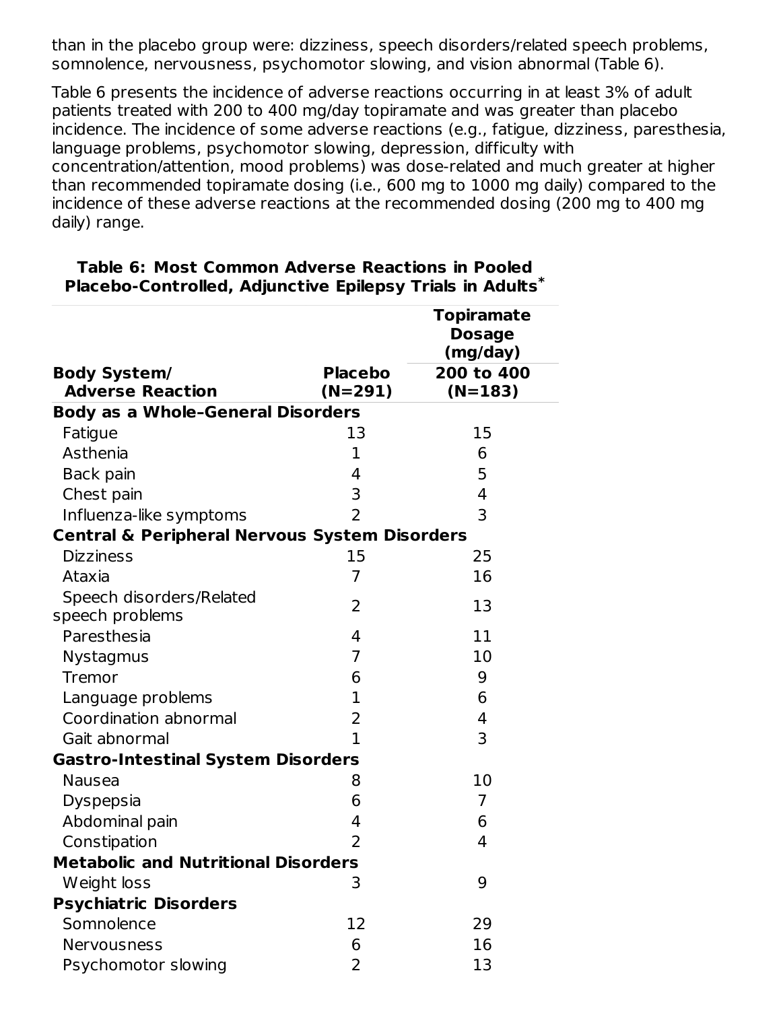than in the placebo group were: dizziness, speech disorders/related speech problems, somnolence, nervousness, psychomotor slowing, and vision abnormal (Table 6).

Table 6 presents the incidence of adverse reactions occurring in at least 3% of adult patients treated with 200 to 400 mg/day topiramate and was greater than placebo incidence. The incidence of some adverse reactions (e.g., fatigue, dizziness, paresthesia, language problems, psychomotor slowing, depression, difficulty with concentration/attention, mood problems) was dose-related and much greater at higher than recommended topiramate dosing (i.e., 600 mg to 1000 mg daily) compared to the incidence of these adverse reactions at the recommended dosing (200 mg to 400 mg daily) range.

|                                                          |                | <b>Topiramate</b> |
|----------------------------------------------------------|----------------|-------------------|
|                                                          |                | <b>Dosage</b>     |
|                                                          |                | (mg/day)          |
| <b>Body System/</b>                                      | <b>Placebo</b> | 200 to 400        |
| <b>Adverse Reaction</b>                                  | $(N=291)$      | $(N=183)$         |
| <b>Body as a Whole-General Disorders</b>                 |                |                   |
| Fatigue                                                  | 13             | 15                |
| Asthenia                                                 | 1              | 6                 |
| Back pain                                                | 4              | 5                 |
| Chest pain                                               | 3              | 4                 |
| Influenza-like symptoms                                  | $\overline{2}$ | 3                 |
| <b>Central &amp; Peripheral Nervous System Disorders</b> |                |                   |
| <b>Dizziness</b>                                         | 15             | 25                |
| Ataxia                                                   | $\overline{7}$ | 16                |
| Speech disorders/Related                                 | $\overline{2}$ | 13                |
| speech problems                                          |                |                   |
| Paresthesia                                              | 4              | 11                |
| <b>Nystagmus</b>                                         | $\overline{7}$ | 10                |
| <b>Tremor</b>                                            | 6              | 9                 |
| Language problems                                        | $\mathbf{1}$   | 6                 |
| Coordination abnormal                                    | $\overline{2}$ | 4                 |
| Gait abnormal                                            | $\overline{1}$ | 3                 |
| <b>Gastro-Intestinal System Disorders</b>                |                |                   |
| <b>Nausea</b>                                            | 8              | 10                |
| <b>Dyspepsia</b>                                         | 6              | $\overline{7}$    |
| Abdominal pain                                           | 4              | 6                 |
| Constipation                                             | $\overline{2}$ | 4                 |
| <b>Metabolic and Nutritional Disorders</b>               |                |                   |
| Weight loss                                              | 3              | 9                 |
| <b>Psychiatric Disorders</b>                             |                |                   |
| Somnolence                                               | 12             | 29                |
| Nervousness                                              | 6              | 16                |
| Psychomotor slowing                                      | $\overline{2}$ | 13                |

#### **Table 6: Most Common Adverse Reactions in Pooled Placebo-Controlled, Adjunctive Epilepsy Trials in Adults \***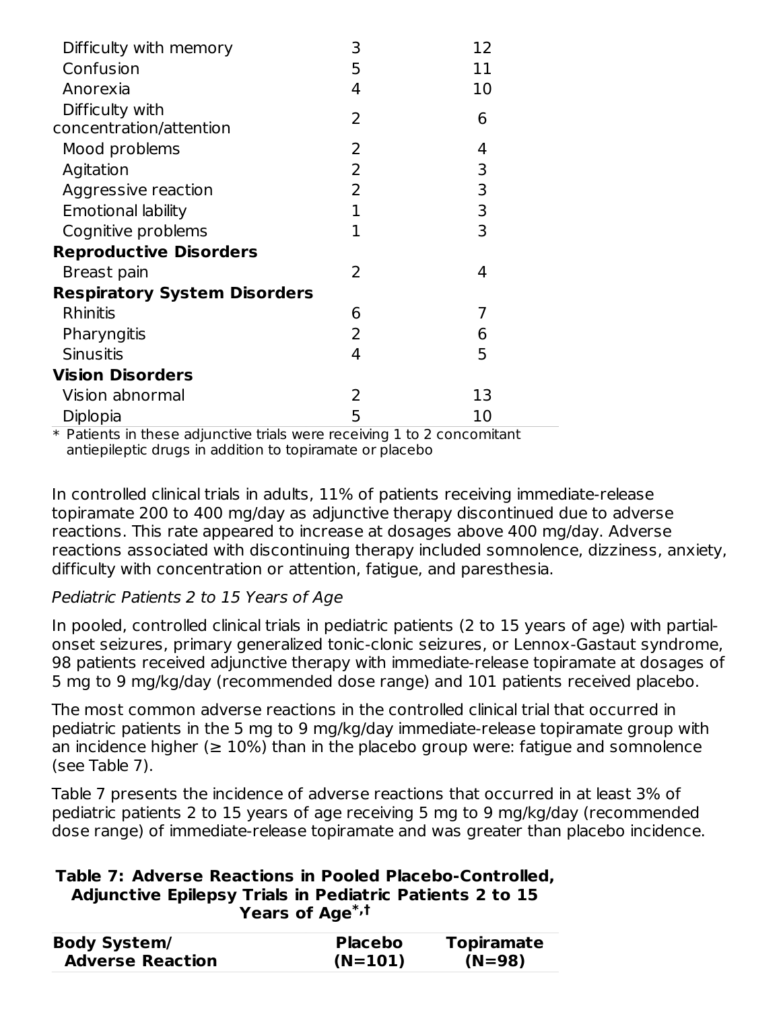| Difficulty with memory              | 3 | 12 |
|-------------------------------------|---|----|
| Confusion                           | 5 | 11 |
| Anorexia                            | 4 | 10 |
| Difficulty with                     | 2 | 6  |
| concentration/attention             |   |    |
| Mood problems                       | 2 | 4  |
| Agitation                           | 2 | 3  |
| Aggressive reaction                 | 2 | 3  |
| <b>Emotional lability</b>           | 1 | 3  |
| Cognitive problems                  | 1 | 3  |
| <b>Reproductive Disorders</b>       |   |    |
| Breast pain                         | 2 | 4  |
| <b>Respiratory System Disorders</b> |   |    |
| <b>Rhinitis</b>                     | 6 | 7  |
| Pharyngitis                         | 2 | 6  |
| <b>Sinusitis</b>                    | 4 | 5  |
| <b>Vision Disorders</b>             |   |    |
| Vision abnormal                     | 2 | 13 |
| Diplopia                            | 5 | 10 |

 $\ast$  Patients in these adjunctive trials were receiving 1 to 2 concomitant antiepileptic drugs in addition to topiramate or placebo

In controlled clinical trials in adults, 11% of patients receiving immediate-release topiramate 200 to 400 mg/day as adjunctive therapy discontinued due to adverse reactions. This rate appeared to increase at dosages above 400 mg/day. Adverse reactions associated with discontinuing therapy included somnolence, dizziness, anxiety, difficulty with concentration or attention, fatigue, and paresthesia.

# Pediatric Patients 2 to 15 Years of Age

In pooled, controlled clinical trials in pediatric patients (2 to 15 years of age) with partialonset seizures, primary generalized tonic-clonic seizures, or Lennox-Gastaut syndrome, 98 patients received adjunctive therapy with immediate-release topiramate at dosages of 5 mg to 9 mg/kg/day (recommended dose range) and 101 patients received placebo.

The most common adverse reactions in the controlled clinical trial that occurred in pediatric patients in the 5 mg to 9 mg/kg/day immediate-release topiramate group with an incidence higher ( $\geq 10\%$ ) than in the placebo group were: fatigue and somnolence (see Table 7).

Table 7 presents the incidence of adverse reactions that occurred in at least 3% of pediatric patients 2 to 15 years of age receiving 5 mg to 9 mg/kg/day (recommended dose range) of immediate-release topiramate and was greater than placebo incidence.

#### **Table 7: Adverse Reactions in Pooled Placebo-Controlled, Adjunctive Epilepsy Trials in Pediatric Patients 2 to 15 Years of Age \*,†**

| <b>Body System/</b>     | <b>Placebo</b> | <b>Topiramate</b> |
|-------------------------|----------------|-------------------|
| <b>Adverse Reaction</b> | $(N=101)$      | $(N=98)$          |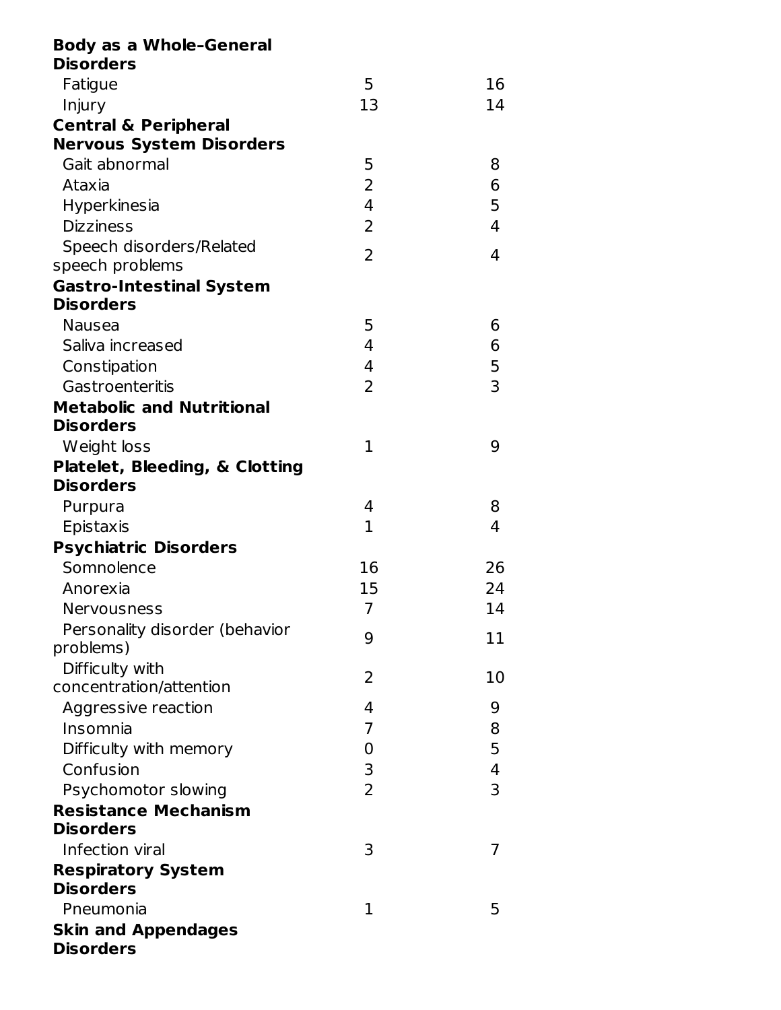| <b>Body as a Whole-General</b>   |                |                |
|----------------------------------|----------------|----------------|
| <b>Disorders</b>                 |                |                |
| Fatigue                          | 5              | 16             |
| Injury                           | 13             | 14             |
| <b>Central &amp; Peripheral</b>  |                |                |
| <b>Nervous System Disorders</b>  |                |                |
| Gait abnormal                    | 5              | 8              |
| Ataxia                           | 2              | 6              |
| Hyperkinesia                     | $\overline{4}$ | 5              |
| <b>Dizziness</b>                 | $\overline{2}$ | 4              |
| Speech disorders/Related         | 2              | 4              |
| speech problems                  |                |                |
| <b>Gastro-Intestinal System</b>  |                |                |
| <b>Disorders</b>                 |                |                |
| <b>Nausea</b>                    | 5              | 6              |
| Saliva increased                 | 4              | 6              |
| Constipation                     | 4              | 5              |
| Gastroenteritis                  | $\overline{2}$ | $\overline{3}$ |
| <b>Metabolic and Nutritional</b> |                |                |
| <b>Disorders</b>                 |                |                |
| Weight loss                      | 1              | 9              |
| Platelet, Bleeding, & Clotting   |                |                |
| <b>Disorders</b>                 |                |                |
| Purpura                          | 4              | 8              |
| Epistaxis                        | $\mathbf 1$    | 4              |
| <b>Psychiatric Disorders</b>     |                |                |
| Somnolence                       | 16             | 26             |
| Anorexia                         | 15             | 24             |
| Nervousness                      | $\overline{7}$ | 14             |
| Personality disorder (behavior   | 9              | 11             |
| problems)                        |                |                |
| Difficulty with                  | 2              | 10             |
| concentration/attention          |                |                |
| Aggressive reaction              | 4              | 9              |
| Insomnia                         | 7              | 8              |
| Difficulty with memory           | 0              | 5              |
| Confusion                        | 3              | 4              |
| Psychomotor slowing              | $\overline{2}$ | 3              |
| <b>Resistance Mechanism</b>      |                |                |
| <b>Disorders</b>                 |                |                |
| Infection viral                  | 3              | 7              |
| <b>Respiratory System</b>        |                |                |
| <b>Disorders</b>                 |                |                |
| Pneumonia                        | 1              | 5              |
| <b>Skin and Appendages</b>       |                |                |
| <b>Disorders</b>                 |                |                |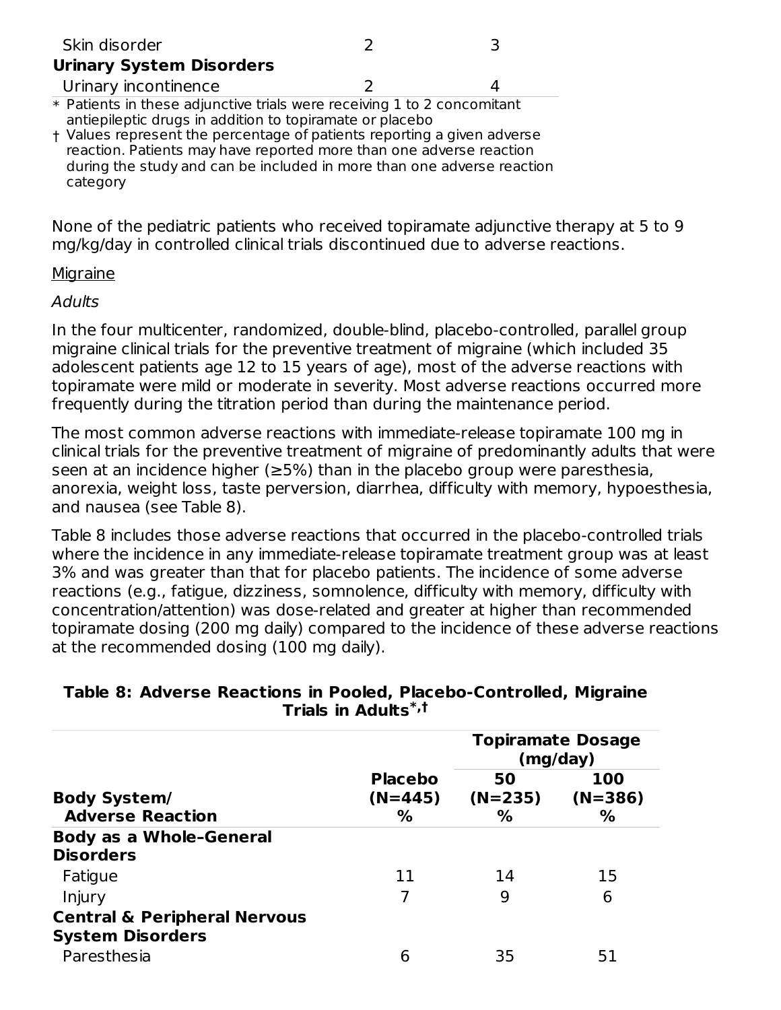| Skin disorder                                                                                                                                                                                                            |  |
|--------------------------------------------------------------------------------------------------------------------------------------------------------------------------------------------------------------------------|--|
| <b>Urinary System Disorders</b>                                                                                                                                                                                          |  |
| Urinary incontinence                                                                                                                                                                                                     |  |
| * Patients in these adjunctive trials were receiving 1 to 2 concomitant<br>antiepileptic drugs in addition to topiramate or placebo                                                                                      |  |
| + Values represent the percentage of patients reporting a given adverse<br>reaction. Patients may have reported more than one adverse reaction<br>during the study and can be included in more than one adverse reaction |  |

category

None of the pediatric patients who received topiramate adjunctive therapy at 5 to 9 mg/kg/day in controlled clinical trials discontinued due to adverse reactions.

#### **Migraine**

#### **Adults**

In the four multicenter, randomized, double-blind, placebo-controlled, parallel group migraine clinical trials for the preventive treatment of migraine (which included 35 adolescent patients age 12 to 15 years of age), most of the adverse reactions with topiramate were mild or moderate in severity. Most adverse reactions occurred more frequently during the titration period than during the maintenance period.

The most common adverse reactions with immediate-release topiramate 100 mg in clinical trials for the preventive treatment of migraine of predominantly adults that were seen at an incidence higher ( $\geq$ 5%) than in the placebo group were paresthesia, anorexia, weight loss, taste perversion, diarrhea, difficulty with memory, hypoesthesia, and nausea (see Table 8).

Table 8 includes those adverse reactions that occurred in the placebo-controlled trials where the incidence in any immediate-release topiramate treatment group was at least 3% and was greater than that for placebo patients. The incidence of some adverse reactions (e.g., fatigue, dizziness, somnolence, difficulty with memory, difficulty with concentration/attention) was dose-related and greater at higher than recommended topiramate dosing (200 mg daily) compared to the incidence of these adverse reactions at the recommended dosing (100 mg daily).

| Trials in Adults <sup>®,τ</sup>         |                |           |                                      |  |  |  |
|-----------------------------------------|----------------|-----------|--------------------------------------|--|--|--|
|                                         |                |           | <b>Topiramate Dosage</b><br>(mg/day) |  |  |  |
|                                         | <b>Placebo</b> | 50        | 100                                  |  |  |  |
| <b>Body System/</b>                     | $(N=445)$      | $(N=235)$ | $(N=386)$                            |  |  |  |
| <b>Adverse Reaction</b>                 | ℅              | ℅         | %                                    |  |  |  |
| <b>Body as a Whole-General</b>          |                |           |                                      |  |  |  |
| <b>Disorders</b>                        |                |           |                                      |  |  |  |
| Fatigue                                 | 11             | 14        | 15                                   |  |  |  |
| Injury                                  |                | 9         | 6                                    |  |  |  |
| <b>Central &amp; Peripheral Nervous</b> |                |           |                                      |  |  |  |
| <b>System Disorders</b>                 |                |           |                                      |  |  |  |
| Paresthesia                             | 6              | 35        | 51                                   |  |  |  |

#### **Table 8: Adverse Reactions in Pooled, Placebo-Controlled, Migraine Trials in Adults \*,†**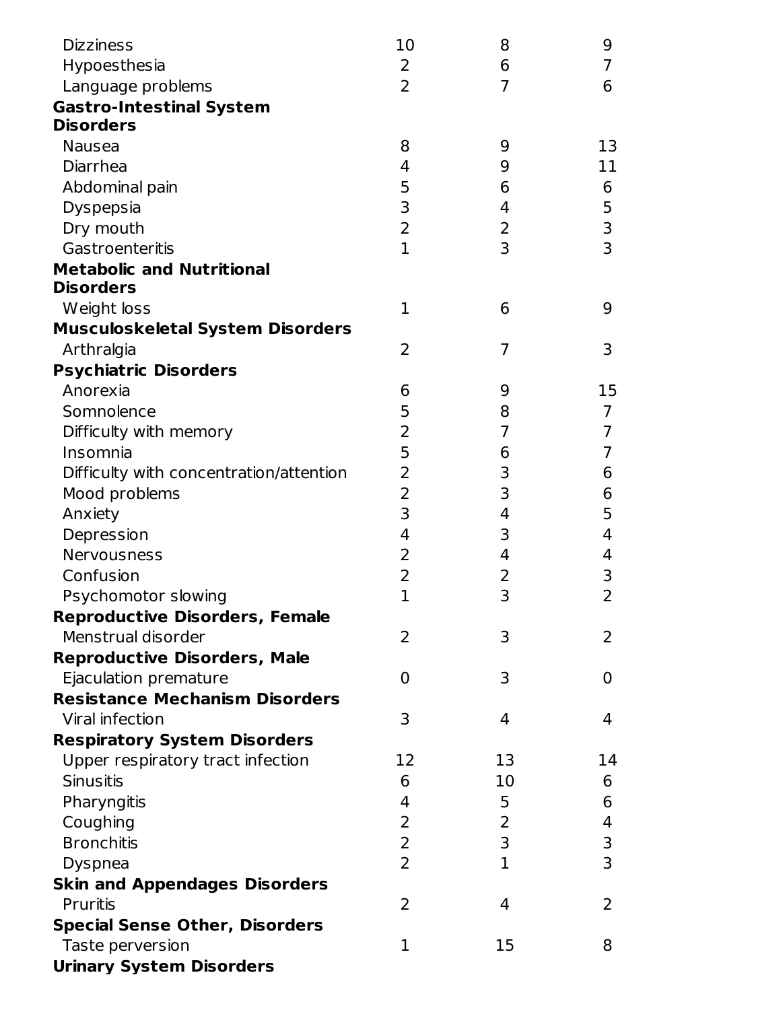| Hypoesthesia<br>Language problems<br><b>Gastro-Intestinal System</b><br><b>Disorders</b><br><b>Nausea</b> | $\overline{2}$<br>$\overline{2}$<br>8<br>4<br>5<br>3<br>2 | 6<br>$\overline{7}$<br>9<br>9<br>6 | 7<br>6<br>13<br>11 |
|-----------------------------------------------------------------------------------------------------------|-----------------------------------------------------------|------------------------------------|--------------------|
|                                                                                                           |                                                           |                                    |                    |
|                                                                                                           |                                                           |                                    |                    |
|                                                                                                           |                                                           |                                    |                    |
|                                                                                                           |                                                           |                                    |                    |
|                                                                                                           |                                                           |                                    |                    |
| Diarrhea                                                                                                  |                                                           |                                    |                    |
| Abdominal pain                                                                                            |                                                           |                                    | 6                  |
| Dyspepsia                                                                                                 |                                                           | 4                                  | 5                  |
| Dry mouth                                                                                                 |                                                           | 2                                  | 3                  |
| Gastroenteritis                                                                                           | $\mathbf{1}$                                              | 3                                  | $\overline{3}$     |
| <b>Metabolic and Nutritional</b>                                                                          |                                                           |                                    |                    |
| <b>Disorders</b>                                                                                          |                                                           |                                    |                    |
| Weight loss                                                                                               | $\mathbf 1$                                               | 6                                  | 9                  |
| <b>Musculoskeletal System Disorders</b>                                                                   |                                                           |                                    |                    |
| Arthralgia                                                                                                | 2                                                         | $\overline{7}$                     | 3                  |
| <b>Psychiatric Disorders</b>                                                                              |                                                           |                                    |                    |
| Anorexia                                                                                                  | 6                                                         | 9                                  | 15                 |
| Somnolence                                                                                                | 5                                                         | 8                                  | $\overline{7}$     |
| Difficulty with memory                                                                                    | 2                                                         | 7                                  | 7                  |
| Insomnia                                                                                                  | 5                                                         | 6                                  | 7                  |
|                                                                                                           | 2                                                         |                                    |                    |
| Difficulty with concentration/attention                                                                   |                                                           | 3<br>3                             | 6                  |
| Mood problems                                                                                             | 2                                                         |                                    | 6                  |
| Anxiety                                                                                                   | 3                                                         | 4                                  | 5                  |
| Depression                                                                                                | 4                                                         | 3                                  | 4                  |
| Nervousness                                                                                               | 2                                                         | 4                                  | 4                  |
| Confusion                                                                                                 | 2                                                         | 2                                  | 3                  |
| Psychomotor slowing                                                                                       | $\overline{1}$                                            | 3                                  | $\overline{2}$     |
| <b>Reproductive Disorders, Female</b>                                                                     |                                                           |                                    |                    |
| Menstrual disorder                                                                                        | 2                                                         | 3                                  | $\mathsf{2}$       |
| <b>Reproductive Disorders, Male</b>                                                                       |                                                           |                                    |                    |
| Ejaculation premature                                                                                     | 0                                                         | 3                                  | 0                  |
| <b>Resistance Mechanism Disorders</b>                                                                     |                                                           |                                    |                    |
| Viral infection                                                                                           | 3                                                         | 4                                  | 4                  |
| <b>Respiratory System Disorders</b>                                                                       |                                                           |                                    |                    |
| Upper respiratory tract infection                                                                         | 12                                                        | 13                                 | 14                 |
| <b>Sinusitis</b>                                                                                          | 6                                                         | 10                                 | 6                  |
| Pharyngitis                                                                                               | 4                                                         | 5                                  | 6                  |
| Coughing                                                                                                  | 2                                                         | 2                                  | 4                  |
| <b>Bronchitis</b>                                                                                         | $\overline{2}$                                            | 3                                  | 3                  |
| <b>Dyspnea</b>                                                                                            | $\overline{2}$                                            | $\mathbf{1}$                       | 3                  |
| <b>Skin and Appendages Disorders</b>                                                                      |                                                           |                                    |                    |
| <b>Pruritis</b>                                                                                           | 2                                                         | 4                                  | $\overline{2}$     |
| <b>Special Sense Other, Disorders</b>                                                                     |                                                           |                                    |                    |
| Taste perversion                                                                                          | 1                                                         | 15                                 | 8                  |
| <b>Urinary System Disorders</b>                                                                           |                                                           |                                    |                    |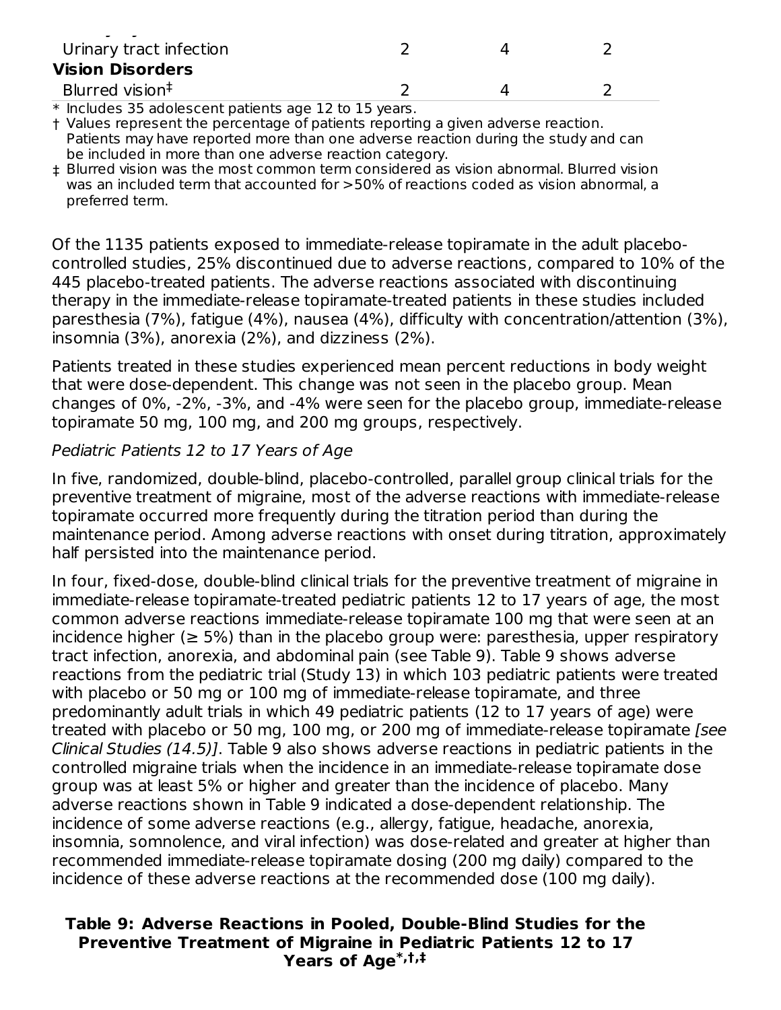| Urinary tract infection                                |  |  |
|--------------------------------------------------------|--|--|
| <b>Vision Disorders</b>                                |  |  |
| Blurred vision <sup>‡</sup>                            |  |  |
| $*$ Includes 35 adolescent nationts and 12 to 15 years |  |  |

\* Includes 35 adolescent patients age 12 to 15 years.

† Values represent the percentage of patients reporting a given adverse reaction. Patients may have reported more than one adverse reaction during the study and can be included in more than one adverse reaction category.

‡ Blurred vision was the most common term considered as vision abnormal. Blurred vision was an included term that accounted for >50% of reactions coded as vision abnormal, a preferred term.

Of the 1135 patients exposed to immediate-release topiramate in the adult placebocontrolled studies, 25% discontinued due to adverse reactions, compared to 10% of the 445 placebo-treated patients. The adverse reactions associated with discontinuing therapy in the immediate-release topiramate-treated patients in these studies included paresthesia (7%), fatigue (4%), nausea (4%), difficulty with concentration/attention (3%), insomnia (3%), anorexia (2%), and dizziness (2%).

Patients treated in these studies experienced mean percent reductions in body weight that were dose-dependent. This change was not seen in the placebo group. Mean changes of 0%, -2%, -3%, and -4% were seen for the placebo group, immediate-release topiramate 50 mg, 100 mg, and 200 mg groups, respectively.

### Pediatric Patients 12 to 17 Years of Age

In five, randomized, double-blind, placebo-controlled, parallel group clinical trials for the preventive treatment of migraine, most of the adverse reactions with immediate-release topiramate occurred more frequently during the titration period than during the maintenance period. Among adverse reactions with onset during titration, approximately half persisted into the maintenance period.

In four, fixed-dose, double-blind clinical trials for the preventive treatment of migraine in immediate-release topiramate-treated pediatric patients 12 to 17 years of age, the most common adverse reactions immediate-release topiramate 100 mg that were seen at an incidence higher ( $\geq$  5%) than in the placebo group were: paresthesia, upper respiratory tract infection, anorexia, and abdominal pain (see Table 9). Table 9 shows adverse reactions from the pediatric trial (Study 13) in which 103 pediatric patients were treated with placebo or 50 mg or 100 mg of immediate-release topiramate, and three predominantly adult trials in which 49 pediatric patients (12 to 17 years of age) were treated with placebo or 50 mg, 100 mg, or 200 mg of immediate-release topiramate [see Clinical Studies (14.5)]. Table 9 also shows adverse reactions in pediatric patients in the controlled migraine trials when the incidence in an immediate-release topiramate dose group was at least 5% or higher and greater than the incidence of placebo. Many adverse reactions shown in Table 9 indicated a dose-dependent relationship. The incidence of some adverse reactions (e.g., allergy, fatigue, headache, anorexia, insomnia, somnolence, and viral infection) was dose-related and greater at higher than recommended immediate-release topiramate dosing (200 mg daily) compared to the incidence of these adverse reactions at the recommended dose (100 mg daily).

#### **Table 9: Adverse Reactions in Pooled, Double-Blind Studies for the Preventive Treatment of Migraine in Pediatric Patients 12 to 17 Years of Age \*,†,‡**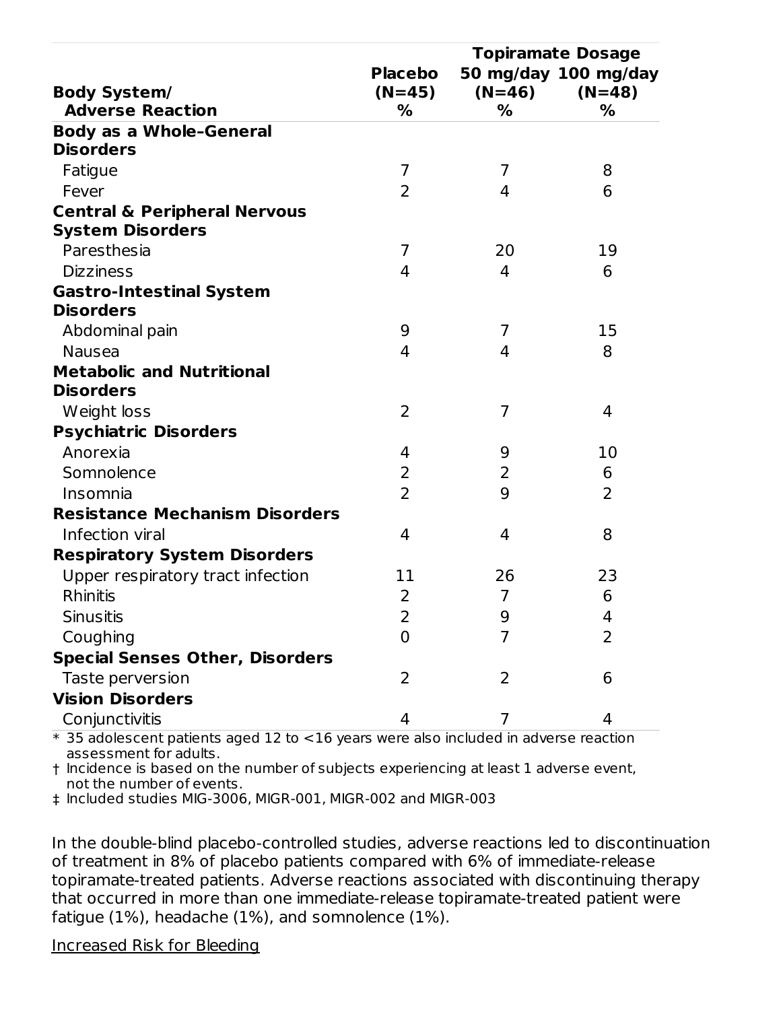|                                         | <b>Topiramate Dosage</b> |                |                      |  |
|-----------------------------------------|--------------------------|----------------|----------------------|--|
|                                         | <b>Placebo</b>           |                | 50 mg/day 100 mg/day |  |
| <b>Body System/</b>                     | $(N=45)$                 | $(N=46)$       | $(N=48)$             |  |
| <b>Adverse Reaction</b>                 | %                        | %              | %                    |  |
| <b>Body as a Whole-General</b>          |                          |                |                      |  |
| <b>Disorders</b>                        |                          |                |                      |  |
| Fatigue                                 | $\overline{7}$           | 7              | 8                    |  |
| Fever                                   | $\overline{2}$           | 4              | 6                    |  |
| <b>Central &amp; Peripheral Nervous</b> |                          |                |                      |  |
| <b>System Disorders</b>                 |                          |                |                      |  |
| Paresthesia                             | 7                        | 20             | 19                   |  |
| <b>Dizziness</b>                        | 4                        | 4              | 6                    |  |
| <b>Gastro-Intestinal System</b>         |                          |                |                      |  |
| <b>Disorders</b>                        |                          |                |                      |  |
| Abdominal pain                          | 9                        | 7              | 15                   |  |
| <b>Nausea</b>                           | 4                        | 4              | 8                    |  |
| <b>Metabolic and Nutritional</b>        |                          |                |                      |  |
| <b>Disorders</b>                        |                          |                |                      |  |
| Weight loss                             | 2                        | 7              | 4                    |  |
| <b>Psychiatric Disorders</b>            |                          |                |                      |  |
| Anorexia                                | 4                        | 9              | 10                   |  |
| Somnolence                              | 2                        | 2              | 6                    |  |
| Insomnia                                | $\overline{2}$           | 9              | 2                    |  |
| <b>Resistance Mechanism Disorders</b>   |                          |                |                      |  |
| Infection viral                         | 4                        | 4              | 8                    |  |
| <b>Respiratory System Disorders</b>     |                          |                |                      |  |
| Upper respiratory tract infection       | 11                       | 26             | 23                   |  |
| Rhinitis                                | 2                        | $\overline{7}$ | 6                    |  |
| <b>Sinusitis</b>                        | $\overline{\phantom{0}}$ | $\mathbf{Q}$   | 4                    |  |
| Coughing                                | 0                        | 7              | $\overline{2}$       |  |
| <b>Special Senses Other, Disorders</b>  |                          |                |                      |  |
| Taste perversion                        | 2                        | 2              | 6                    |  |
| <b>Vision Disorders</b>                 |                          |                |                      |  |
| Conjunctivitis                          | 4                        | 7              | 4                    |  |

\* 35 adolescent patients aged 12 to <16 years were also included in adverse reaction assessment for adults.

† Incidence is based on the number of subjects experiencing at least 1 adverse event, not the number of events.

‡ Included studies MIG-3006, MIGR-001, MIGR-002 and MIGR-003

In the double-blind placebo-controlled studies, adverse reactions led to discontinuation of treatment in 8% of placebo patients compared with 6% of immediate-release topiramate-treated patients. Adverse reactions associated with discontinuing therapy that occurred in more than one immediate-release topiramate-treated patient were fatigue (1%), headache (1%), and somnolence (1%).

#### Increased Risk for Bleeding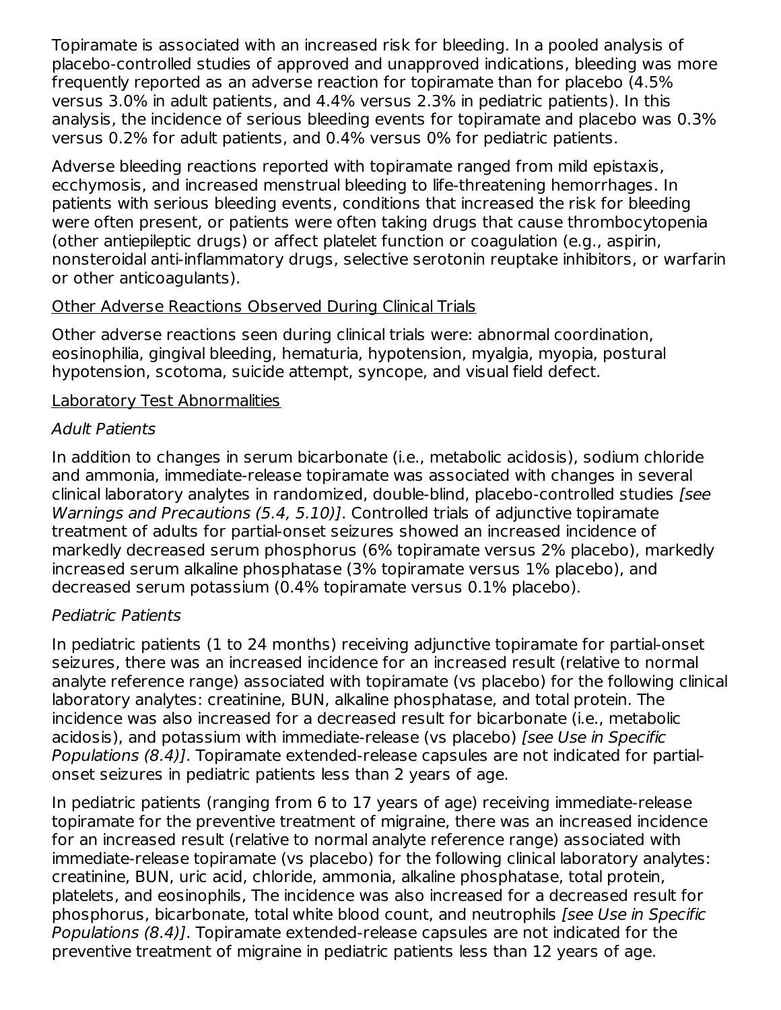Topiramate is associated with an increased risk for bleeding. In a pooled analysis of placebo-controlled studies of approved and unapproved indications, bleeding was more frequently reported as an adverse reaction for topiramate than for placebo (4.5% versus 3.0% in adult patients, and 4.4% versus 2.3% in pediatric patients). In this analysis, the incidence of serious bleeding events for topiramate and placebo was 0.3% versus 0.2% for adult patients, and 0.4% versus 0% for pediatric patients.

Adverse bleeding reactions reported with topiramate ranged from mild epistaxis, ecchymosis, and increased menstrual bleeding to life-threatening hemorrhages. In patients with serious bleeding events, conditions that increased the risk for bleeding were often present, or patients were often taking drugs that cause thrombocytopenia (other antiepileptic drugs) or affect platelet function or coagulation (e.g., aspirin, nonsteroidal anti-inflammatory drugs, selective serotonin reuptake inhibitors, or warfarin or other anticoagulants).

### Other Adverse Reactions Observed During Clinical Trials

Other adverse reactions seen during clinical trials were: abnormal coordination, eosinophilia, gingival bleeding, hematuria, hypotension, myalgia, myopia, postural hypotension, scotoma, suicide attempt, syncope, and visual field defect.

### Laboratory Test Abnormalities

### Adult Patients

In addition to changes in serum bicarbonate (i.e., metabolic acidosis), sodium chloride and ammonia, immediate-release topiramate was associated with changes in several clinical laboratory analytes in randomized, double-blind, placebo-controlled studies [see Warnings and Precautions (5.4, 5.10)]. Controlled trials of adjunctive topiramate treatment of adults for partial-onset seizures showed an increased incidence of markedly decreased serum phosphorus (6% topiramate versus 2% placebo), markedly increased serum alkaline phosphatase (3% topiramate versus 1% placebo), and decreased serum potassium (0.4% topiramate versus 0.1% placebo).

### Pediatric Patients

In pediatric patients (1 to 24 months) receiving adjunctive topiramate for partial-onset seizures, there was an increased incidence for an increased result (relative to normal analyte reference range) associated with topiramate (vs placebo) for the following clinical laboratory analytes: creatinine, BUN, alkaline phosphatase, and total protein. The incidence was also increased for a decreased result for bicarbonate (i.e., metabolic acidosis), and potassium with immediate-release (vs placebo) [see Use in Specific Populations (8.4)]. Topiramate extended-release capsules are not indicated for partialonset seizures in pediatric patients less than 2 years of age.

In pediatric patients (ranging from 6 to 17 years of age) receiving immediate-release topiramate for the preventive treatment of migraine, there was an increased incidence for an increased result (relative to normal analyte reference range) associated with immediate-release topiramate (vs placebo) for the following clinical laboratory analytes: creatinine, BUN, uric acid, chloride, ammonia, alkaline phosphatase, total protein, platelets, and eosinophils, The incidence was also increased for a decreased result for phosphorus, bicarbonate, total white blood count, and neutrophils [see Use in Specific Populations (8.4)]. Topiramate extended-release capsules are not indicated for the preventive treatment of migraine in pediatric patients less than 12 years of age.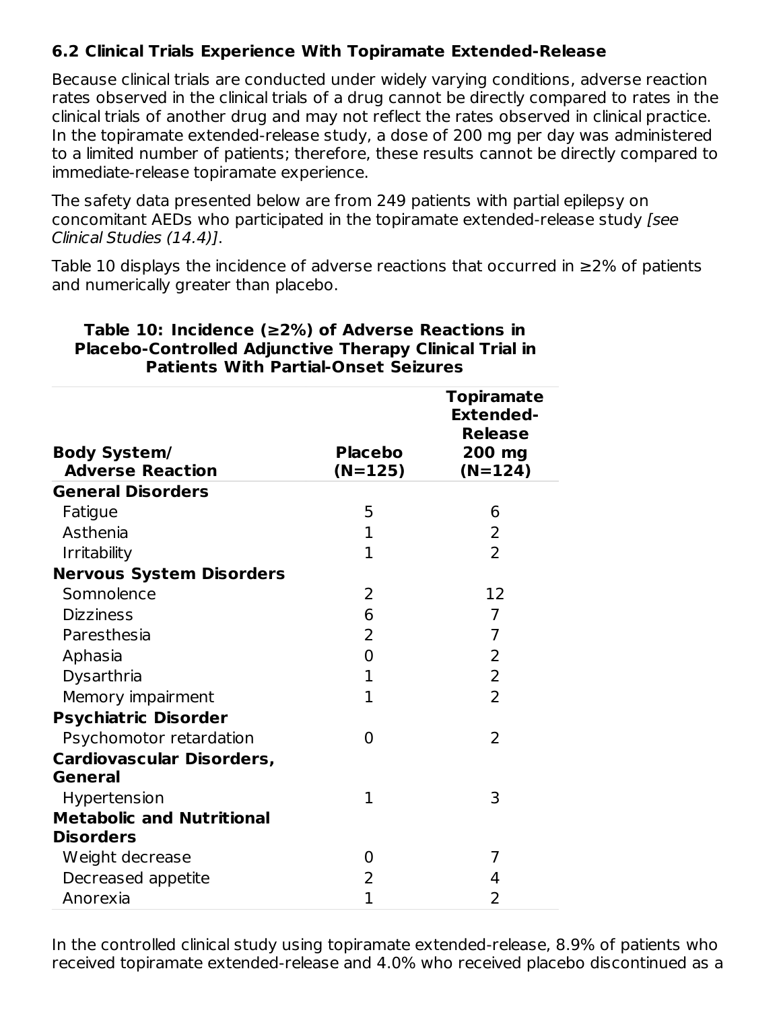# **6.2 Clinical Trials Experience With Topiramate Extended-Release**

Because clinical trials are conducted under widely varying conditions, adverse reaction rates observed in the clinical trials of a drug cannot be directly compared to rates in the clinical trials of another drug and may not reflect the rates observed in clinical practice. In the topiramate extended-release study, a dose of 200 mg per day was administered to a limited number of patients; therefore, these results cannot be directly compared to immediate-release topiramate experience.

The safety data presented below are from 249 patients with partial epilepsy on concomitant AEDs who participated in the topiramate extended-release study [see Clinical Studies (14.4)].

Table 10 displays the incidence of adverse reactions that occurred in ≥2% of patients and numerically greater than placebo.

| <b>Body System/</b><br><b>Adverse Reaction</b>     | <b>Placebo</b><br>$(N=125)$ | <b>Topiramate</b><br><b>Extended-</b><br><b>Release</b><br>200 mg<br>$(N=124)$ |
|----------------------------------------------------|-----------------------------|--------------------------------------------------------------------------------|
| <b>General Disorders</b>                           |                             |                                                                                |
| Fatigue                                            | 5                           | 6                                                                              |
| Asthenia                                           | $\mathbf{1}$                | $\overline{2}$                                                                 |
| <b>Irritability</b>                                | $\overline{1}$              | $\overline{2}$                                                                 |
| <b>Nervous System Disorders</b>                    |                             |                                                                                |
| Somnolence                                         | 2                           | 12                                                                             |
| <b>Dizziness</b>                                   | 6                           | $\overline{7}$                                                                 |
| Paresthesia                                        | 2                           | $\overline{7}$                                                                 |
| Aphasia                                            | $\overline{0}$              | $\overline{2}$                                                                 |
| Dysarthria                                         | $\mathbf{1}$                | $\overline{2}$                                                                 |
| Memory impairment                                  | $\mathbf{1}$                | $\overline{2}$                                                                 |
| <b>Psychiatric Disorder</b>                        |                             |                                                                                |
| Psychomotor retardation                            | 0                           | $\overline{2}$                                                                 |
| <b>Cardiovascular Disorders,</b><br><b>General</b> |                             |                                                                                |
| Hypertension                                       | 1                           | 3                                                                              |
| <b>Metabolic and Nutritional</b>                   |                             |                                                                                |
| <b>Disorders</b>                                   |                             |                                                                                |
| Weight decrease                                    | 0                           | 7                                                                              |
| Decreased appetite                                 | 2                           | 4                                                                              |
| Anorexia                                           | $\overline{1}$              | 2                                                                              |

#### **Table 10: Incidence (≥2%) of Adverse Reactions in Placebo-Controlled Adjunctive Therapy Clinical Trial in Patients With Partial-Onset Seizures**

In the controlled clinical study using topiramate extended-release, 8.9% of patients who received topiramate extended-release and 4.0% who received placebo discontinued as a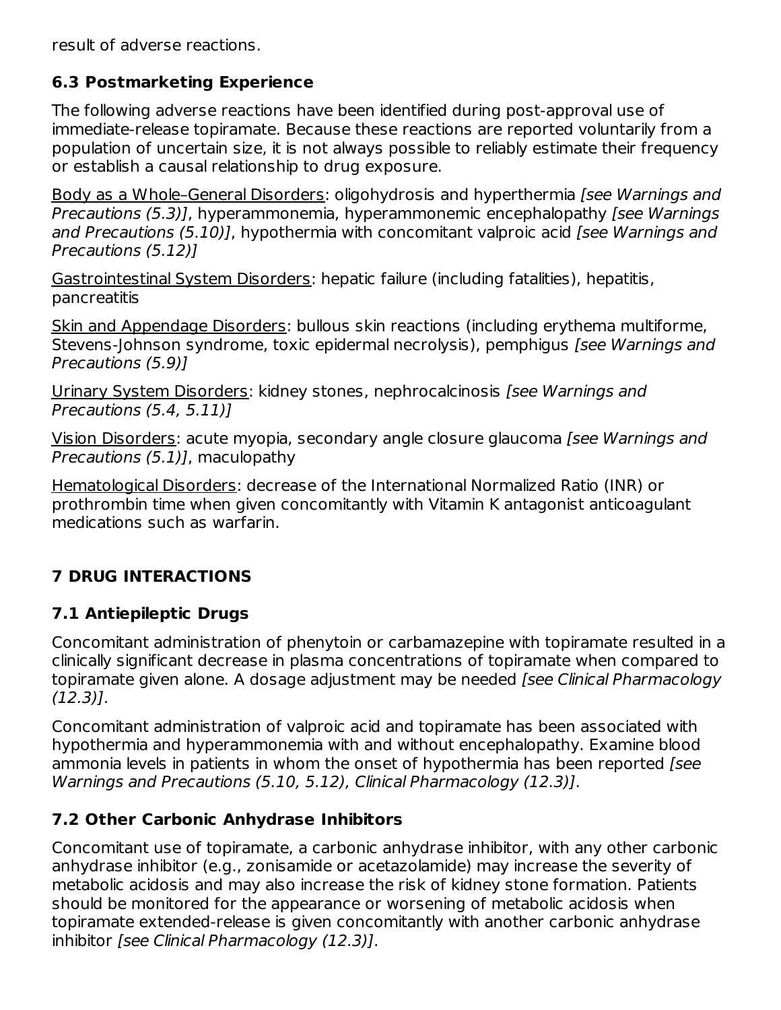result of adverse reactions.

# **6.3 Postmarketing Experience**

The following adverse reactions have been identified during post-approval use of immediate-release topiramate. Because these reactions are reported voluntarily from a population of uncertain size, it is not always possible to reliably estimate their frequency or establish a causal relationship to drug exposure.

Body as a Whole–General Disorders: oligohydrosis and hyperthermia [see Warnings and Precautions (5.3)], hyperammonemia, hyperammonemic encephalopathy [see Warnings and Precautions (5.10)], hypothermia with concomitant valproic acid [see Warnings and Precautions (5.12)]

Gastrointestinal System Disorders: hepatic failure (including fatalities), hepatitis, pancreatitis

Skin and Appendage Disorders: bullous skin reactions (including erythema multiforme, Stevens-Johnson syndrome, toxic epidermal necrolysis), pemphigus *[see Warnings and* Precautions (5.9)]

Urinary System Disorders: kidney stones, nephrocalcinosis [see Warnings and Precautions (5.4, 5.11)]

Vision Disorders: acute myopia, secondary angle closure glaucoma [see Warnings and Precautions (5.1)], maculopathy

Hematological Disorders: decrease of the International Normalized Ratio (INR) or prothrombin time when given concomitantly with Vitamin K antagonist anticoagulant medications such as warfarin.

# **7 DRUG INTERACTIONS**

# **7.1 Antiepileptic Drugs**

Concomitant administration of phenytoin or carbamazepine with topiramate resulted in a clinically significant decrease in plasma concentrations of topiramate when compared to topiramate given alone. A dosage adjustment may be needed [see Clinical Pharmacology (12.3)].

Concomitant administration of valproic acid and topiramate has been associated with hypothermia and hyperammonemia with and without encephalopathy. Examine blood ammonia levels in patients in whom the onset of hypothermia has been reported [see Warnings and Precautions (5.10, 5.12), Clinical Pharmacology (12.3)].

# **7.2 Other Carbonic Anhydrase Inhibitors**

Concomitant use of topiramate, a carbonic anhydrase inhibitor, with any other carbonic anhydrase inhibitor (e.g., zonisamide or acetazolamide) may increase the severity of metabolic acidosis and may also increase the risk of kidney stone formation. Patients should be monitored for the appearance or worsening of metabolic acidosis when topiramate extended-release is given concomitantly with another carbonic anhydrase inhibitor [see Clinical Pharmacology (12.3)].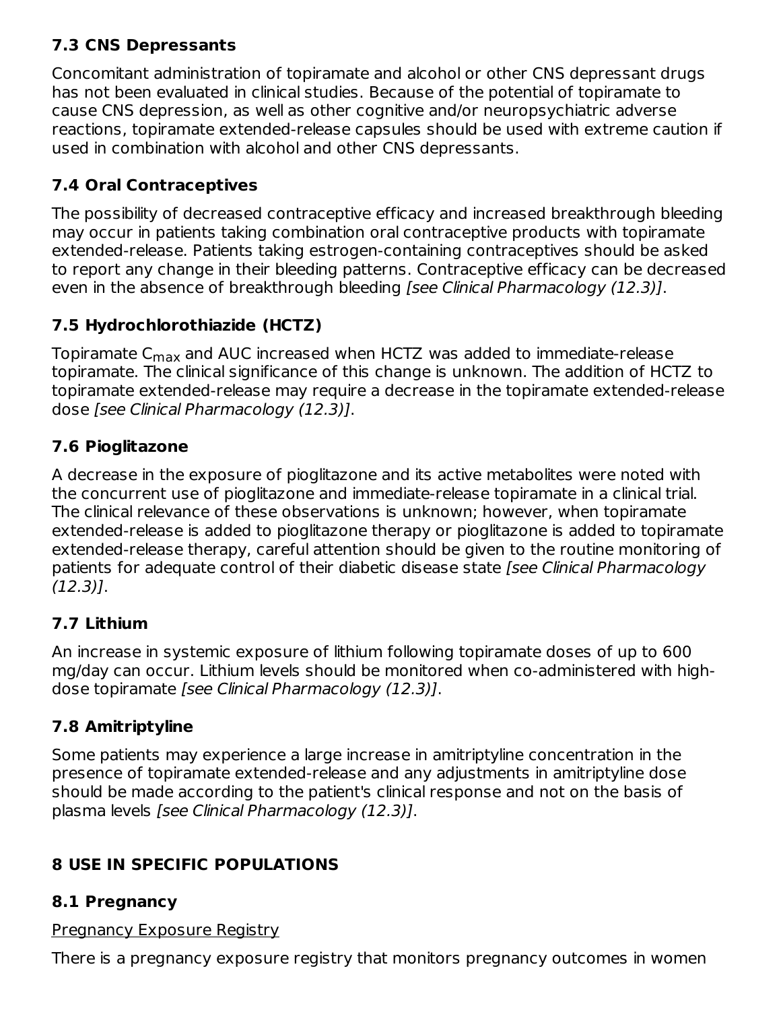# **7.3 CNS Depressants**

Concomitant administration of topiramate and alcohol or other CNS depressant drugs has not been evaluated in clinical studies. Because of the potential of topiramate to cause CNS depression, as well as other cognitive and/or neuropsychiatric adverse reactions, topiramate extended-release capsules should be used with extreme caution if used in combination with alcohol and other CNS depressants.

# **7.4 Oral Contraceptives**

The possibility of decreased contraceptive efficacy and increased breakthrough bleeding may occur in patients taking combination oral contraceptive products with topiramate extended-release. Patients taking estrogen-containing contraceptives should be asked to report any change in their bleeding patterns. Contraceptive efficacy can be decreased even in the absence of breakthrough bleeding [see Clinical Pharmacology (12.3)].

# **7.5 Hydrochlorothiazide (HCTZ)**

Topiramate C $_{\sf max}$  and AUC increased when HCTZ was added to immediate-release topiramate. The clinical significance of this change is unknown. The addition of HCTZ to topiramate extended-release may require a decrease in the topiramate extended-release dose [see Clinical Pharmacology (12.3)].

# **7.6 Pioglitazone**

A decrease in the exposure of pioglitazone and its active metabolites were noted with the concurrent use of pioglitazone and immediate-release topiramate in a clinical trial. The clinical relevance of these observations is unknown; however, when topiramate extended-release is added to pioglitazone therapy or pioglitazone is added to topiramate extended-release therapy, careful attention should be given to the routine monitoring of patients for adequate control of their diabetic disease state [see Clinical Pharmacology (12.3)].

# **7.7 Lithium**

An increase in systemic exposure of lithium following topiramate doses of up to 600 mg/day can occur. Lithium levels should be monitored when co-administered with highdose topiramate [see Clinical Pharmacology (12.3)].

# **7.8 Amitriptyline**

Some patients may experience a large increase in amitriptyline concentration in the presence of topiramate extended-release and any adjustments in amitriptyline dose should be made according to the patient's clinical response and not on the basis of plasma levels [see Clinical Pharmacology (12.3)].

# **8 USE IN SPECIFIC POPULATIONS**

# **8.1 Pregnancy**

# Pregnancy Exposure Registry

There is a pregnancy exposure registry that monitors pregnancy outcomes in women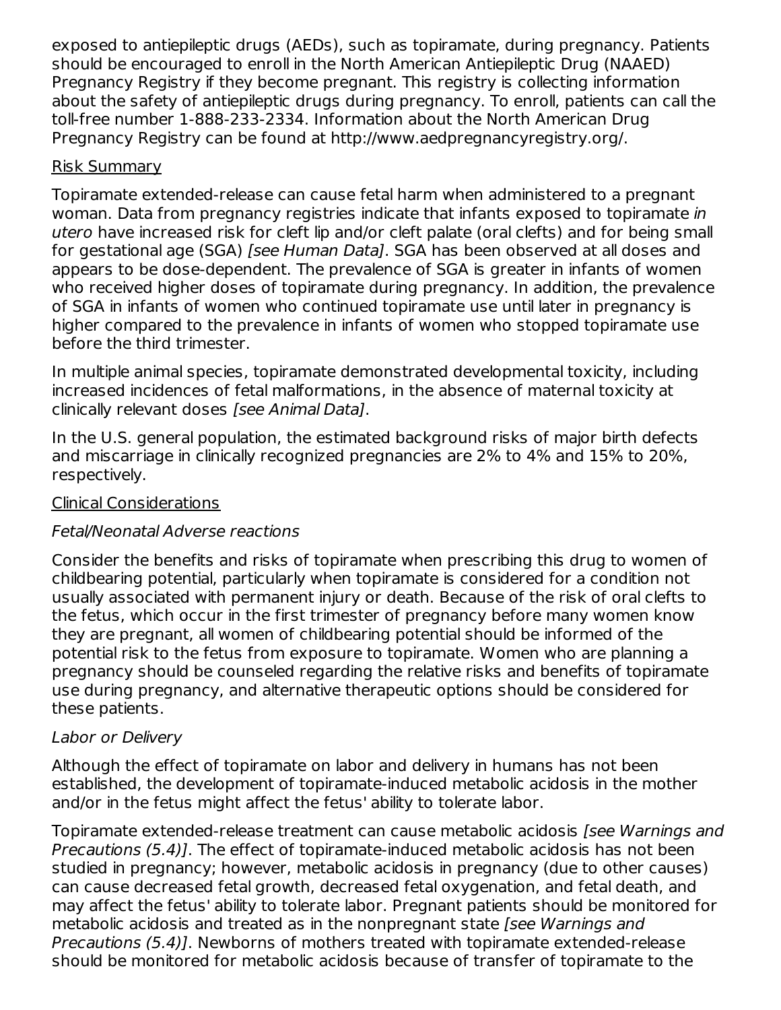exposed to antiepileptic drugs (AEDs), such as topiramate, during pregnancy. Patients should be encouraged to enroll in the North American Antiepileptic Drug (NAAED) Pregnancy Registry if they become pregnant. This registry is collecting information about the safety of antiepileptic drugs during pregnancy. To enroll, patients can call the toll-free number 1-888-233-2334. Information about the North American Drug Pregnancy Registry can be found at http://www.aedpregnancyregistry.org/.

#### Risk Summary

Topiramate extended-release can cause fetal harm when administered to a pregnant woman. Data from pregnancy registries indicate that infants exposed to topiramate in utero have increased risk for cleft lip and/or cleft palate (oral clefts) and for being small for gestational age (SGA) *[see Human Data]*. SGA has been observed at all doses and appears to be dose-dependent. The prevalence of SGA is greater in infants of women who received higher doses of topiramate during pregnancy. In addition, the prevalence of SGA in infants of women who continued topiramate use until later in pregnancy is higher compared to the prevalence in infants of women who stopped topiramate use before the third trimester.

In multiple animal species, topiramate demonstrated developmental toxicity, including increased incidences of fetal malformations, in the absence of maternal toxicity at clinically relevant doses [see Animal Data].

In the U.S. general population, the estimated background risks of major birth defects and miscarriage in clinically recognized pregnancies are 2% to 4% and 15% to 20%, respectively.

### Clinical Considerations

# Fetal/Neonatal Adverse reactions

Consider the benefits and risks of topiramate when prescribing this drug to women of childbearing potential, particularly when topiramate is considered for a condition not usually associated with permanent injury or death. Because of the risk of oral clefts to the fetus, which occur in the first trimester of pregnancy before many women know they are pregnant, all women of childbearing potential should be informed of the potential risk to the fetus from exposure to topiramate. Women who are planning a pregnancy should be counseled regarding the relative risks and benefits of topiramate use during pregnancy, and alternative therapeutic options should be considered for these patients.

### Labor or Delivery

Although the effect of topiramate on labor and delivery in humans has not been established, the development of topiramate-induced metabolic acidosis in the mother and/or in the fetus might affect the fetus' ability to tolerate labor.

Topiramate extended-release treatment can cause metabolic acidosis [see Warnings and Precautions (5.4)]. The effect of topiramate-induced metabolic acidosis has not been studied in pregnancy; however, metabolic acidosis in pregnancy (due to other causes) can cause decreased fetal growth, decreased fetal oxygenation, and fetal death, and may affect the fetus' ability to tolerate labor. Pregnant patients should be monitored for metabolic acidosis and treated as in the nonpregnant state (see Warnings and Precautions (5.4)]. Newborns of mothers treated with topiramate extended-release should be monitored for metabolic acidosis because of transfer of topiramate to the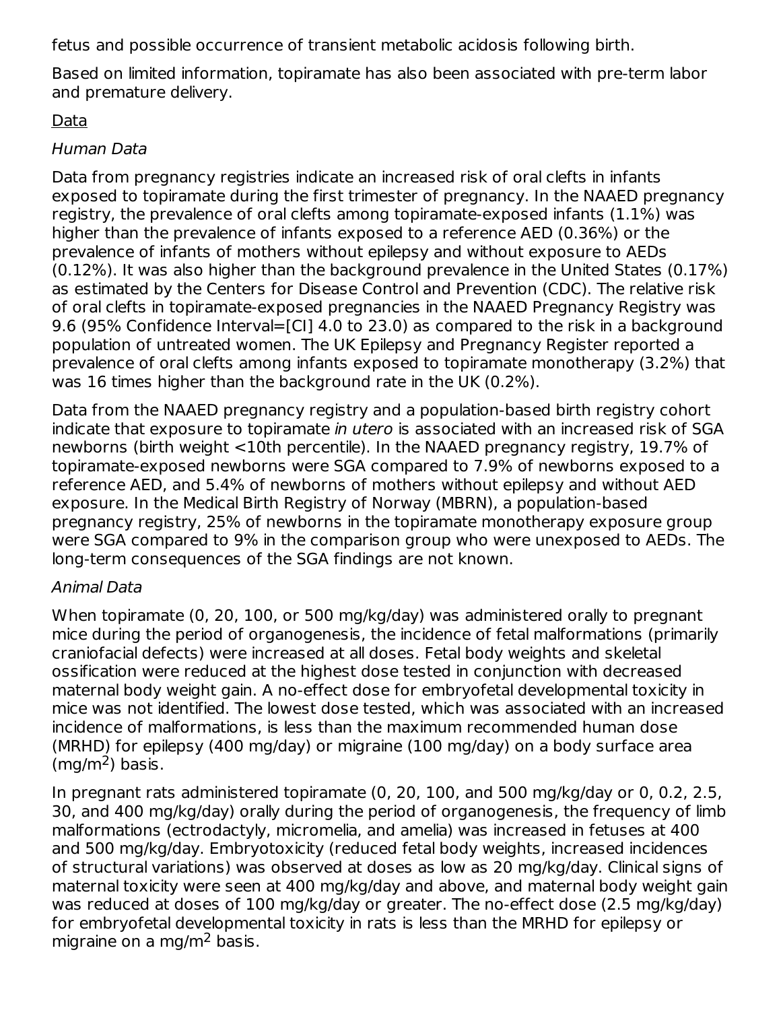fetus and possible occurrence of transient metabolic acidosis following birth.

Based on limited information, topiramate has also been associated with pre-term labor and premature delivery.

### Data

### Human Data

Data from pregnancy registries indicate an increased risk of oral clefts in infants exposed to topiramate during the first trimester of pregnancy. In the NAAED pregnancy registry, the prevalence of oral clefts among topiramate-exposed infants (1.1%) was higher than the prevalence of infants exposed to a reference AED (0.36%) or the prevalence of infants of mothers without epilepsy and without exposure to AEDs (0.12%). It was also higher than the background prevalence in the United States (0.17%) as estimated by the Centers for Disease Control and Prevention (CDC). The relative risk of oral clefts in topiramate-exposed pregnancies in the NAAED Pregnancy Registry was 9.6 (95% Confidence Interval=[CI] 4.0 to 23.0) as compared to the risk in a background population of untreated women. The UK Epilepsy and Pregnancy Register reported a prevalence of oral clefts among infants exposed to topiramate monotherapy (3.2%) that was 16 times higher than the background rate in the UK (0.2%).

Data from the NAAED pregnancy registry and a population-based birth registry cohort indicate that exposure to topiramate in utero is associated with an increased risk of SGA newborns (birth weight <10th percentile). In the NAAED pregnancy registry, 19.7% of topiramate-exposed newborns were SGA compared to 7.9% of newborns exposed to a reference AED, and 5.4% of newborns of mothers without epilepsy and without AED exposure. In the Medical Birth Registry of Norway (MBRN), a population-based pregnancy registry, 25% of newborns in the topiramate monotherapy exposure group were SGA compared to 9% in the comparison group who were unexposed to AEDs. The long-term consequences of the SGA findings are not known.

### Animal Data

When topiramate (0, 20, 100, or 500 mg/kg/day) was administered orally to pregnant mice during the period of organogenesis, the incidence of fetal malformations (primarily craniofacial defects) were increased at all doses. Fetal body weights and skeletal ossification were reduced at the highest dose tested in conjunction with decreased maternal body weight gain. A no-effect dose for embryofetal developmental toxicity in mice was not identified. The lowest dose tested, which was associated with an increased incidence of malformations, is less than the maximum recommended human dose (MRHD) for epilepsy (400 mg/day) or migraine (100 mg/day) on a body surface area  $(mg/m<sup>2</sup>)$  basis.

In pregnant rats administered topiramate (0, 20, 100, and 500 mg/kg/day or 0, 0.2, 2.5, 30, and 400 mg/kg/day) orally during the period of organogenesis, the frequency of limb malformations (ectrodactyly, micromelia, and amelia) was increased in fetuses at 400 and 500 mg/kg/day. Embryotoxicity (reduced fetal body weights, increased incidences of structural variations) was observed at doses as low as 20 mg/kg/day. Clinical signs of maternal toxicity were seen at 400 mg/kg/day and above, and maternal body weight gain was reduced at doses of 100 mg/kg/day or greater. The no-effect dose (2.5 mg/kg/day) for embryofetal developmental toxicity in rats is less than the MRHD for epilepsy or migraine on a mg/m<sup>2</sup> basis.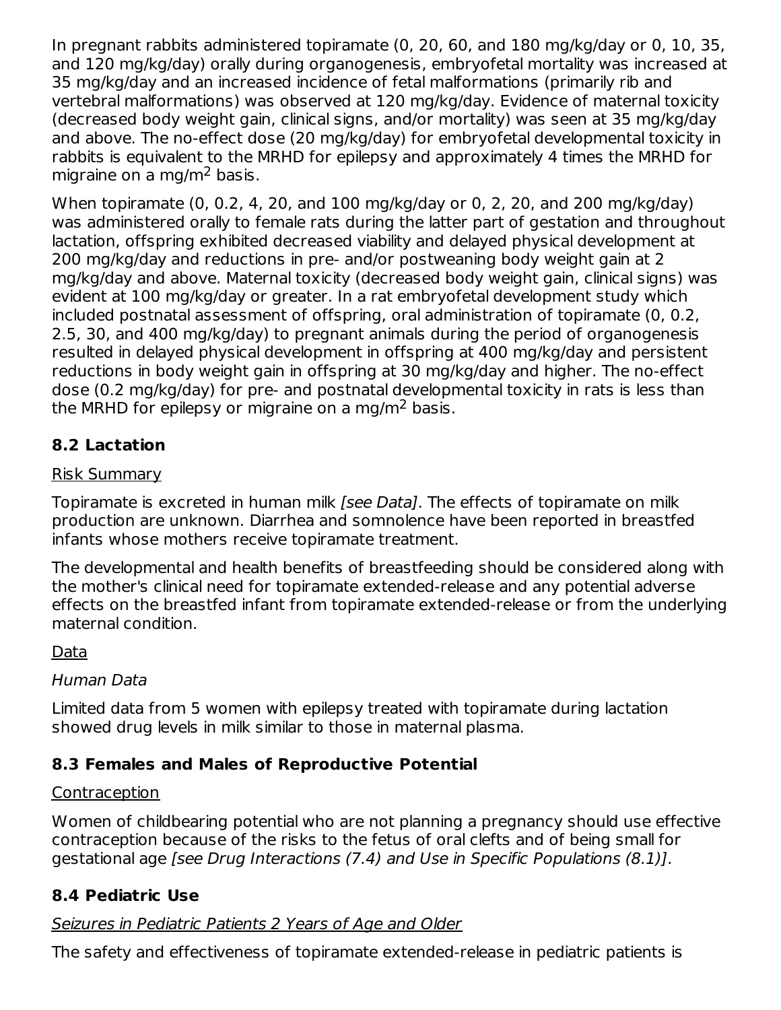In pregnant rabbits administered topiramate (0, 20, 60, and 180 mg/kg/day or 0, 10, 35, and 120 mg/kg/day) orally during organogenesis, embryofetal mortality was increased at 35 mg/kg/day and an increased incidence of fetal malformations (primarily rib and vertebral malformations) was observed at 120 mg/kg/day. Evidence of maternal toxicity (decreased body weight gain, clinical signs, and/or mortality) was seen at 35 mg/kg/day and above. The no-effect dose (20 mg/kg/day) for embryofetal developmental toxicity in rabbits is equivalent to the MRHD for epilepsy and approximately 4 times the MRHD for migraine on a mg/m<sup>2</sup> basis.

When topiramate (0, 0.2, 4, 20, and 100 mg/kg/day or 0, 2, 20, and 200 mg/kg/day) was administered orally to female rats during the latter part of gestation and throughout lactation, offspring exhibited decreased viability and delayed physical development at 200 mg/kg/day and reductions in pre- and/or postweaning body weight gain at 2 mg/kg/day and above. Maternal toxicity (decreased body weight gain, clinical signs) was evident at 100 mg/kg/day or greater. In a rat embryofetal development study which included postnatal assessment of offspring, oral administration of topiramate (0, 0.2, 2.5, 30, and 400 mg/kg/day) to pregnant animals during the period of organogenesis resulted in delayed physical development in offspring at 400 mg/kg/day and persistent reductions in body weight gain in offspring at 30 mg/kg/day and higher. The no-effect dose (0.2 mg/kg/day) for pre- and postnatal developmental toxicity in rats is less than the MRHD for epilepsy or migraine on a mg/m $^2$  basis.

# **8.2 Lactation**

### Risk Summary

Topiramate is excreted in human milk *[see Data]*. The effects of topiramate on milk production are unknown. Diarrhea and somnolence have been reported in breastfed infants whose mothers receive topiramate treatment.

The developmental and health benefits of breastfeeding should be considered along with the mother's clinical need for topiramate extended-release and any potential adverse effects on the breastfed infant from topiramate extended-release or from the underlying maternal condition.

Data

### Human Data

Limited data from 5 women with epilepsy treated with topiramate during lactation showed drug levels in milk similar to those in maternal plasma.

# **8.3 Females and Males of Reproductive Potential**

### Contraception

Women of childbearing potential who are not planning a pregnancy should use effective contraception because of the risks to the fetus of oral clefts and of being small for gestational age [see Drug Interactions (7.4) and Use in Specific Populations (8.1)].

# **8.4 Pediatric Use**

# Seizures in Pediatric Patients 2 Years of Age and Older

The safety and effectiveness of topiramate extended-release in pediatric patients is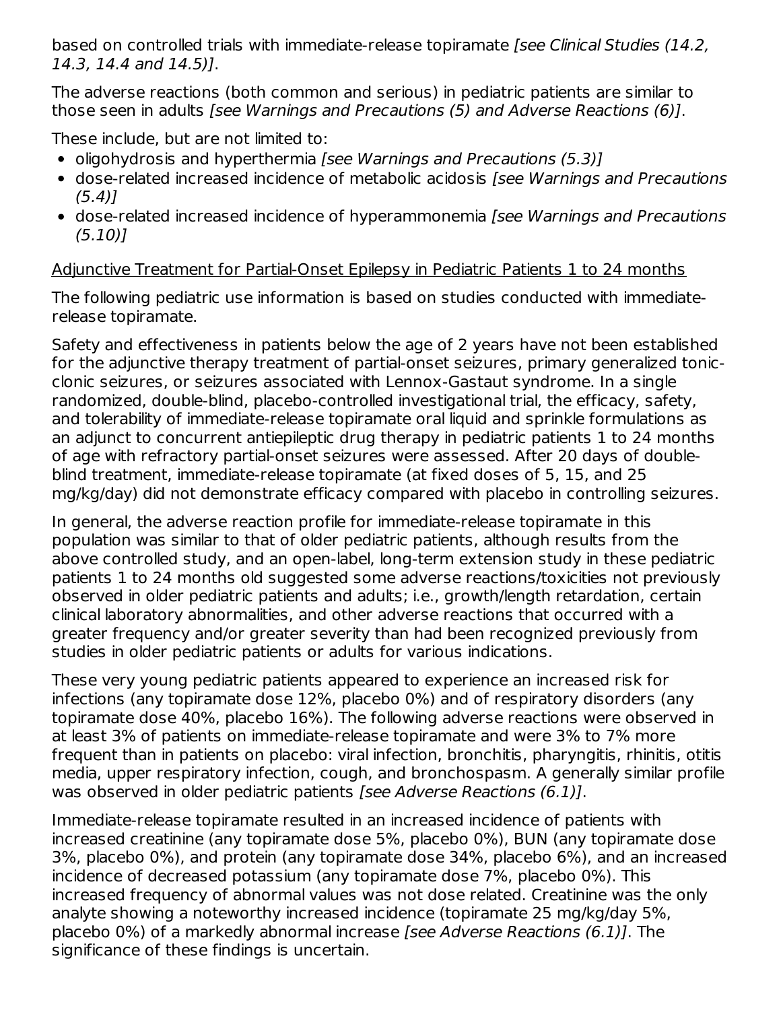based on controlled trials with immediate-release topiramate [see Clinical Studies (14.2, 14.3, 14.4 and 14.5)].

The adverse reactions (both common and serious) in pediatric patients are similar to those seen in adults [see Warnings and Precautions (5) and Adverse Reactions (6)].

These include, but are not limited to:

- oligohydrosis and hyperthermia *[see Warnings and Precautions (5.3)]*
- dose-related increased incidence of metabolic acidosis [see Warnings and Precautions  $(5.4)$ ]
- dose-related increased incidence of hyperammonemia [see Warnings and Precautions (5.10)]

# Adjunctive Treatment for Partial-Onset Epilepsy in Pediatric Patients 1 to 24 months

The following pediatric use information is based on studies conducted with immediaterelease topiramate.

Safety and effectiveness in patients below the age of 2 years have not been established for the adjunctive therapy treatment of partial-onset seizures, primary generalized tonicclonic seizures, or seizures associated with Lennox-Gastaut syndrome. In a single randomized, double-blind, placebo-controlled investigational trial, the efficacy, safety, and tolerability of immediate-release topiramate oral liquid and sprinkle formulations as an adjunct to concurrent antiepileptic drug therapy in pediatric patients 1 to 24 months of age with refractory partial-onset seizures were assessed. After 20 days of doubleblind treatment, immediate-release topiramate (at fixed doses of 5, 15, and 25 mg/kg/day) did not demonstrate efficacy compared with placebo in controlling seizures.

In general, the adverse reaction profile for immediate-release topiramate in this population was similar to that of older pediatric patients, although results from the above controlled study, and an open-label, long-term extension study in these pediatric patients 1 to 24 months old suggested some adverse reactions/toxicities not previously observed in older pediatric patients and adults; i.e., growth/length retardation, certain clinical laboratory abnormalities, and other adverse reactions that occurred with a greater frequency and/or greater severity than had been recognized previously from studies in older pediatric patients or adults for various indications.

These very young pediatric patients appeared to experience an increased risk for infections (any topiramate dose 12%, placebo 0%) and of respiratory disorders (any topiramate dose 40%, placebo 16%). The following adverse reactions were observed in at least 3% of patients on immediate-release topiramate and were 3% to 7% more frequent than in patients on placebo: viral infection, bronchitis, pharyngitis, rhinitis, otitis media, upper respiratory infection, cough, and bronchospasm. A generally similar profile was observed in older pediatric patients [see Adverse Reactions (6.1)].

Immediate-release topiramate resulted in an increased incidence of patients with increased creatinine (any topiramate dose 5%, placebo 0%), BUN (any topiramate dose 3%, placebo 0%), and protein (any topiramate dose 34%, placebo 6%), and an increased incidence of decreased potassium (any topiramate dose 7%, placebo 0%). This increased frequency of abnormal values was not dose related. Creatinine was the only analyte showing a noteworthy increased incidence (topiramate 25 mg/kg/day 5%, placebo 0%) of a markedly abnormal increase [see Adverse Reactions (6.1)]. The significance of these findings is uncertain.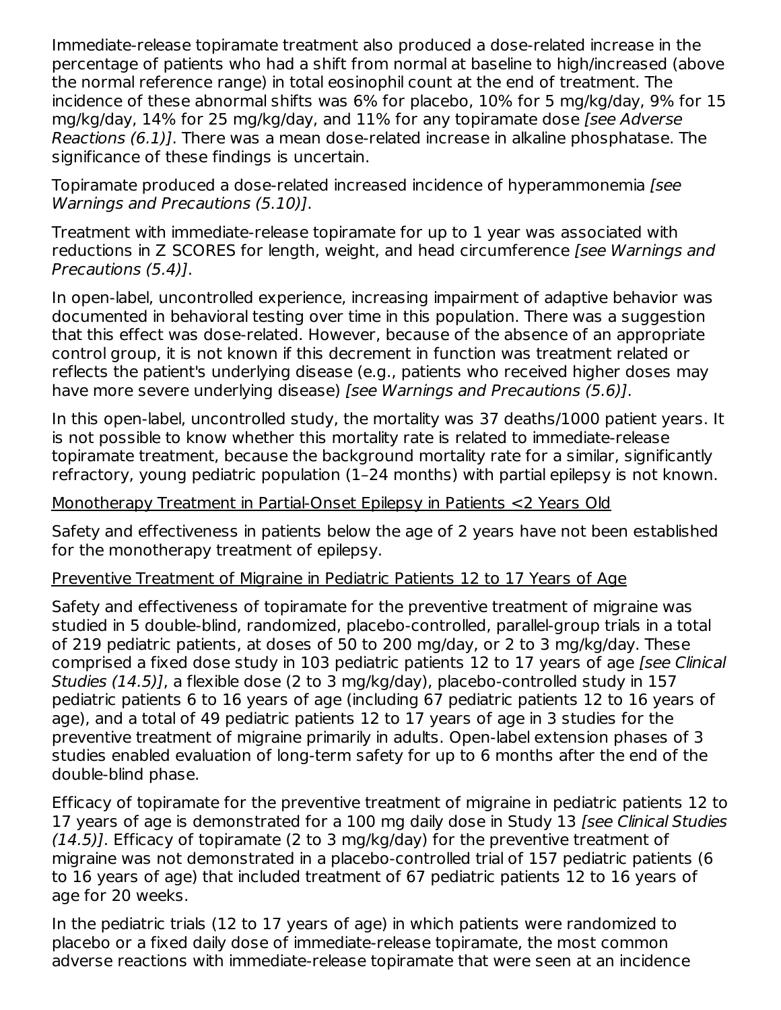Immediate-release topiramate treatment also produced a dose-related increase in the percentage of patients who had a shift from normal at baseline to high/increased (above the normal reference range) in total eosinophil count at the end of treatment. The incidence of these abnormal shifts was 6% for placebo, 10% for 5 mg/kg/day, 9% for 15 mg/kg/day, 14% for 25 mg/kg/day, and 11% for any topiramate dose [see Adverse Reactions (6.1)]. There was a mean dose-related increase in alkaline phosphatase. The significance of these findings is uncertain.

Topiramate produced a dose-related increased incidence of hyperammonemia [see Warnings and Precautions (5.10)].

Treatment with immediate-release topiramate for up to 1 year was associated with reductions in Z SCORES for length, weight, and head circumference [see Warnings and Precautions (5.4)].

In open-label, uncontrolled experience, increasing impairment of adaptive behavior was documented in behavioral testing over time in this population. There was a suggestion that this effect was dose-related. However, because of the absence of an appropriate control group, it is not known if this decrement in function was treatment related or reflects the patient's underlying disease (e.g., patients who received higher doses may have more severe underlying disease) [see Warnings and Precautions (5.6)].

In this open-label, uncontrolled study, the mortality was 37 deaths/1000 patient years. It is not possible to know whether this mortality rate is related to immediate-release topiramate treatment, because the background mortality rate for a similar, significantly refractory, young pediatric population (1–24 months) with partial epilepsy is not known.

#### Monotherapy Treatment in Partial-Onset Epilepsy in Patients <2 Years Old

Safety and effectiveness in patients below the age of 2 years have not been established for the monotherapy treatment of epilepsy.

### Preventive Treatment of Migraine in Pediatric Patients 12 to 17 Years of Age

Safety and effectiveness of topiramate for the preventive treatment of migraine was studied in 5 double-blind, randomized, placebo-controlled, parallel-group trials in a total of 219 pediatric patients, at doses of 50 to 200 mg/day, or 2 to 3 mg/kg/day. These comprised a fixed dose study in 103 pediatric patients 12 to 17 years of age [see Clinical Studies (14.5)], a flexible dose (2 to 3 mg/kg/day), placebo-controlled study in 157 pediatric patients 6 to 16 years of age (including 67 pediatric patients 12 to 16 years of age), and a total of 49 pediatric patients 12 to 17 years of age in 3 studies for the preventive treatment of migraine primarily in adults. Open-label extension phases of 3 studies enabled evaluation of long-term safety for up to 6 months after the end of the double-blind phase.

Efficacy of topiramate for the preventive treatment of migraine in pediatric patients 12 to 17 years of age is demonstrated for a 100 mg daily dose in Study 13 [see Clinical Studies  $(14.5)$ ]. Efficacy of topiramate (2 to 3 mg/kg/day) for the preventive treatment of migraine was not demonstrated in a placebo-controlled trial of 157 pediatric patients (6 to 16 years of age) that included treatment of 67 pediatric patients 12 to 16 years of age for 20 weeks.

In the pediatric trials (12 to 17 years of age) in which patients were randomized to placebo or a fixed daily dose of immediate-release topiramate, the most common adverse reactions with immediate-release topiramate that were seen at an incidence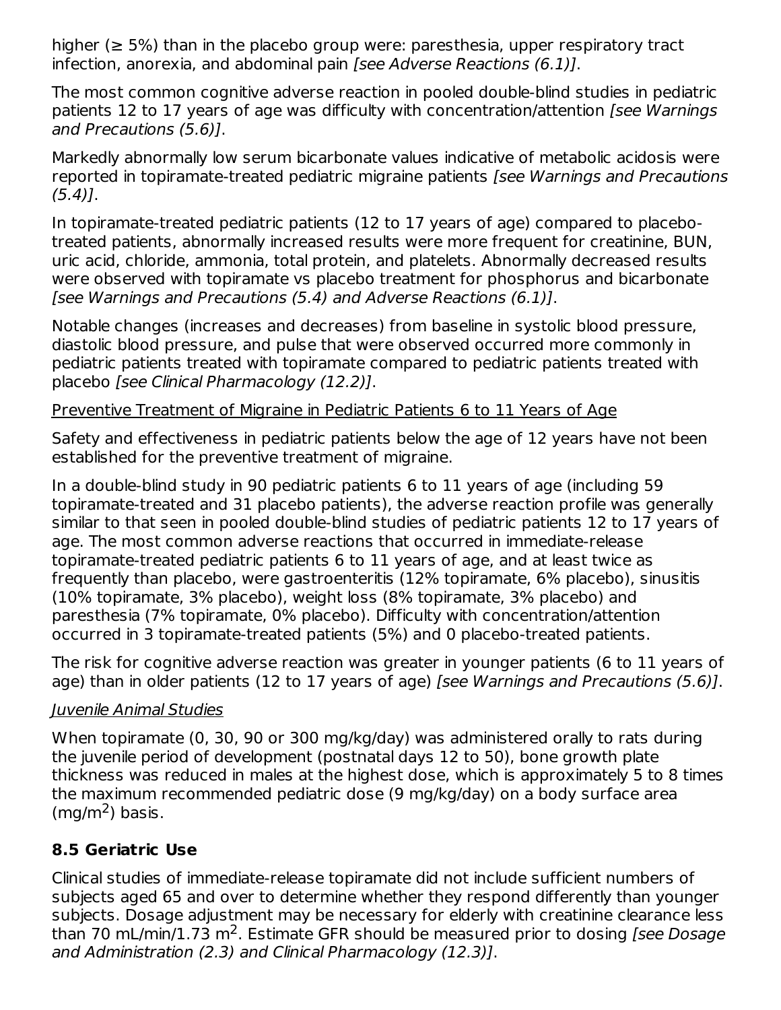higher ( $\geq$  5%) than in the placebo group were: paresthesia, upper respiratory tract infection, anorexia, and abdominal pain [see Adverse Reactions (6.1)].

The most common cognitive adverse reaction in pooled double-blind studies in pediatric patients 12 to 17 years of age was difficulty with concentration/attention [see Warnings and Precautions (5.6)].

Markedly abnormally low serum bicarbonate values indicative of metabolic acidosis were reported in topiramate-treated pediatric migraine patients [see Warnings and Precautions  $(5.4)$ ].

In topiramate-treated pediatric patients (12 to 17 years of age) compared to placebotreated patients, abnormally increased results were more frequent for creatinine, BUN, uric acid, chloride, ammonia, total protein, and platelets. Abnormally decreased results were observed with topiramate vs placebo treatment for phosphorus and bicarbonate [see Warnings and Precautions (5.4) and Adverse Reactions (6.1)].

Notable changes (increases and decreases) from baseline in systolic blood pressure, diastolic blood pressure, and pulse that were observed occurred more commonly in pediatric patients treated with topiramate compared to pediatric patients treated with placebo [see Clinical Pharmacology (12.2)].

### Preventive Treatment of Migraine in Pediatric Patients 6 to 11 Years of Age

Safety and effectiveness in pediatric patients below the age of 12 years have not been established for the preventive treatment of migraine.

In a double-blind study in 90 pediatric patients 6 to 11 years of age (including 59 topiramate-treated and 31 placebo patients), the adverse reaction profile was generally similar to that seen in pooled double-blind studies of pediatric patients 12 to 17 years of age. The most common adverse reactions that occurred in immediate-release topiramate-treated pediatric patients 6 to 11 years of age, and at least twice as frequently than placebo, were gastroenteritis (12% topiramate, 6% placebo), sinusitis (10% topiramate, 3% placebo), weight loss (8% topiramate, 3% placebo) and paresthesia (7% topiramate, 0% placebo). Difficulty with concentration/attention occurred in 3 topiramate-treated patients (5%) and 0 placebo-treated patients.

The risk for cognitive adverse reaction was greater in younger patients (6 to 11 years of age) than in older patients (12 to 17 years of age) [see Warnings and Precautions (5.6)].

# Juvenile Animal Studies

When topiramate (0, 30, 90 or 300 mg/kg/day) was administered orally to rats during the juvenile period of development (postnatal days 12 to 50), bone growth plate thickness was reduced in males at the highest dose, which is approximately 5 to 8 times the maximum recommended pediatric dose (9 mg/kg/day) on a body surface area  $(mg/m<sup>2</sup>)$  basis.

# **8.5 Geriatric Use**

Clinical studies of immediate-release topiramate did not include sufficient numbers of subjects aged 65 and over to determine whether they respond differently than younger subjects. Dosage adjustment may be necessary for elderly with creatinine clearance less than 70 mL/min/1.73 m<sup>2</sup>. Estimate GFR should be measured prior to dosing *[see Dosage* and Administration (2.3) and Clinical Pharmacology (12.3)].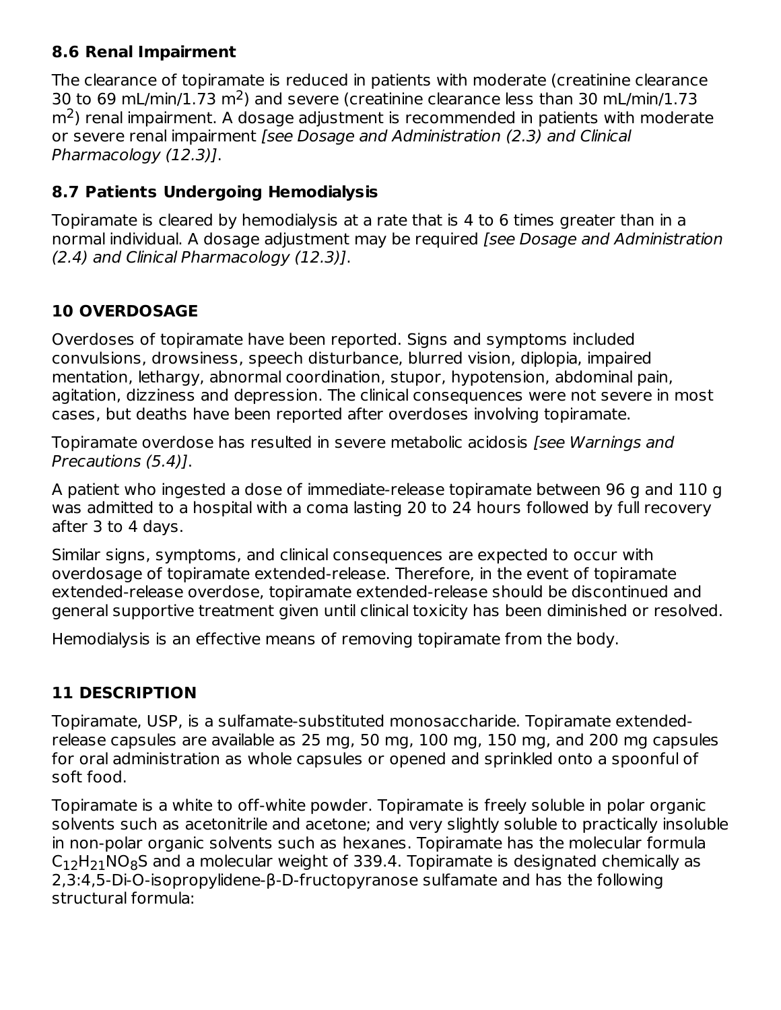### **8.6 Renal Impairment**

The clearance of topiramate is reduced in patients with moderate (creatinine clearance 30 to 69 mL/min/1.73  $m<sup>2</sup>$ ) and severe (creatinine clearance less than 30 mL/min/1.73  $\text{m}^2$ ) renal impairment. A dosage adjustment is recommended in patients with moderate or severe renal impairment [see Dosage and Administration (2.3) and Clinical Pharmacology (12.3)].

# **8.7 Patients Undergoing Hemodialysis**

Topiramate is cleared by hemodialysis at a rate that is 4 to 6 times greater than in a normal individual. A dosage adjustment may be required [see Dosage and Administration (2.4) and Clinical Pharmacology (12.3)].

# **10 OVERDOSAGE**

Overdoses of topiramate have been reported. Signs and symptoms included convulsions, drowsiness, speech disturbance, blurred vision, diplopia, impaired mentation, lethargy, abnormal coordination, stupor, hypotension, abdominal pain, agitation, dizziness and depression. The clinical consequences were not severe in most cases, but deaths have been reported after overdoses involving topiramate.

Topiramate overdose has resulted in severe metabolic acidosis [see Warnings and Precautions (5.4)].

A patient who ingested a dose of immediate-release topiramate between 96 g and 110 g was admitted to a hospital with a coma lasting 20 to 24 hours followed by full recovery after 3 to 4 days.

Similar signs, symptoms, and clinical consequences are expected to occur with overdosage of topiramate extended-release. Therefore, in the event of topiramate extended-release overdose, topiramate extended-release should be discontinued and general supportive treatment given until clinical toxicity has been diminished or resolved.

Hemodialysis is an effective means of removing topiramate from the body.

# **11 DESCRIPTION**

Topiramate, USP, is a sulfamate-substituted monosaccharide. Topiramate extendedrelease capsules are available as 25 mg, 50 mg, 100 mg, 150 mg, and 200 mg capsules for oral administration as whole capsules or opened and sprinkled onto a spoonful of soft food.

Topiramate is a white to off-white powder. Topiramate is freely soluble in polar organic solvents such as acetonitrile and acetone; and very slightly soluble to practically insoluble in non-polar organic solvents such as hexanes. Topiramate has the molecular formula  $\mathsf{C}_{12}\mathsf{H}_{21}\mathsf{NO}_{8}\mathsf{S}$  and a molecular weight of 339.4. Topiramate is designated chemically as 2,3:4,5-Di-O-isopropylidene-β-D-fructopyranose sulfamate and has the following structural formula: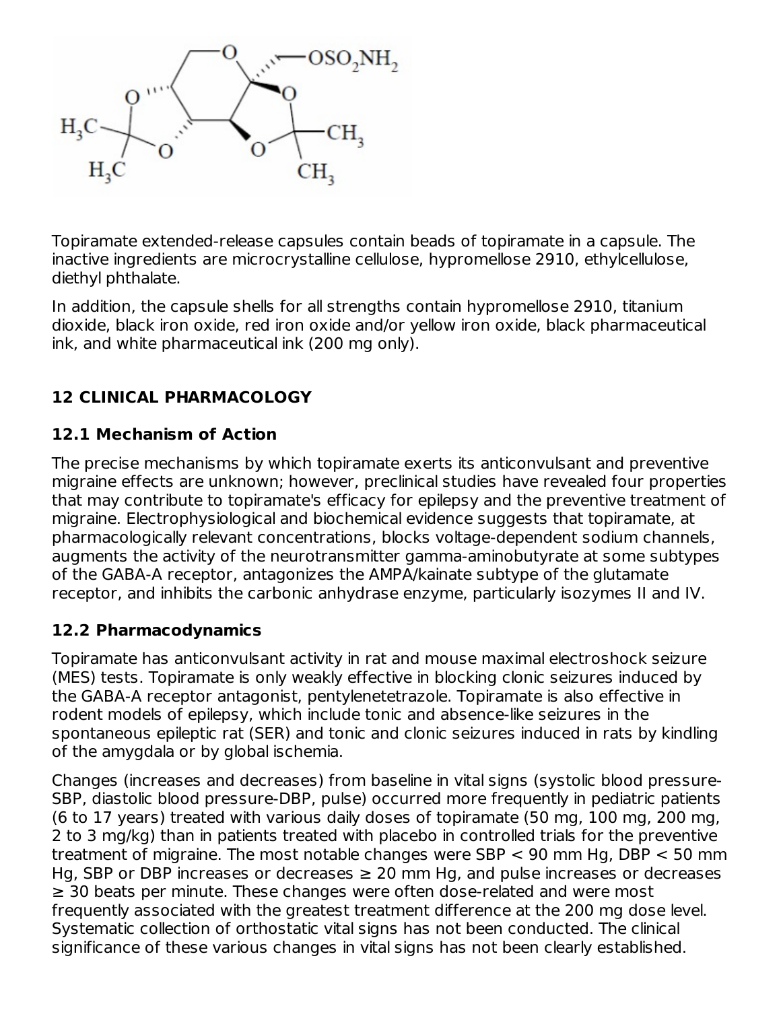

Topiramate extended-release capsules contain beads of topiramate in a capsule. The inactive ingredients are microcrystalline cellulose, hypromellose 2910, ethylcellulose, diethyl phthalate.

In addition, the capsule shells for all strengths contain hypromellose 2910, titanium dioxide, black iron oxide, red iron oxide and/or yellow iron oxide, black pharmaceutical ink, and white pharmaceutical ink (200 mg only).

# **12 CLINICAL PHARMACOLOGY**

# **12.1 Mechanism of Action**

The precise mechanisms by which topiramate exerts its anticonvulsant and preventive migraine effects are unknown; however, preclinical studies have revealed four properties that may contribute to topiramate's efficacy for epilepsy and the preventive treatment of migraine. Electrophysiological and biochemical evidence suggests that topiramate, at pharmacologically relevant concentrations, blocks voltage-dependent sodium channels, augments the activity of the neurotransmitter gamma-aminobutyrate at some subtypes of the GABA-A receptor, antagonizes the AMPA/kainate subtype of the glutamate receptor, and inhibits the carbonic anhydrase enzyme, particularly isozymes II and IV.

# **12.2 Pharmacodynamics**

Topiramate has anticonvulsant activity in rat and mouse maximal electroshock seizure (MES) tests. Topiramate is only weakly effective in blocking clonic seizures induced by the GABA-A receptor antagonist, pentylenetetrazole. Topiramate is also effective in rodent models of epilepsy, which include tonic and absence-like seizures in the spontaneous epileptic rat (SER) and tonic and clonic seizures induced in rats by kindling of the amygdala or by global ischemia.

Changes (increases and decreases) from baseline in vital signs (systolic blood pressure-SBP, diastolic blood pressure-DBP, pulse) occurred more frequently in pediatric patients (6 to 17 years) treated with various daily doses of topiramate (50 mg, 100 mg, 200 mg, 2 to 3 mg/kg) than in patients treated with placebo in controlled trials for the preventive treatment of migraine. The most notable changes were SBP < 90 mm Hg, DBP < 50 mm Hg, SBP or DBP increases or decreases  $\geq$  20 mm Hg, and pulse increases or decreases ≥ 30 beats per minute. These changes were often dose-related and were most frequently associated with the greatest treatment difference at the 200 mg dose level. Systematic collection of orthostatic vital signs has not been conducted. The clinical significance of these various changes in vital signs has not been clearly established.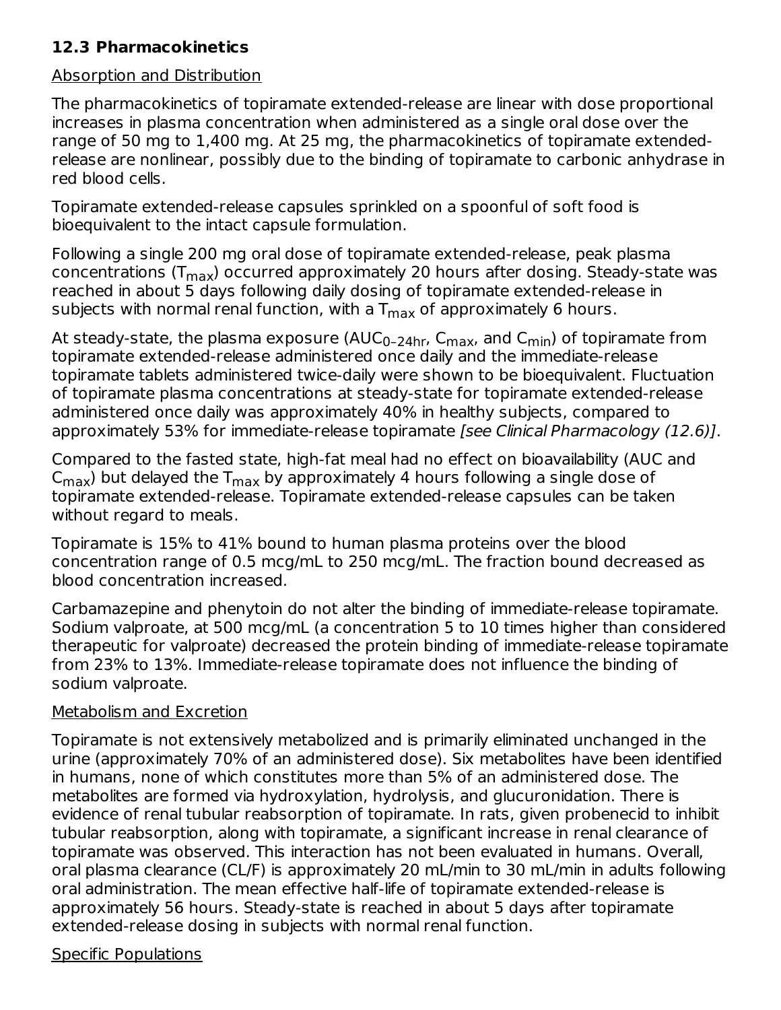# **12.3 Pharmacokinetics**

#### Absorption and Distribution

The pharmacokinetics of topiramate extended-release are linear with dose proportional increases in plasma concentration when administered as a single oral dose over the range of 50 mg to 1,400 mg. At 25 mg, the pharmacokinetics of topiramate extendedrelease are nonlinear, possibly due to the binding of topiramate to carbonic anhydrase in red blood cells.

Topiramate extended-release capsules sprinkled on a spoonful of soft food is bioequivalent to the intact capsule formulation.

Following a single 200 mg oral dose of topiramate extended-release, peak plasma concentrations (T<sub>max</sub>) occurred approximately 20 hours after dosing. Steady-state was reached in about 5 days following daily dosing of topiramate extended-release in subjects with normal renal function, with a  $\mathsf{T}_{\mathsf{max}}$  of approximately 6 hours.

At steady-state, the plasma exposure (AUC<sub>0–24hr</sub>, C<sub>max</sub>, and C<sub>min</sub>) of topiramate from topiramate extended-release administered once daily and the immediate-release topiramate tablets administered twice-daily were shown to be bioequivalent. Fluctuation of topiramate plasma concentrations at steady-state for topiramate extended-release administered once daily was approximately 40% in healthy subjects, compared to approximately 53% for immediate-release topiramate [see Clinical Pharmacology (12.6)].

Compared to the fasted state, high-fat meal had no effect on bioavailability (AUC and  $\mathsf{C}_{\mathsf{max}}$ ) but delayed the  $\mathsf{T}_{\mathsf{max}}$  by approximately 4 hours following a single dose of topiramate extended-release. Topiramate extended-release capsules can be taken without regard to meals.

Topiramate is 15% to 41% bound to human plasma proteins over the blood concentration range of 0.5 mcg/mL to 250 mcg/mL. The fraction bound decreased as blood concentration increased.

Carbamazepine and phenytoin do not alter the binding of immediate-release topiramate. Sodium valproate, at 500 mcg/mL (a concentration 5 to 10 times higher than considered therapeutic for valproate) decreased the protein binding of immediate-release topiramate from 23% to 13%. Immediate-release topiramate does not influence the binding of sodium valproate.

### Metabolism and Excretion

Topiramate is not extensively metabolized and is primarily eliminated unchanged in the urine (approximately 70% of an administered dose). Six metabolites have been identified in humans, none of which constitutes more than 5% of an administered dose. The metabolites are formed via hydroxylation, hydrolysis, and glucuronidation. There is evidence of renal tubular reabsorption of topiramate. In rats, given probenecid to inhibit tubular reabsorption, along with topiramate, a significant increase in renal clearance of topiramate was observed. This interaction has not been evaluated in humans. Overall, oral plasma clearance (CL/F) is approximately 20 mL/min to 30 mL/min in adults following oral administration. The mean effective half-life of topiramate extended-release is approximately 56 hours. Steady-state is reached in about 5 days after topiramate extended-release dosing in subjects with normal renal function.

### Specific Populations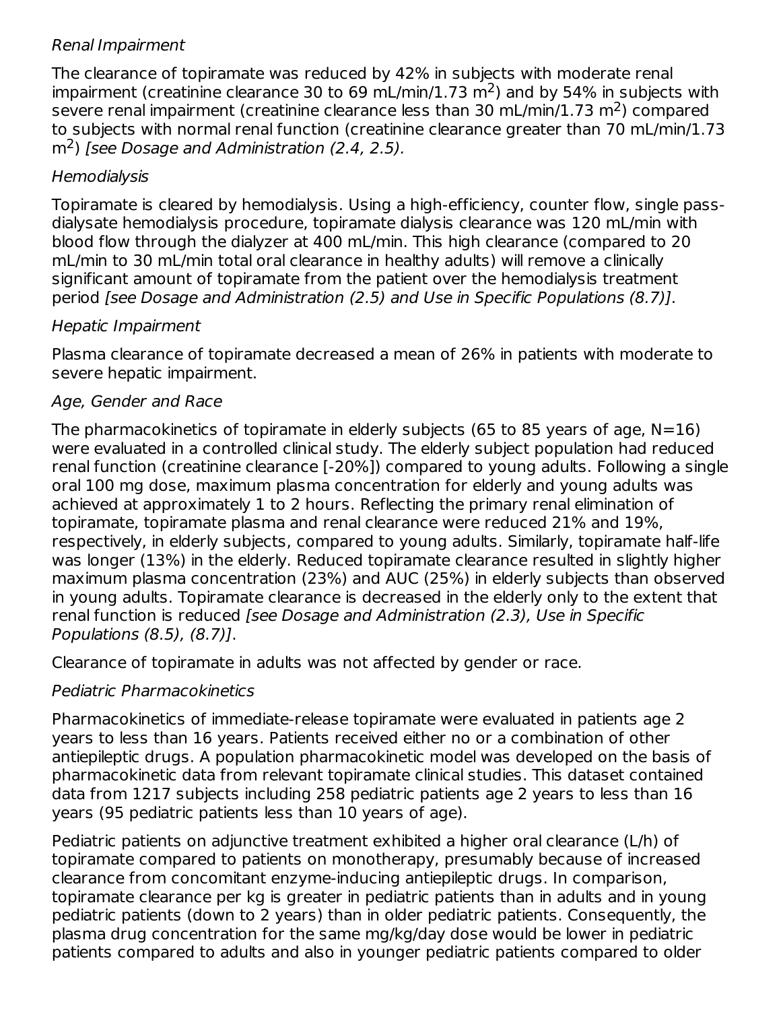### Renal Impairment

The clearance of topiramate was reduced by 42% in subjects with moderate renal impairment (creatinine clearance 30 to 69 mL/min/1.73 m<sup>2</sup>) and by 54% in subjects with severe renal impairment (creatinine clearance less than 30 mL/min/1.73 m<sup>2</sup>) compared to subjects with normal renal function (creatinine clearance greater than 70 mL/min/1.73  $\text{m}^2$ ) [see Dosage and Administration (2.4, 2.5).

# **Hemodialysis**

Topiramate is cleared by hemodialysis. Using a high-efficiency, counter flow, single passdialysate hemodialysis procedure, topiramate dialysis clearance was 120 mL/min with blood flow through the dialyzer at 400 mL/min. This high clearance (compared to 20 mL/min to 30 mL/min total oral clearance in healthy adults) will remove a clinically significant amount of topiramate from the patient over the hemodialysis treatment period [see Dosage and Administration (2.5) and Use in Specific Populations (8.7)].

# Hepatic Impairment

Plasma clearance of topiramate decreased a mean of 26% in patients with moderate to severe hepatic impairment.

# Age, Gender and Race

The pharmacokinetics of topiramate in elderly subjects (65 to 85 years of age,  $N=16$ ) were evaluated in a controlled clinical study. The elderly subject population had reduced renal function (creatinine clearance [-20%]) compared to young adults. Following a single oral 100 mg dose, maximum plasma concentration for elderly and young adults was achieved at approximately 1 to 2 hours. Reflecting the primary renal elimination of topiramate, topiramate plasma and renal clearance were reduced 21% and 19%, respectively, in elderly subjects, compared to young adults. Similarly, topiramate half-life was longer (13%) in the elderly. Reduced topiramate clearance resulted in slightly higher maximum plasma concentration (23%) and AUC (25%) in elderly subjects than observed in young adults. Topiramate clearance is decreased in the elderly only to the extent that renal function is reduced [see Dosage and Administration (2.3), Use in Specific Populations (8.5), (8.7)].

Clearance of topiramate in adults was not affected by gender or race.

# Pediatric Pharmacokinetics

Pharmacokinetics of immediate-release topiramate were evaluated in patients age 2 years to less than 16 years. Patients received either no or a combination of other antiepileptic drugs. A population pharmacokinetic model was developed on the basis of pharmacokinetic data from relevant topiramate clinical studies. This dataset contained data from 1217 subjects including 258 pediatric patients age 2 years to less than 16 years (95 pediatric patients less than 10 years of age).

Pediatric patients on adjunctive treatment exhibited a higher oral clearance (L/h) of topiramate compared to patients on monotherapy, presumably because of increased clearance from concomitant enzyme-inducing antiepileptic drugs. In comparison, topiramate clearance per kg is greater in pediatric patients than in adults and in young pediatric patients (down to 2 years) than in older pediatric patients. Consequently, the plasma drug concentration for the same mg/kg/day dose would be lower in pediatric patients compared to adults and also in younger pediatric patients compared to older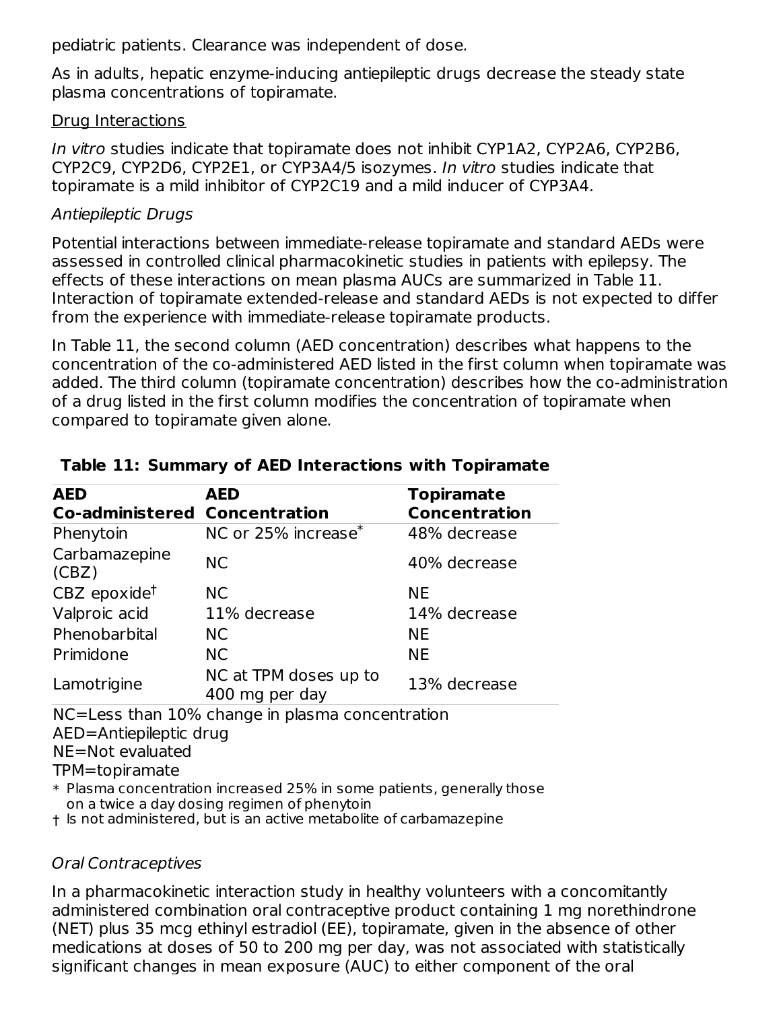pediatric patients. Clearance was independent of dose.

As in adults, hepatic enzyme-inducing antiepileptic drugs decrease the steady state plasma concentrations of topiramate.

### Drug Interactions

In vitro studies indicate that topiramate does not inhibit CYP1A2, CYP2A6, CYP2B6, CYP2C9, CYP2D6, CYP2E1, or CYP3A4/5 isozymes. In vitro studies indicate that topiramate is a mild inhibitor of CYP2C19 and a mild inducer of CYP3A4.

# Antiepileptic Drugs

Potential interactions between immediate-release topiramate and standard AEDs were assessed in controlled clinical pharmacokinetic studies in patients with epilepsy. The effects of these interactions on mean plasma AUCs are summarized in Table 11. Interaction of topiramate extended-release and standard AEDs is not expected to differ from the experience with immediate-release topiramate products.

In Table 11, the second column (AED concentration) describes what happens to the concentration of the co-administered AED listed in the first column when topiramate was added. The third column (topiramate concentration) describes how the co-administration of a drug listed in the first column modifies the concentration of topiramate when compared to topiramate given alone.

| <b>AED</b><br><b>Co-administered Concentration</b> | <b>AED</b>                                      | <b>Topiramate</b><br><b>Concentration</b> |
|----------------------------------------------------|-------------------------------------------------|-------------------------------------------|
| Phenytoin                                          | NC or 25% increase <sup>*</sup>                 | 48% decrease                              |
| Carbamazepine<br>(CBZ)                             | <b>NC</b>                                       | 40% decrease                              |
| $CBZ$ epoxide <sup>t</sup>                         | <b>NC</b>                                       | <b>NE</b>                                 |
| Valproic acid                                      | 11% decrease                                    | 14% decrease                              |
| Phenobarbital                                      | <b>NC</b>                                       | <b>NE</b>                                 |
| Primidone                                          | NC.                                             | <b>NE</b>                                 |
| Lamotrigine                                        | NC at TPM doses up to<br>400 mg per day         | 13% decrease                              |
|                                                    | NC=Less than 10% change in plasma concentration |                                           |

### **Table 11: Summary of AED Interactions with Topiramate**

NC=Less than 10% change in plasma concentration AED=Antiepileptic drug

NE=Not evaluated

TPM=topiramate

\* Plasma concentration increased 25% in some patients, generally those on a twice a day dosing regimen of phenytoin

† Is not administered, but is an active metabolite of carbamazepine

# Oral Contraceptives

In a pharmacokinetic interaction study in healthy volunteers with a concomitantly administered combination oral contraceptive product containing 1 mg norethindrone (NET) plus 35 mcg ethinyl estradiol (EE), topiramate, given in the absence of other medications at doses of 50 to 200 mg per day, was not associated with statistically significant changes in mean exposure (AUC) to either component of the oral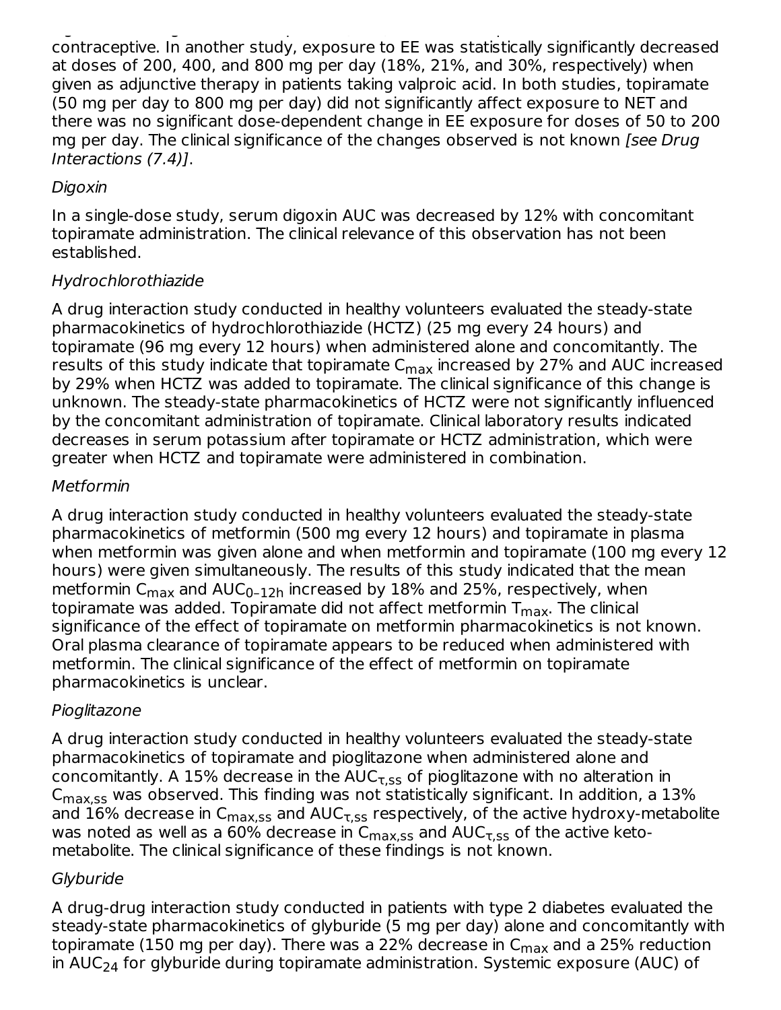significant changes in mean exposure (AUC) to either component of the oral contraceptive. In another study, exposure to EE was statistically significantly decreased at doses of 200, 400, and 800 mg per day (18%, 21%, and 30%, respectively) when given as adjunctive therapy in patients taking valproic acid. In both studies, topiramate (50 mg per day to 800 mg per day) did not significantly affect exposure to NET and there was no significant dose-dependent change in EE exposure for doses of 50 to 200 mg per day. The clinical significance of the changes observed is not known *[see Drug*] Interactions (7.4)].

# Digoxin

In a single-dose study, serum digoxin AUC was decreased by 12% with concomitant topiramate administration. The clinical relevance of this observation has not been established.

### Hydrochlorothiazide

A drug interaction study conducted in healthy volunteers evaluated the steady-state pharmacokinetics of hydrochlorothiazide (HCTZ) (25 mg every 24 hours) and topiramate (96 mg every 12 hours) when administered alone and concomitantly. The results of this study indicate that topiramate C<sub>max</sub> increased by 27% and AUC increased by 29% when HCTZ was added to topiramate. The clinical significance of this change is unknown. The steady-state pharmacokinetics of HCTZ were not significantly influenced by the concomitant administration of topiramate. Clinical laboratory results indicated decreases in serum potassium after topiramate or HCTZ administration, which were greater when HCTZ and topiramate were administered in combination.

### Metformin

A drug interaction study conducted in healthy volunteers evaluated the steady-state pharmacokinetics of metformin (500 mg every 12 hours) and topiramate in plasma when metformin was given alone and when metformin and topiramate (100 mg every 12 hours) were given simultaneously. The results of this study indicated that the mean metformin C $_{\sf max}$  and AUC $_{\sf 0\text{-}12h}$  increased by  $18\%$  and 25%, respectively, when topiramate was added. Topiramate did not affect metformin T $_{\sf max}$ . The clinical significance of the effect of topiramate on metformin pharmacokinetics is not known. Oral plasma clearance of topiramate appears to be reduced when administered with metformin. The clinical significance of the effect of metformin on topiramate pharmacokinetics is unclear.

# Pioglitazone

A drug interaction study conducted in healthy volunteers evaluated the steady-state pharmacokinetics of topiramate and pioglitazone when administered alone and concomitantly. A 15% decrease in the AUC $_{\rm \tau, ss}$  of pioglitazone with no alteration in  $\mathsf{C_{max,ss}}$  was observed. This finding was not statistically significant. In addition, a  $13\%$ and  $16\%$  decrease in  ${\sf C_{max,ss}}$  and  ${\sf AUC_{T,SS}}$  respectively, of the active hydroxy-metabolite was noted as well as a 60% decrease in  $\mathsf{C_{max,ss}}$  and  $\mathsf{AUC_{T,ss}}$  of the active ketometabolite. The clinical significance of these findings is not known.

# **Glyburide**

A drug-drug interaction study conducted in patients with type 2 diabetes evaluated the steady-state pharmacokinetics of glyburide (5 mg per day) alone and concomitantly with topiramate (150 mg per day). There was a 22% decrease in C<sub>max</sub> and a 25% reduction in AUC<sub>24</sub> for glyburide during topiramate administration. Systemic exposure (AUC) of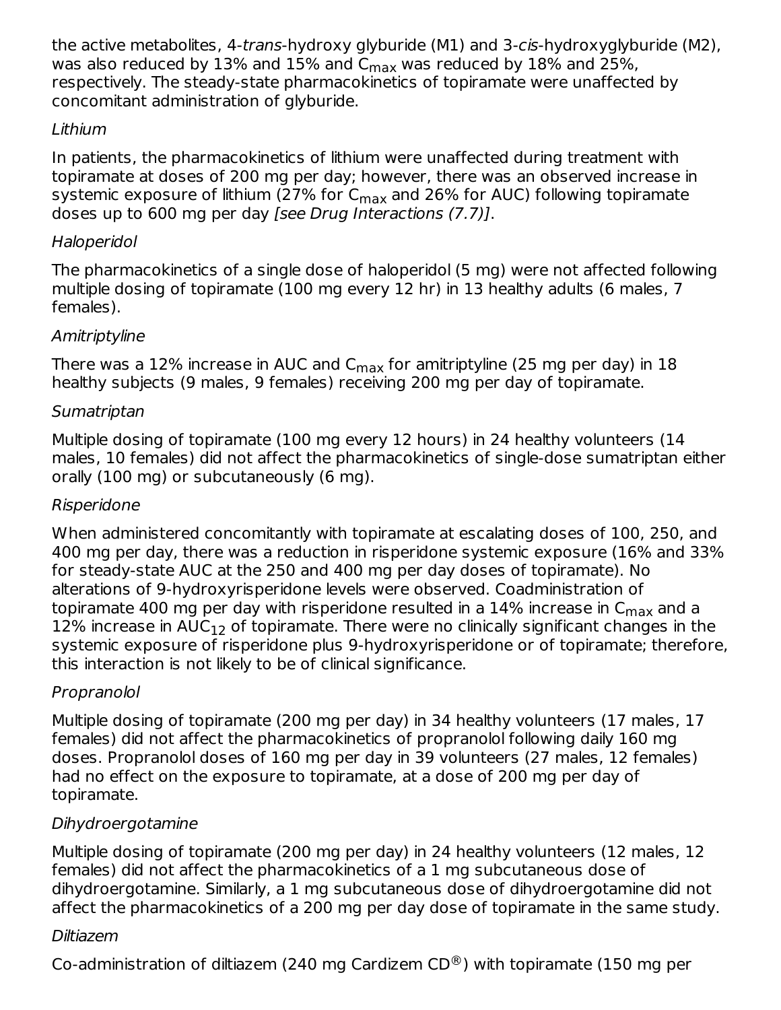the active metabolites, 4-trans-hydroxy glyburide (M1) and 3-cis-hydroxyglyburide (M2), was also reduced by  $13\%$  and  $15\%$  and  $C_{\rm max}$  was reduced by  $18\%$  and  $25\%$ , respectively. The steady-state pharmacokinetics of topiramate were unaffected by concomitant administration of glyburide.

# Lithium

In patients, the pharmacokinetics of lithium were unaffected during treatment with topiramate at doses of 200 mg per day; however, there was an observed increase in systemic exposure of lithium (27% for C<sub>max</sub> and 26% for AUC) following topiramate doses up to 600 mg per day [see Drug Interactions (7.7)].

# Haloperidol

The pharmacokinetics of a single dose of haloperidol (5 mg) were not affected following multiple dosing of topiramate (100 mg every 12 hr) in 13 healthy adults (6 males, 7 females).

# **Amitriptyline**

There was a 12% increase in AUC and C $_{\sf max}$  for amitriptyline (25 mg per day) in 18 healthy subjects (9 males, 9 females) receiving 200 mg per day of topiramate.

# **Sumatriptan**

Multiple dosing of topiramate (100 mg every 12 hours) in 24 healthy volunteers (14 males, 10 females) did not affect the pharmacokinetics of single-dose sumatriptan either orally (100 mg) or subcutaneously (6 mg).

# Risperidone

When administered concomitantly with topiramate at escalating doses of 100, 250, and 400 mg per day, there was a reduction in risperidone systemic exposure (16% and 33% for steady-state AUC at the 250 and 400 mg per day doses of topiramate). No alterations of 9-hydroxyrisperidone levels were observed. Coadministration of topiramate 400 mg per day with risperidone resulted in a 14% increase in  ${\sf C}_{\sf max}$  and a  $12\%$  increase in  $\mathsf{AUC}_{12}$  of topiramate. There were no clinically significant changes in the systemic exposure of risperidone plus 9-hydroxyrisperidone or of topiramate; therefore, this interaction is not likely to be of clinical significance.

# Propranolol

Multiple dosing of topiramate (200 mg per day) in 34 healthy volunteers (17 males, 17 females) did not affect the pharmacokinetics of propranolol following daily 160 mg doses. Propranolol doses of 160 mg per day in 39 volunteers (27 males, 12 females) had no effect on the exposure to topiramate, at a dose of 200 mg per day of topiramate.

# Dihydroergotamine

Multiple dosing of topiramate (200 mg per day) in 24 healthy volunteers (12 males, 12 females) did not affect the pharmacokinetics of a 1 mg subcutaneous dose of dihydroergotamine. Similarly, a 1 mg subcutaneous dose of dihydroergotamine did not affect the pharmacokinetics of a 200 mg per day dose of topiramate in the same study.

# Diltiazem

Co-administration of diltiazem (240 mg Cardizem CD®) with topiramate (150 mg per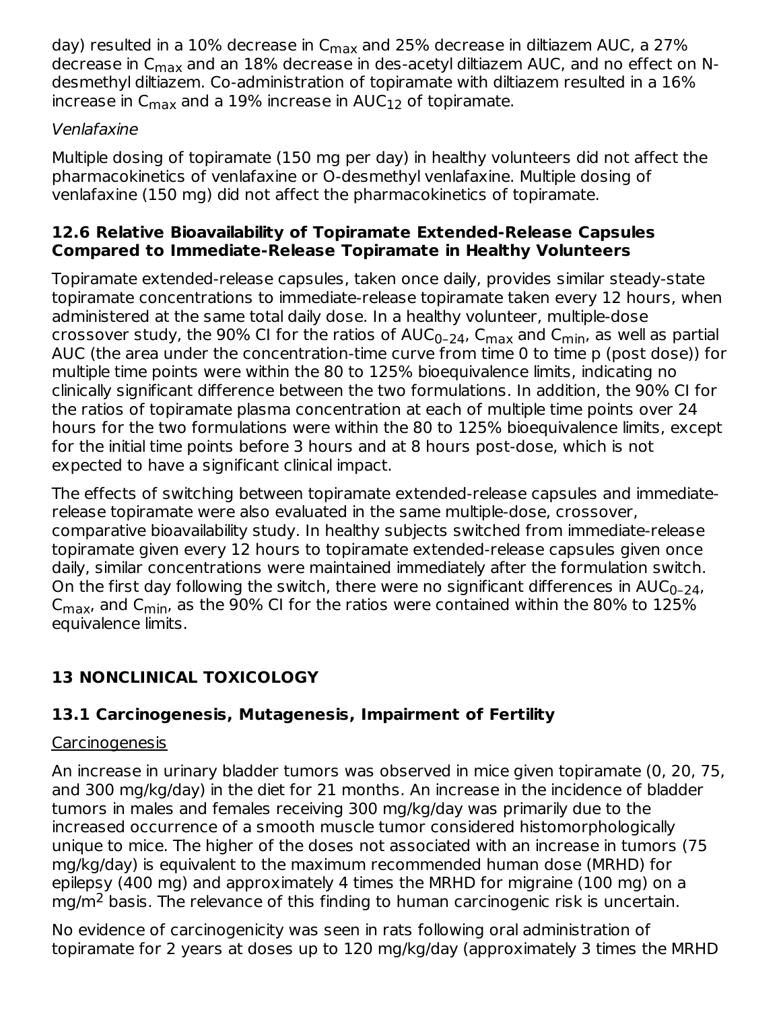day) resulted in a 10% decrease in C<sub>max</sub> and 25% decrease in diltiazem AUC, a 27% decrease in C<sub>max</sub> and an 18% decrease in des-acetyl diltiazem AUC, and no effect on Ndesmethyl diltiazem. Co-administration of topiramate with diltiazem resulted in a 16% increase in C $_{\sf max}$  and a 19% increase in AUC $_{12}$  of topiramate.

# Venlafaxine

Multiple dosing of topiramate (150 mg per day) in healthy volunteers did not affect the pharmacokinetics of venlafaxine or O-desmethyl venlafaxine. Multiple dosing of venlafaxine (150 mg) did not affect the pharmacokinetics of topiramate.

### **12.6 Relative Bioavailability of Topiramate Extended-Release Capsules Compared to Immediate-Release Topiramate in Healthy Volunteers**

Topiramate extended-release capsules, taken once daily, provides similar steady-state topiramate concentrations to immediate-release topiramate taken every 12 hours, when administered at the same total daily dose. In a healthy volunteer, multiple-dose crossover study, the 90% CI for the ratios of AUC<sub>0–24</sub>, C<sub>max</sub> and C<sub>min</sub>, as well as partial AUC (the area under the concentration-time curve from time 0 to time p (post dose)) for multiple time points were within the 80 to 125% bioequivalence limits, indicating no clinically significant difference between the two formulations. In addition, the 90% CI for the ratios of topiramate plasma concentration at each of multiple time points over 24 hours for the two formulations were within the 80 to 125% bioequivalence limits, except for the initial time points before 3 hours and at 8 hours post-dose, which is not expected to have a significant clinical impact.

The effects of switching between topiramate extended-release capsules and immediaterelease topiramate were also evaluated in the same multiple-dose, crossover, comparative bioavailability study. In healthy subjects switched from immediate-release topiramate given every 12 hours to topiramate extended-release capsules given once daily, similar concentrations were maintained immediately after the formulation switch. On the first day following the switch, there were no significant differences in  $\mathsf{AUC}_{0\text{-}24}$ , C<sub>max</sub>, and C<sub>min</sub>, as the 90% CI for the ratios were contained within the 80% to  $125\%$ equivalence limits.

# **13 NONCLINICAL TOXICOLOGY**

# **13.1 Carcinogenesis, Mutagenesis, Impairment of Fertility**

# **Carcinogenesis**

An increase in urinary bladder tumors was observed in mice given topiramate (0, 20, 75, and 300 mg/kg/day) in the diet for 21 months. An increase in the incidence of bladder tumors in males and females receiving 300 mg/kg/day was primarily due to the increased occurrence of a smooth muscle tumor considered histomorphologically unique to mice. The higher of the doses not associated with an increase in tumors (75 mg/kg/day) is equivalent to the maximum recommended human dose (MRHD) for epilepsy (400 mg) and approximately 4 times the MRHD for migraine (100 mg) on a mg/m<sup>2</sup> basis. The relevance of this finding to human carcinogenic risk is uncertain.

No evidence of carcinogenicity was seen in rats following oral administration of topiramate for 2 years at doses up to 120 mg/kg/day (approximately 3 times the MRHD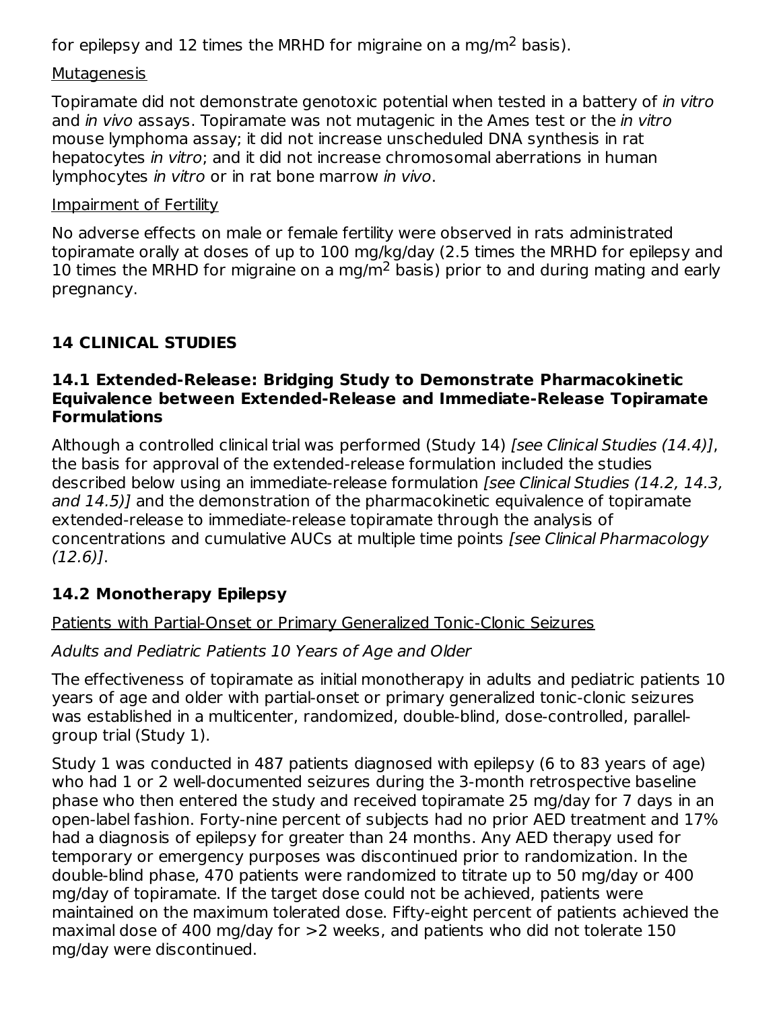for epilepsy and 12 times the MRHD for migraine on a mg/m<sup>2</sup> basis).

### **Mutagenesis**

Topiramate did not demonstrate genotoxic potential when tested in a battery of in vitro and *in vivo* assays. Topiramate was not mutagenic in the Ames test or the *in vitro* mouse lymphoma assay; it did not increase unscheduled DNA synthesis in rat hepatocytes in vitro; and it did not increase chromosomal aberrations in human lymphocytes in vitro or in rat bone marrow in vivo.

### Impairment of Fertility

No adverse effects on male or female fertility were observed in rats administrated topiramate orally at doses of up to 100 mg/kg/day (2.5 times the MRHD for epilepsy and 10 times the MRHD for migraine on a mg/m<sup>2</sup> basis) prior to and during mating and early pregnancy.

# **14 CLINICAL STUDIES**

### **14.1 Extended-Release: Bridging Study to Demonstrate Pharmacokinetic Equivalence between Extended-Release and Immediate-Release Topiramate Formulations**

Although a controlled clinical trial was performed (Study 14) [see Clinical Studies (14.4)], the basis for approval of the extended-release formulation included the studies described below using an immediate-release formulation [see Clinical Studies (14.2, 14.3, and 14.5)] and the demonstration of the pharmacokinetic equivalence of topiramate extended-release to immediate-release topiramate through the analysis of concentrations and cumulative AUCs at multiple time points [see Clinical Pharmacology  $(12.6)$ ].

# **14.2 Monotherapy Epilepsy**

# Patients with Partial-Onset or Primary Generalized Tonic-Clonic Seizures

# Adults and Pediatric Patients 10 Years of Age and Older

The effectiveness of topiramate as initial monotherapy in adults and pediatric patients 10 years of age and older with partial-onset or primary generalized tonic-clonic seizures was established in a multicenter, randomized, double-blind, dose-controlled, parallelgroup trial (Study 1).

Study 1 was conducted in 487 patients diagnosed with epilepsy (6 to 83 years of age) who had 1 or 2 well-documented seizures during the 3-month retrospective baseline phase who then entered the study and received topiramate 25 mg/day for 7 days in an open-label fashion. Forty-nine percent of subjects had no prior AED treatment and 17% had a diagnosis of epilepsy for greater than 24 months. Any AED therapy used for temporary or emergency purposes was discontinued prior to randomization. In the double-blind phase, 470 patients were randomized to titrate up to 50 mg/day or 400 mg/day of topiramate. If the target dose could not be achieved, patients were maintained on the maximum tolerated dose. Fifty-eight percent of patients achieved the maximal dose of 400 mg/day for >2 weeks, and patients who did not tolerate 150 mg/day were discontinued.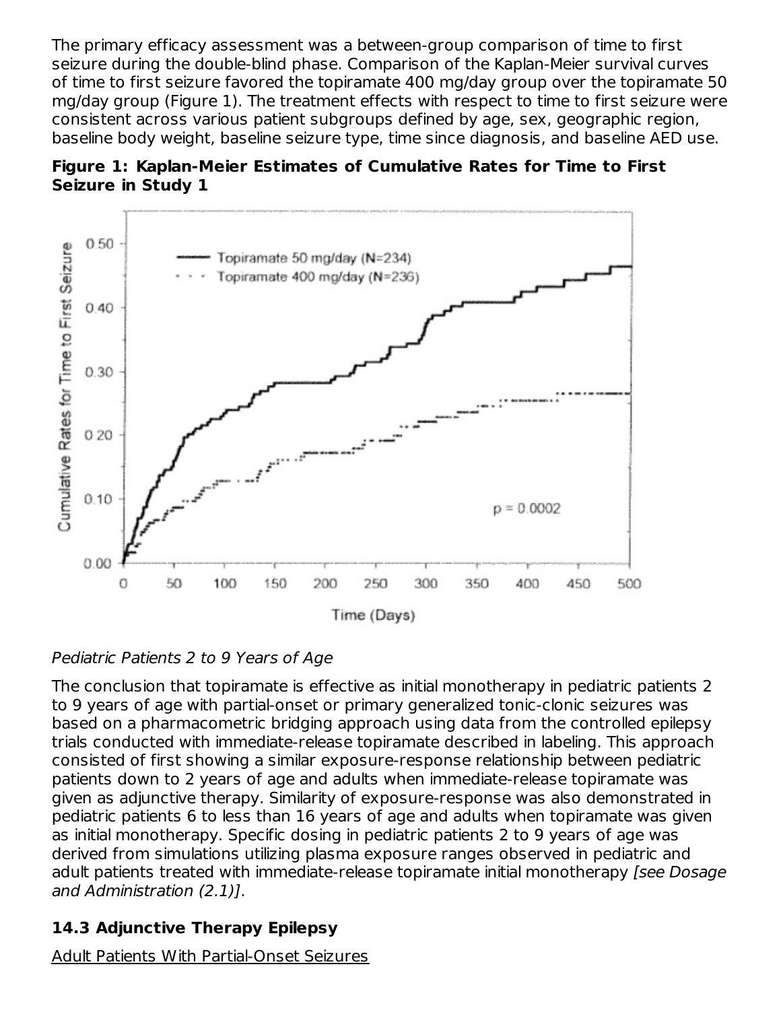The primary efficacy assessment was a between-group comparison of time to first seizure during the double-blind phase. Comparison of the Kaplan-Meier survival curves of time to first seizure favored the topiramate 400 mg/day group over the topiramate 50 mg/day group (Figure 1). The treatment effects with respect to time to first seizure were consistent across various patient subgroups defined by age, sex, geographic region, baseline body weight, baseline seizure type, time since diagnosis, and baseline AED use.





# Pediatric Patients 2 to 9 Years of Age

The conclusion that topiramate is effective as initial monotherapy in pediatric patients 2 to 9 years of age with partial-onset or primary generalized tonic-clonic seizures was based on a pharmacometric bridging approach using data from the controlled epilepsy trials conducted with immediate-release topiramate described in labeling. This approach consisted of first showing a similar exposure-response relationship between pediatric patients down to 2 years of age and adults when immediate-release topiramate was given as adjunctive therapy. Similarity of exposure-response was also demonstrated in pediatric patients 6 to less than 16 years of age and adults when topiramate was given as initial monotherapy. Specific dosing in pediatric patients 2 to 9 years of age was derived from simulations utilizing plasma exposure ranges observed in pediatric and adult patients treated with immediate-release topiramate initial monotherapy [see Dosage and Administration (2.1)].

# **14.3 Adjunctive Therapy Epilepsy**

Adult Patients With Partial-Onset Seizures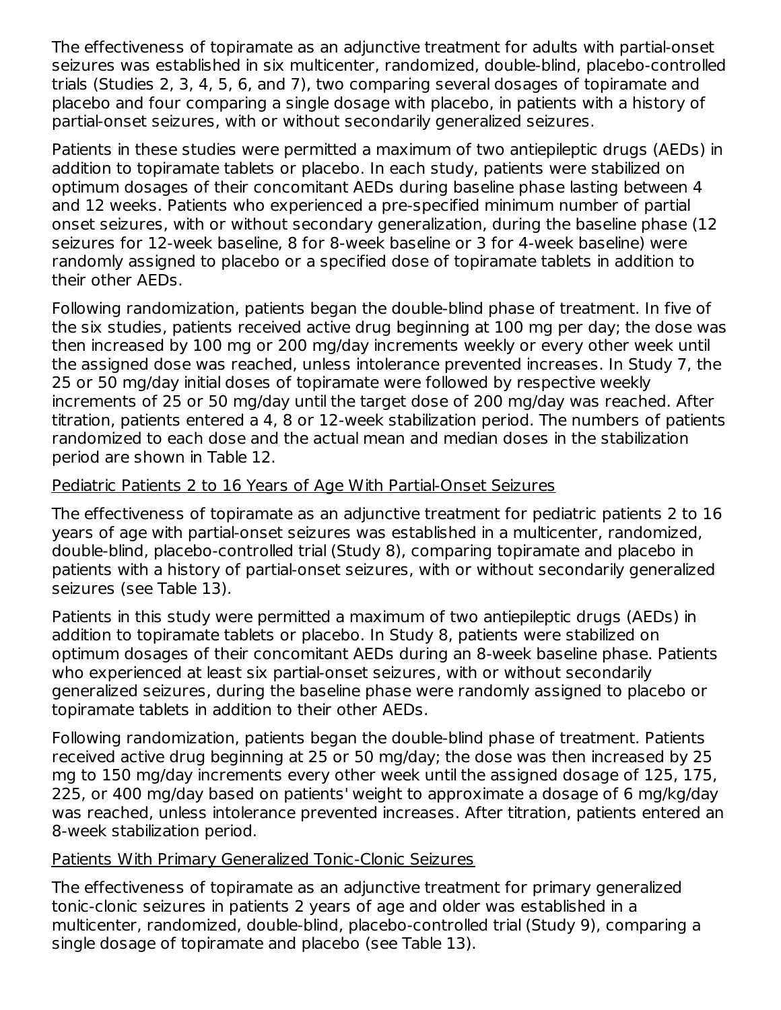The effectiveness of topiramate as an adjunctive treatment for adults with partial-onset seizures was established in six multicenter, randomized, double-blind, placebo-controlled trials (Studies 2, 3, 4, 5, 6, and 7), two comparing several dosages of topiramate and placebo and four comparing a single dosage with placebo, in patients with a history of partial-onset seizures, with or without secondarily generalized seizures.

Patients in these studies were permitted a maximum of two antiepileptic drugs (AEDs) in addition to topiramate tablets or placebo. In each study, patients were stabilized on optimum dosages of their concomitant AEDs during baseline phase lasting between 4 and 12 weeks. Patients who experienced a pre-specified minimum number of partial onset seizures, with or without secondary generalization, during the baseline phase (12 seizures for 12-week baseline, 8 for 8-week baseline or 3 for 4-week baseline) were randomly assigned to placebo or a specified dose of topiramate tablets in addition to their other AEDs.

Following randomization, patients began the double-blind phase of treatment. In five of the six studies, patients received active drug beginning at 100 mg per day; the dose was then increased by 100 mg or 200 mg/day increments weekly or every other week until the assigned dose was reached, unless intolerance prevented increases. In Study 7, the 25 or 50 mg/day initial doses of topiramate were followed by respective weekly increments of 25 or 50 mg/day until the target dose of 200 mg/day was reached. After titration, patients entered a 4, 8 or 12-week stabilization period. The numbers of patients randomized to each dose and the actual mean and median doses in the stabilization period are shown in Table 12.

### Pediatric Patients 2 to 16 Years of Age With Partial-Onset Seizures

The effectiveness of topiramate as an adjunctive treatment for pediatric patients 2 to 16 years of age with partial-onset seizures was established in a multicenter, randomized, double-blind, placebo-controlled trial (Study 8), comparing topiramate and placebo in patients with a history of partial-onset seizures, with or without secondarily generalized seizures (see Table 13).

Patients in this study were permitted a maximum of two antiepileptic drugs (AEDs) in addition to topiramate tablets or placebo. In Study 8, patients were stabilized on optimum dosages of their concomitant AEDs during an 8-week baseline phase. Patients who experienced at least six partial-onset seizures, with or without secondarily generalized seizures, during the baseline phase were randomly assigned to placebo or topiramate tablets in addition to their other AEDs.

Following randomization, patients began the double-blind phase of treatment. Patients received active drug beginning at 25 or 50 mg/day; the dose was then increased by 25 mg to 150 mg/day increments every other week until the assigned dosage of 125, 175, 225, or 400 mg/day based on patients' weight to approximate a dosage of 6 mg/kg/day was reached, unless intolerance prevented increases. After titration, patients entered an 8-week stabilization period.

#### Patients With Primary Generalized Tonic-Clonic Seizures

The effectiveness of topiramate as an adjunctive treatment for primary generalized tonic-clonic seizures in patients 2 years of age and older was established in a multicenter, randomized, double-blind, placebo-controlled trial (Study 9), comparing a single dosage of topiramate and placebo (see Table 13).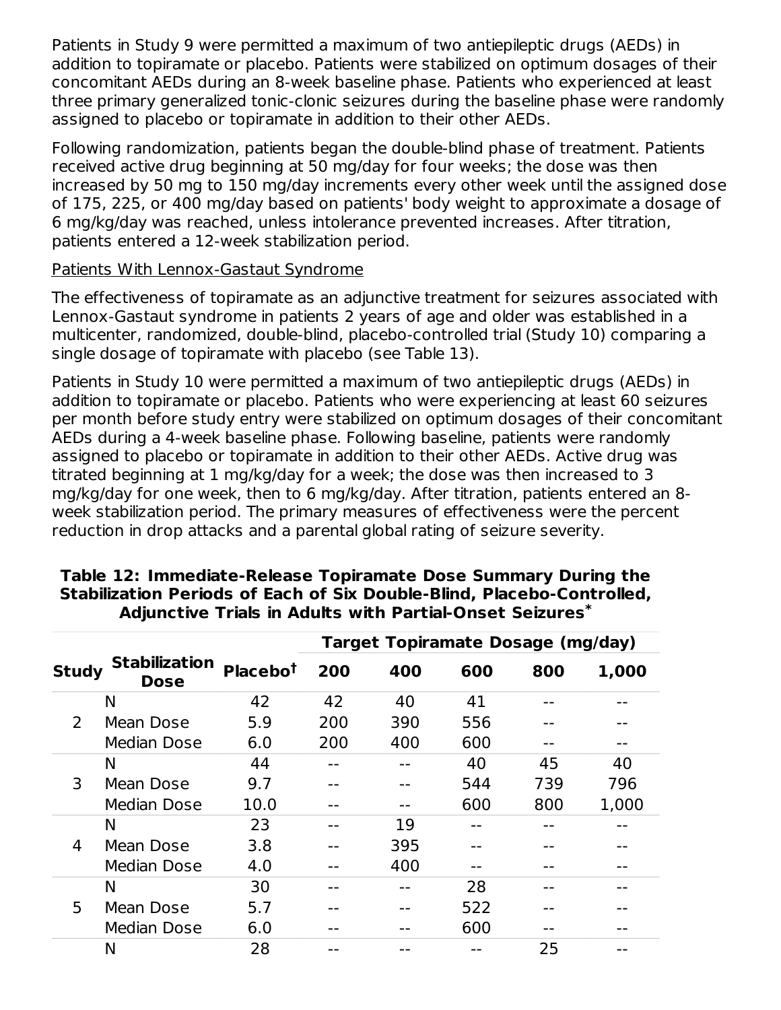Patients in Study 9 were permitted a maximum of two antiepileptic drugs (AEDs) in addition to topiramate or placebo. Patients were stabilized on optimum dosages of their concomitant AEDs during an 8-week baseline phase. Patients who experienced at least three primary generalized tonic-clonic seizures during the baseline phase were randomly assigned to placebo or topiramate in addition to their other AEDs.

Following randomization, patients began the double-blind phase of treatment. Patients received active drug beginning at 50 mg/day for four weeks; the dose was then increased by 50 mg to 150 mg/day increments every other week until the assigned dose of 175, 225, or 400 mg/day based on patients' body weight to approximate a dosage of 6 mg/kg/day was reached, unless intolerance prevented increases. After titration, patients entered a 12-week stabilization period.

### Patients With Lennox-Gastaut Syndrome

The effectiveness of topiramate as an adjunctive treatment for seizures associated with Lennox-Gastaut syndrome in patients 2 years of age and older was established in a multicenter, randomized, double-blind, placebo-controlled trial (Study 10) comparing a single dosage of topiramate with placebo (see Table 13).

Patients in Study 10 were permitted a maximum of two antiepileptic drugs (AEDs) in addition to topiramate or placebo. Patients who were experiencing at least 60 seizures per month before study entry were stabilized on optimum dosages of their concomitant AEDs during a 4-week baseline phase. Following baseline, patients were randomly assigned to placebo or topiramate in addition to their other AEDs. Active drug was titrated beginning at 1 mg/kg/day for a week; the dose was then increased to 3 mg/kg/day for one week, then to 6 mg/kg/day. After titration, patients entered an 8 week stabilization period. The primary measures of effectiveness were the percent reduction in drop attacks and a parental global rating of seizure severity.

|              |                                     | <b>Target Topiramate Dosage (mg/day)</b> |     |     |     |     |       |
|--------------|-------------------------------------|------------------------------------------|-----|-----|-----|-----|-------|
| <b>Study</b> | <b>Stabilization</b><br><b>Dose</b> | Placebo <sup>t</sup>                     | 200 | 400 | 600 | 800 | 1,000 |
|              | N                                   | 42                                       | 42  | 40  | 41  |     |       |
| 2            | Mean Dose                           | 5.9                                      | 200 | 390 | 556 |     |       |
|              | Median Dose                         | 6.0                                      | 200 | 400 | 600 |     |       |
|              | N                                   | 44                                       |     |     | 40  | 45  | 40    |
| 3            | Mean Dose                           | 9.7                                      |     |     | 544 | 739 | 796   |
|              | Median Dose                         | 10.0                                     |     |     | 600 | 800 | 1,000 |
|              | N                                   | 23                                       |     | 19  |     |     |       |
| 4            | Mean Dose                           | 3.8                                      |     | 395 |     |     |       |
|              | Median Dose                         | 4.0                                      |     | 400 |     |     |       |
|              | N                                   | 30                                       |     |     | 28  |     |       |
| 5            | Mean Dose                           | 5.7                                      |     |     | 522 |     |       |
|              | Median Dose                         | 6.0                                      |     |     | 600 |     |       |
|              | Ν                                   | 28                                       |     |     |     | 25  |       |

#### **Table 12: Immediate-Release Topiramate Dose Summary During the Stabilization Periods of Each of Six Double-Blind, Placebo-Controlled, Adjunctive Trials in Adults with Partial-Onset Seizures \***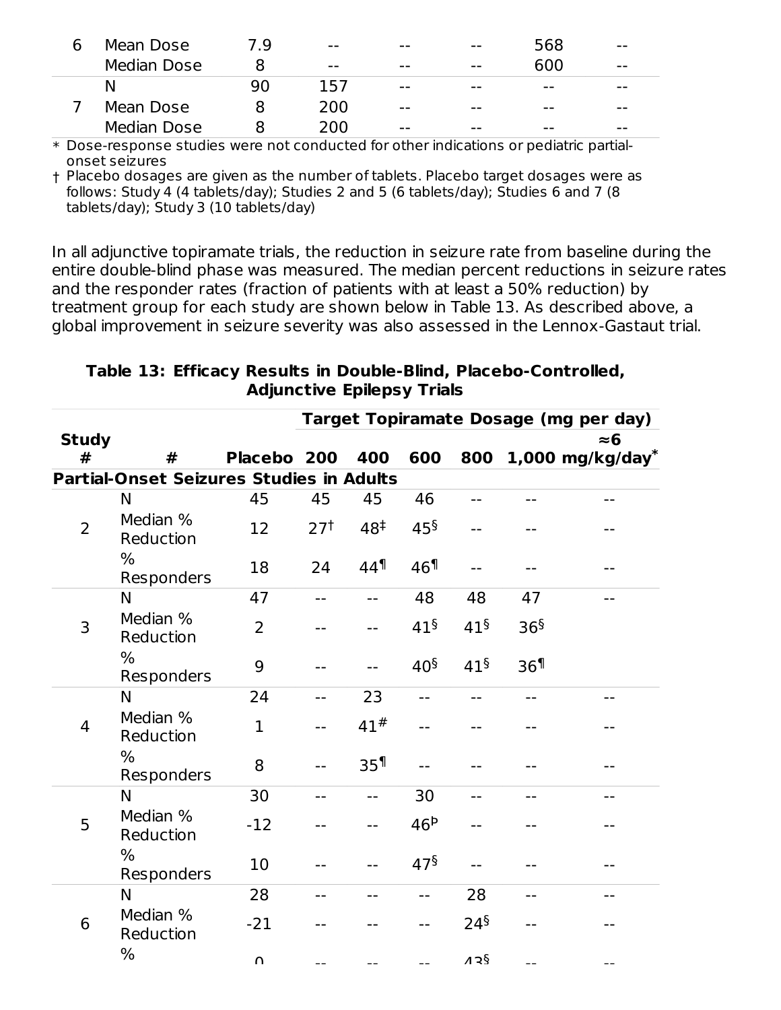| Mean Dose   | 7 Q | $- -$ | $- -$ | $- -$ | 568  | $- -$ |
|-------------|-----|-------|-------|-------|------|-------|
| Median Dose |     | $- -$ | $- -$ | $- -$ | 600  | $- -$ |
| N           | 90  | 157   | $- -$ | $- -$ | $ -$ | $- -$ |
| Mean Dose   |     | 200   | $- -$ | $- -$ | $ -$ | $- -$ |
| Median Dose |     | 200   | $- -$ | $- -$ | $ -$ | $- -$ |

\* Dose-response studies were not conducted for other indications or pediatric partialonset seizures

† Placebo dosages are given as the number of tablets. Placebo target dosages were as follows: Study 4 (4 tablets/day); Studies 2 and 5 (6 tablets/day); Studies 6 and 7 (8 tablets/day); Study 3 (10 tablets/day)

In all adjunctive topiramate trials, the reduction in seizure rate from baseline during the entire double-blind phase was measured. The median percent reductions in seizure rates and the responder rates (fraction of patients with at least a 50% reduction) by treatment group for each study are shown below in Table 13. As described above, a global improvement in seizure severity was also assessed in the Lennox-Gastaut trial.

|                |                                                 |                |                 |                   |                    |                 |                 | Target Topiramate Dosage (mg per day) |
|----------------|-------------------------------------------------|----------------|-----------------|-------------------|--------------------|-----------------|-----------------|---------------------------------------|
| <b>Study</b>   |                                                 |                |                 |                   |                    |                 |                 | $\approx$ 6                           |
| #              | #                                               | Placebo 200    |                 | 400               | 600                | 800             |                 | $1,000$ mg/kg/day <sup>*</sup>        |
|                | <b>Partial-Onset Seizures Studies in Adults</b> |                |                 |                   |                    |                 |                 |                                       |
|                | N                                               | 45             | 45              | 45                | 46                 |                 |                 |                                       |
| $\overline{2}$ | Median %<br>Reduction                           | 12             | 27 <sup>†</sup> | 48 <sup>‡</sup>   | 45 <sup>§</sup>    |                 |                 |                                       |
|                | $\%$<br>Responders                              | 18             | 24              | $44$ <sup>1</sup> | 46 <sup>1</sup>    |                 |                 |                                       |
|                | N                                               | 47             | $-$             | $-$               | 48                 | 48              | 47              |                                       |
| 3              | Median %<br>Reduction                           | $\overline{2}$ |                 |                   | 41 <sup>§</sup>    | 41 <sup>§</sup> | 36 <sup>§</sup> |                                       |
|                | %<br>Responders                                 | 9              |                 | $-$               | 40 <sup>§</sup>    | 41 <sup>§</sup> | 36 <sup>1</sup> |                                       |
|                | N                                               | 24             | $-$             | 23                | $- -$              |                 |                 |                                       |
| $\overline{4}$ | Median %<br>Reduction                           | $\mathbf{1}$   | $-$             | 41#               |                    |                 |                 |                                       |
|                | %<br>Responders                                 | 8              |                 | 35 <sup>1</sup>   |                    |                 |                 |                                       |
|                | N                                               | 30             | --              | $-$               | 30                 |                 |                 |                                       |
| 5              | Median %<br>Reduction                           | $-12$          |                 | --                | 46 <sup>b</sup>    |                 |                 |                                       |
|                | %<br>Responders                                 | 10             |                 |                   | $47^{\frac{5}{2}}$ |                 |                 |                                       |
|                | N                                               | 28             |                 |                   |                    | 28              |                 |                                       |
| 6              | Median %<br>Reduction                           | $-21$          |                 |                   |                    | 24 <sup>§</sup> |                 |                                       |
|                | %                                               | $\Omega$       |                 |                   |                    | 126             |                 |                                       |

**Table 13: Efficacy Results in Double-Blind, Placebo-Controlled, Adjunctive Epilepsy Trials**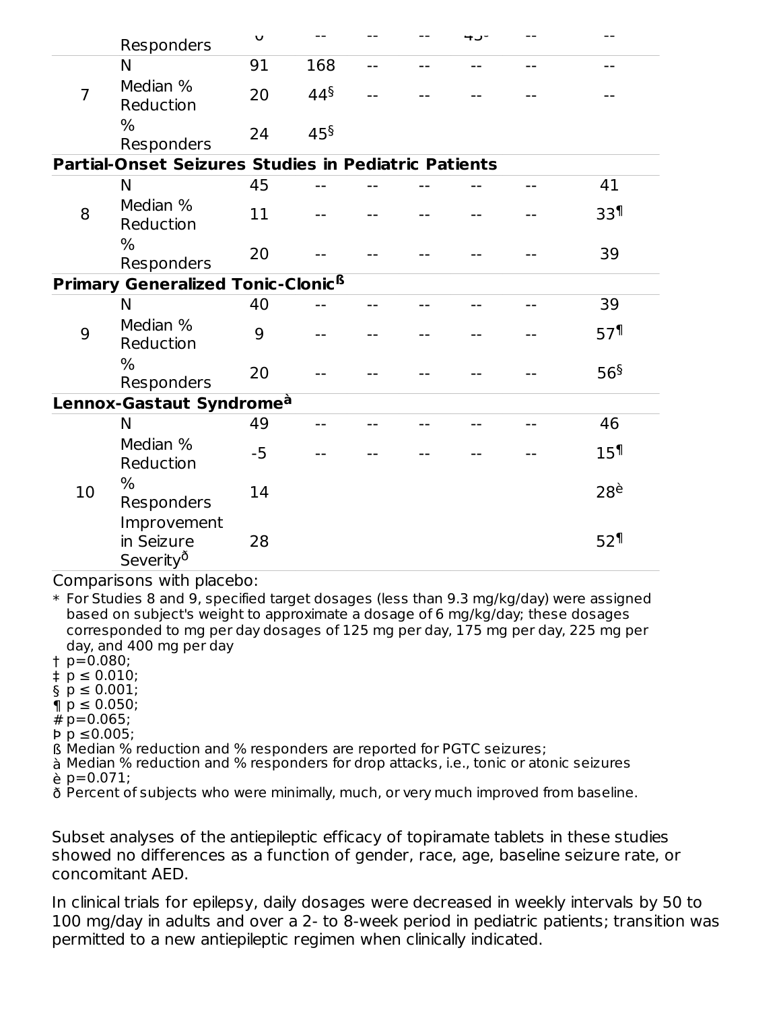|                | Responders                                           | U    |                 |       |    |                  |
|----------------|------------------------------------------------------|------|-----------------|-------|----|------------------|
|                | N                                                    | 91   | 168             | $- -$ |    |                  |
| $\overline{7}$ | Median %<br>Reduction                                | 20   | $44^{\S}$       |       |    |                  |
|                | $\%$<br>Responders                                   | 24   | 45 <sup>§</sup> |       |    |                  |
|                | Partial-Onset Seizures Studies in Pediatric Patients |      |                 |       |    |                  |
|                | N                                                    | 45   |                 |       |    | 41               |
| 8              | Median %<br>Reduction                                | 11   |                 |       |    | 33 <sup>1</sup>  |
|                | $\%$<br>Responders                                   | 20   |                 |       |    | 39               |
|                | <b>Primary Generalized Tonic-Clonic<sup>6</sup></b>  |      |                 |       |    |                  |
|                | N                                                    | 40   |                 |       | -- | 39               |
| 9              | Median %<br>Reduction                                | 9    |                 |       |    | 57 <sup>1</sup>  |
|                | $\frac{0}{0}$<br>Responders                          | 20   |                 |       |    | 56 <sup>§</sup>  |
|                | Lennox-Gastaut Syndrome <sup>à</sup>                 |      |                 |       |    |                  |
|                | N                                                    | 49   | $-$             |       |    | 46               |
|                | Median %<br>Reduction                                | $-5$ |                 |       |    | 15 <sup>1</sup>  |
| 10             | $\frac{0}{0}$<br>Responders                          | 14   |                 |       |    | $28^{\grave{e}}$ |
|                | Improvement<br>in Seizure<br>Severity <sup>o</sup>   | 28   |                 |       |    | 52 <sup>1</sup>  |

Comparisons with placebo:

\* For Studies 8 and 9, specified target dosages (less than 9.3 mg/kg/day) were assigned based on subject's weight to approximate a dosage of 6 mg/kg/day; these dosages corresponded to mg per day dosages of 125 mg per day, 175 mg per day, 225 mg per day, and 400 mg per day

- † p=0.080;
- ‡ p ≤ 0.010;
- § p ≤ 0.001;
- ¶ p ≤ 0.050;
- # p=0.065;
- Þ p ≤0.005;
- ß Median % reduction and % responders are reported for PGTC seizures;
- à Median % reduction and % responders for drop attacks, i.e., tonic or atonic seizures
- è p=0.071;
- ð Percent of subjects who were minimally, much, or very much improved from baseline.

Subset analyses of the antiepileptic efficacy of topiramate tablets in these studies showed no differences as a function of gender, race, age, baseline seizure rate, or concomitant AED.

In clinical trials for epilepsy, daily dosages were decreased in weekly intervals by 50 to 100 mg/day in adults and over a 2- to 8-week period in pediatric patients; transition was permitted to a new antiepileptic regimen when clinically indicated.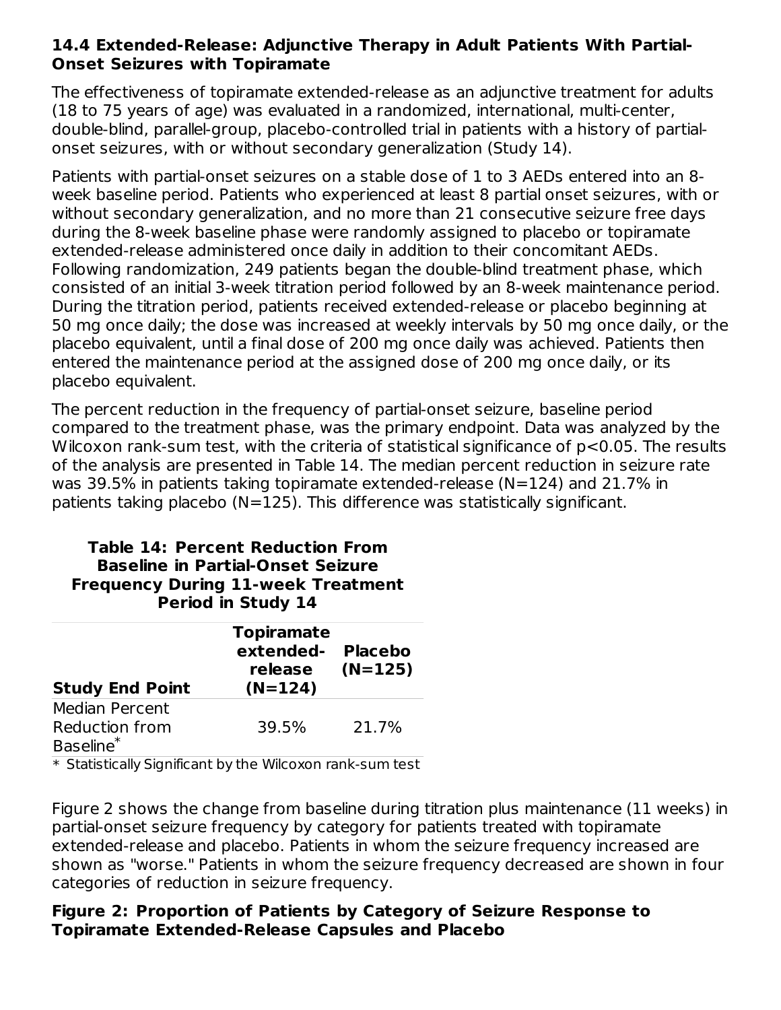### **14.4 Extended-Release: Adjunctive Therapy in Adult Patients With Partial-Onset Seizures with Topiramate**

The effectiveness of topiramate extended-release as an adjunctive treatment for adults (18 to 75 years of age) was evaluated in a randomized, international, multi-center, double-blind, parallel-group, placebo-controlled trial in patients with a history of partialonset seizures, with or without secondary generalization (Study 14).

Patients with partial-onset seizures on a stable dose of 1 to 3 AEDs entered into an 8 week baseline period. Patients who experienced at least 8 partial onset seizures, with or without secondary generalization, and no more than 21 consecutive seizure free days during the 8-week baseline phase were randomly assigned to placebo or topiramate extended-release administered once daily in addition to their concomitant AEDs. Following randomization, 249 patients began the double-blind treatment phase, which consisted of an initial 3-week titration period followed by an 8-week maintenance period. During the titration period, patients received extended-release or placebo beginning at 50 mg once daily; the dose was increased at weekly intervals by 50 mg once daily, or the placebo equivalent, until a final dose of 200 mg once daily was achieved. Patients then entered the maintenance period at the assigned dose of 200 mg once daily, or its placebo equivalent.

The percent reduction in the frequency of partial-onset seizure, baseline period compared to the treatment phase, was the primary endpoint. Data was analyzed by the Wilcoxon rank-sum test, with the criteria of statistical significance of p<0.05. The results of the analysis are presented in Table 14. The median percent reduction in seizure rate was 39.5% in patients taking topiramate extended-release (N=124) and 21.7% in patients taking placebo (N=125). This difference was statistically significant.

#### **Table 14: Percent Reduction From Baseline in Partial-Onset Seizure Frequency During 11-week Treatment Period in Study 14**

| <b>Study End Point</b> | <b>Topiramate</b><br>extended-<br>release<br>$(N=124)$ | <b>Placebo</b><br>(N=125) |
|------------------------|--------------------------------------------------------|---------------------------|
| <b>Median Percent</b>  |                                                        |                           |
| <b>Reduction from</b>  | 39.5%                                                  | 21.7%                     |
| Baseline <sup>*</sup>  |                                                        |                           |

\* Statistically Significant by the Wilcoxon rank-sum test

Figure 2 shows the change from baseline during titration plus maintenance (11 weeks) in partial-onset seizure frequency by category for patients treated with topiramate extended-release and placebo. Patients in whom the seizure frequency increased are shown as "worse." Patients in whom the seizure frequency decreased are shown in four categories of reduction in seizure frequency.

### **Figure 2: Proportion of Patients by Category of Seizure Response to Topiramate Extended-Release Capsules and Placebo**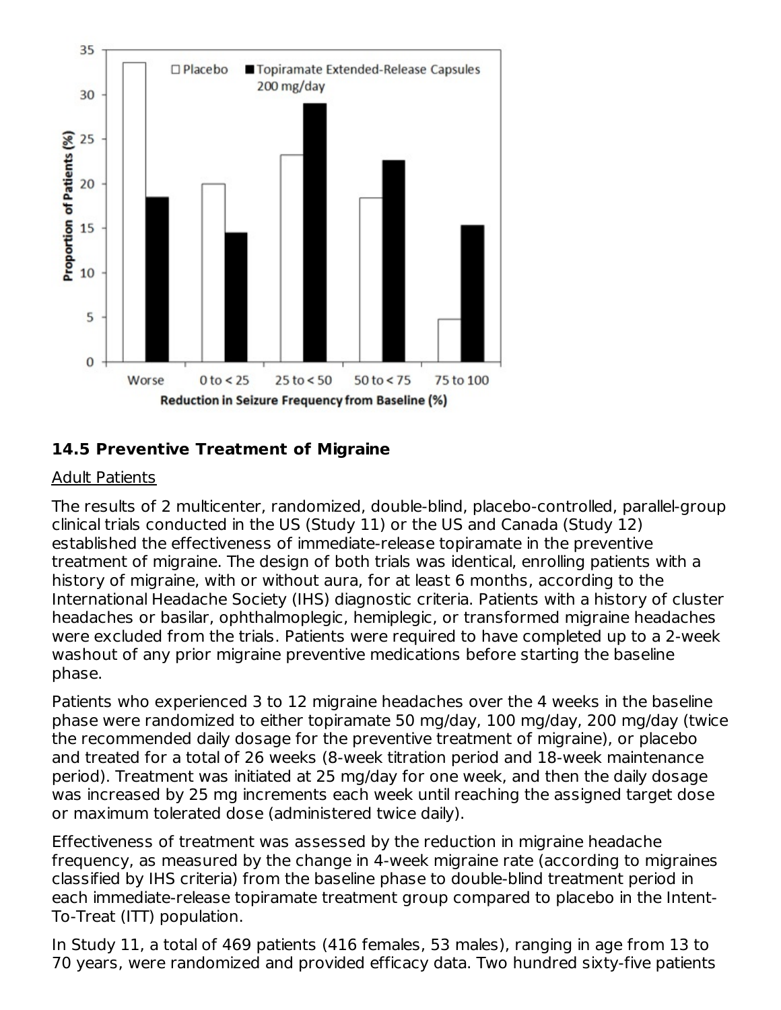

### **14.5 Preventive Treatment of Migraine**

#### Adult Patients

The results of 2 multicenter, randomized, double-blind, placebo-controlled, parallel-group clinical trials conducted in the US (Study 11) or the US and Canada (Study 12) established the effectiveness of immediate-release topiramate in the preventive treatment of migraine. The design of both trials was identical, enrolling patients with a history of migraine, with or without aura, for at least 6 months, according to the International Headache Society (IHS) diagnostic criteria. Patients with a history of cluster headaches or basilar, ophthalmoplegic, hemiplegic, or transformed migraine headaches were excluded from the trials. Patients were required to have completed up to a 2-week washout of any prior migraine preventive medications before starting the baseline phase.

Patients who experienced 3 to 12 migraine headaches over the 4 weeks in the baseline phase were randomized to either topiramate 50 mg/day, 100 mg/day, 200 mg/day (twice the recommended daily dosage for the preventive treatment of migraine), or placebo and treated for a total of 26 weeks (8-week titration period and 18-week maintenance period). Treatment was initiated at 25 mg/day for one week, and then the daily dosage was increased by 25 mg increments each week until reaching the assigned target dose or maximum tolerated dose (administered twice daily).

Effectiveness of treatment was assessed by the reduction in migraine headache frequency, as measured by the change in 4-week migraine rate (according to migraines classified by IHS criteria) from the baseline phase to double-blind treatment period in each immediate-release topiramate treatment group compared to placebo in the Intent-To-Treat (ITT) population.

In Study 11, a total of 469 patients (416 females, 53 males), ranging in age from 13 to 70 years, were randomized and provided efficacy data. Two hundred sixty-five patients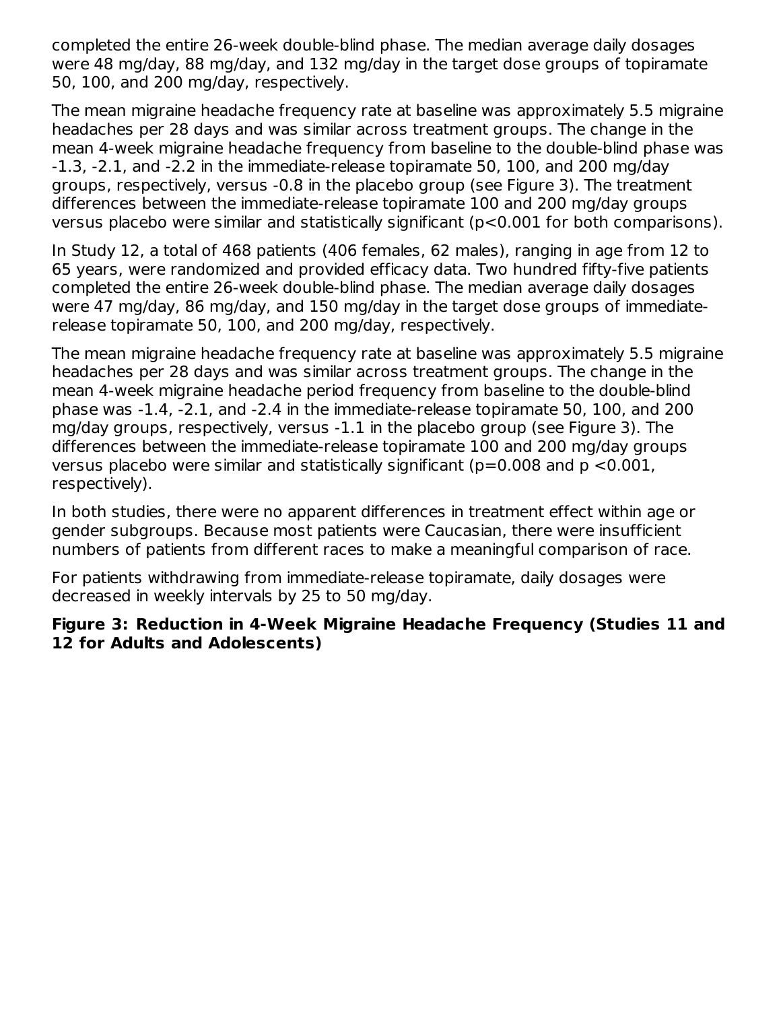completed the entire 26-week double-blind phase. The median average daily dosages were 48 mg/day, 88 mg/day, and 132 mg/day in the target dose groups of topiramate 50, 100, and 200 mg/day, respectively.

The mean migraine headache frequency rate at baseline was approximately 5.5 migraine headaches per 28 days and was similar across treatment groups. The change in the mean 4-week migraine headache frequency from baseline to the double-blind phase was -1.3, -2.1, and -2.2 in the immediate-release topiramate 50, 100, and 200 mg/day groups, respectively, versus -0.8 in the placebo group (see Figure 3). The treatment differences between the immediate-release topiramate 100 and 200 mg/day groups versus placebo were similar and statistically significant (p<0.001 for both comparisons).

In Study 12, a total of 468 patients (406 females, 62 males), ranging in age from 12 to 65 years, were randomized and provided efficacy data. Two hundred fifty-five patients completed the entire 26-week double-blind phase. The median average daily dosages were 47 mg/day, 86 mg/day, and 150 mg/day in the target dose groups of immediaterelease topiramate 50, 100, and 200 mg/day, respectively.

The mean migraine headache frequency rate at baseline was approximately 5.5 migraine headaches per 28 days and was similar across treatment groups. The change in the mean 4-week migraine headache period frequency from baseline to the double-blind phase was -1.4, -2.1, and -2.4 in the immediate-release topiramate 50, 100, and 200 mg/day groups, respectively, versus -1.1 in the placebo group (see Figure 3). The differences between the immediate-release topiramate 100 and 200 mg/day groups versus placebo were similar and statistically significant ( $p=0.008$  and  $p < 0.001$ , respectively).

In both studies, there were no apparent differences in treatment effect within age or gender subgroups. Because most patients were Caucasian, there were insufficient numbers of patients from different races to make a meaningful comparison of race.

For patients withdrawing from immediate-release topiramate, daily dosages were decreased in weekly intervals by 25 to 50 mg/day.

### **Figure 3: Reduction in 4-Week Migraine Headache Frequency (Studies 11 and 12 for Adults and Adolescents)**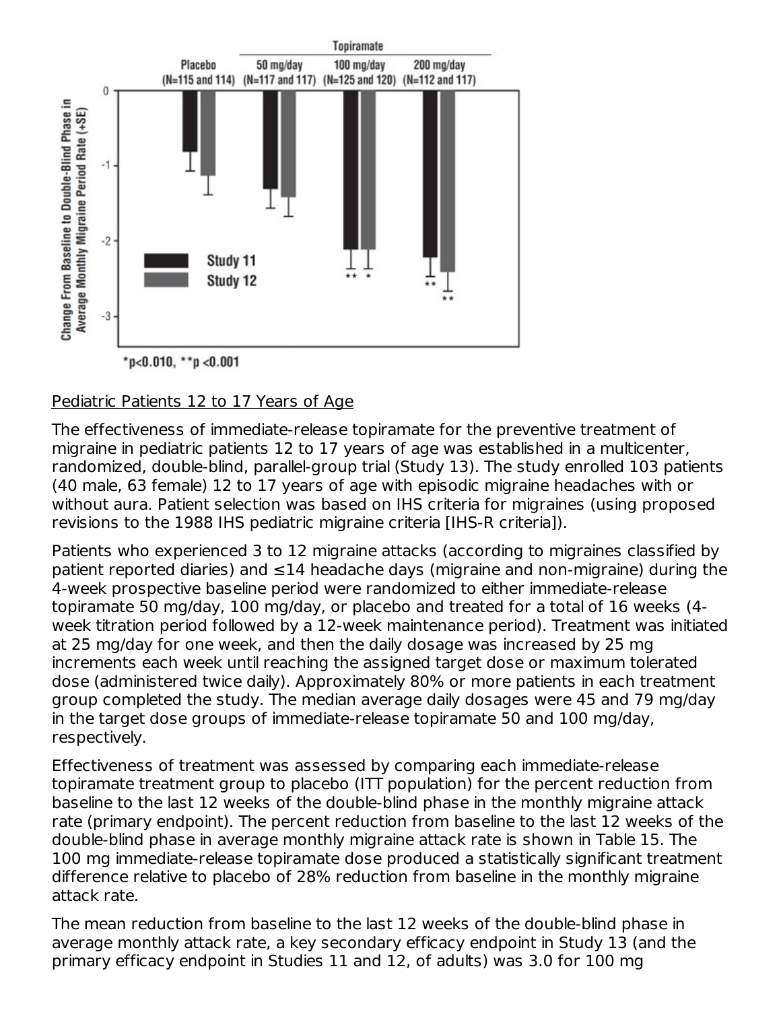

\*p<0.010, \*\*p <0.001

### Pediatric Patients 12 to 17 Years of Age

The effectiveness of immediate-release topiramate for the preventive treatment of migraine in pediatric patients 12 to 17 years of age was established in a multicenter, randomized, double-blind, parallel-group trial (Study 13). The study enrolled 103 patients (40 male, 63 female) 12 to 17 years of age with episodic migraine headaches with or without aura. Patient selection was based on IHS criteria for migraines (using proposed revisions to the 1988 IHS pediatric migraine criteria [IHS-R criteria]).

Patients who experienced 3 to 12 migraine attacks (according to migraines classified by patient reported diaries) and ≤14 headache days (migraine and non-migraine) during the 4-week prospective baseline period were randomized to either immediate-release topiramate 50 mg/day, 100 mg/day, or placebo and treated for a total of 16 weeks (4 week titration period followed by a 12-week maintenance period). Treatment was initiated at 25 mg/day for one week, and then the daily dosage was increased by 25 mg increments each week until reaching the assigned target dose or maximum tolerated dose (administered twice daily). Approximately 80% or more patients in each treatment group completed the study. The median average daily dosages were 45 and 79 mg/day in the target dose groups of immediate-release topiramate 50 and 100 mg/day, respectively.

Effectiveness of treatment was assessed by comparing each immediate-release topiramate treatment group to placebo (ITT population) for the percent reduction from baseline to the last 12 weeks of the double-blind phase in the monthly migraine attack rate (primary endpoint). The percent reduction from baseline to the last 12 weeks of the double-blind phase in average monthly migraine attack rate is shown in Table 15. The 100 mg immediate-release topiramate dose produced a statistically significant treatment difference relative to placebo of 28% reduction from baseline in the monthly migraine attack rate.

The mean reduction from baseline to the last 12 weeks of the double-blind phase in average monthly attack rate, a key secondary efficacy endpoint in Study 13 (and the primary efficacy endpoint in Studies 11 and 12, of adults) was 3.0 for 100 mg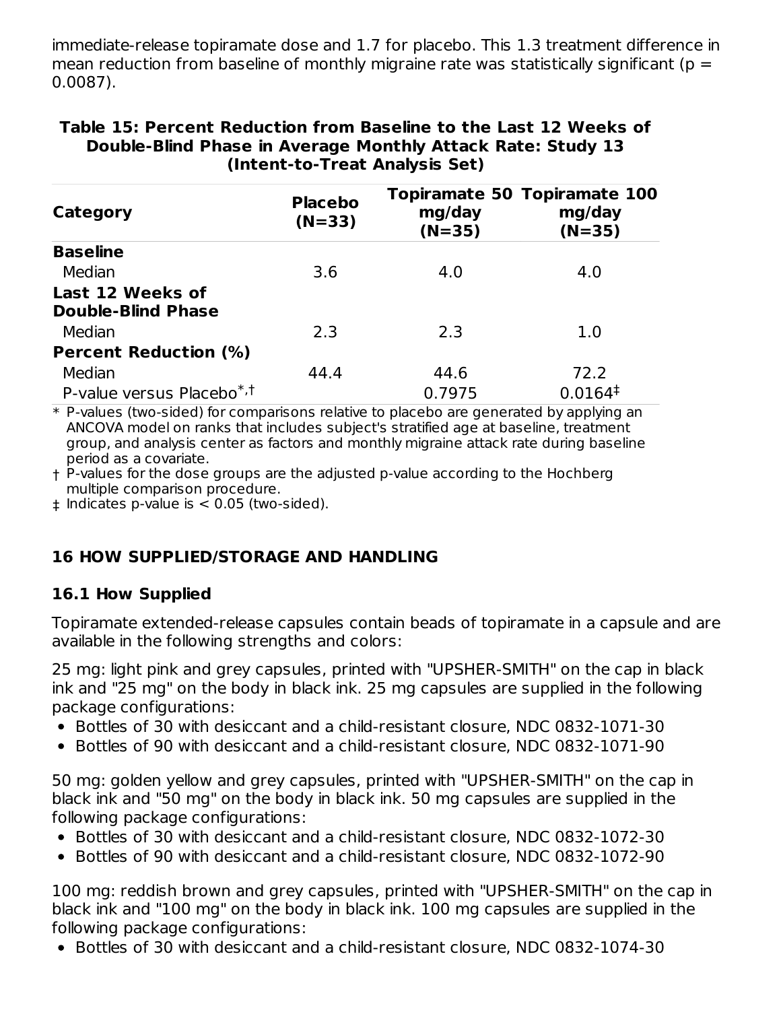immediate-release topiramate dose and 1.7 for placebo. This 1.3 treatment difference in mean reduction from baseline of monthly migraine rate was statistically significant ( $p =$ 0.0087).

| Category                                      | <b>Placebo</b><br>$(N=33)$ | mg/day<br>$(N=35)$ | Topiramate 50 Topiramate 100<br>mg/day<br>$(N=35)$ |
|-----------------------------------------------|----------------------------|--------------------|----------------------------------------------------|
| <b>Baseline</b>                               |                            |                    |                                                    |
| Median                                        | 3.6                        | 4.0                | 4.0                                                |
| Last 12 Weeks of<br><b>Double-Blind Phase</b> |                            |                    |                                                    |
| Median                                        | 2.3                        | 2.3                | 1.0                                                |
| <b>Percent Reduction (%)</b>                  |                            |                    |                                                    |
| Median                                        | 44.4                       | 44.6               | 72.2                                               |
| P-value versus Placebo*, <sup>†</sup>         |                            | 0.7975             | 0.0164 <sup>‡</sup>                                |

**Table 15: Percent Reduction from Baseline to the Last 12 Weeks of Double-Blind Phase in Average Monthly Attack Rate: Study 13 (Intent-to-Treat Analysis Set)**

\* P-values (two-sided) for comparisons relative to placebo are generated by applying an ANCOVA model on ranks that includes subject's stratified age at baseline, treatment group, and analysis center as factors and monthly migraine attack rate during baseline period as a covariate.

† P-values for the dose groups are the adjusted p-value according to the Hochberg multiple comparison procedure.

‡ Indicates p-value is < 0.05 (two-sided).

# **16 HOW SUPPLIED/STORAGE AND HANDLING**

# **16.1 How Supplied**

Topiramate extended-release capsules contain beads of topiramate in a capsule and are available in the following strengths and colors:

25 mg: light pink and grey capsules, printed with "UPSHER-SMITH" on the cap in black ink and "25 mg" on the body in black ink. 25 mg capsules are supplied in the following package configurations:

- Bottles of 30 with desiccant and a child-resistant closure, NDC 0832-1071-30
- Bottles of 90 with desiccant and a child-resistant closure, NDC 0832-1071-90

50 mg: golden yellow and grey capsules, printed with "UPSHER-SMITH" on the cap in black ink and "50 mg" on the body in black ink. 50 mg capsules are supplied in the following package configurations:

- Bottles of 30 with desiccant and a child-resistant closure, NDC 0832-1072-30
- Bottles of 90 with desiccant and a child-resistant closure, NDC 0832-1072-90

100 mg: reddish brown and grey capsules, printed with "UPSHER-SMITH" on the cap in black ink and "100 mg" on the body in black ink. 100 mg capsules are supplied in the following package configurations:

Bottles of 30 with desiccant and a child-resistant closure, NDC 0832-1074-30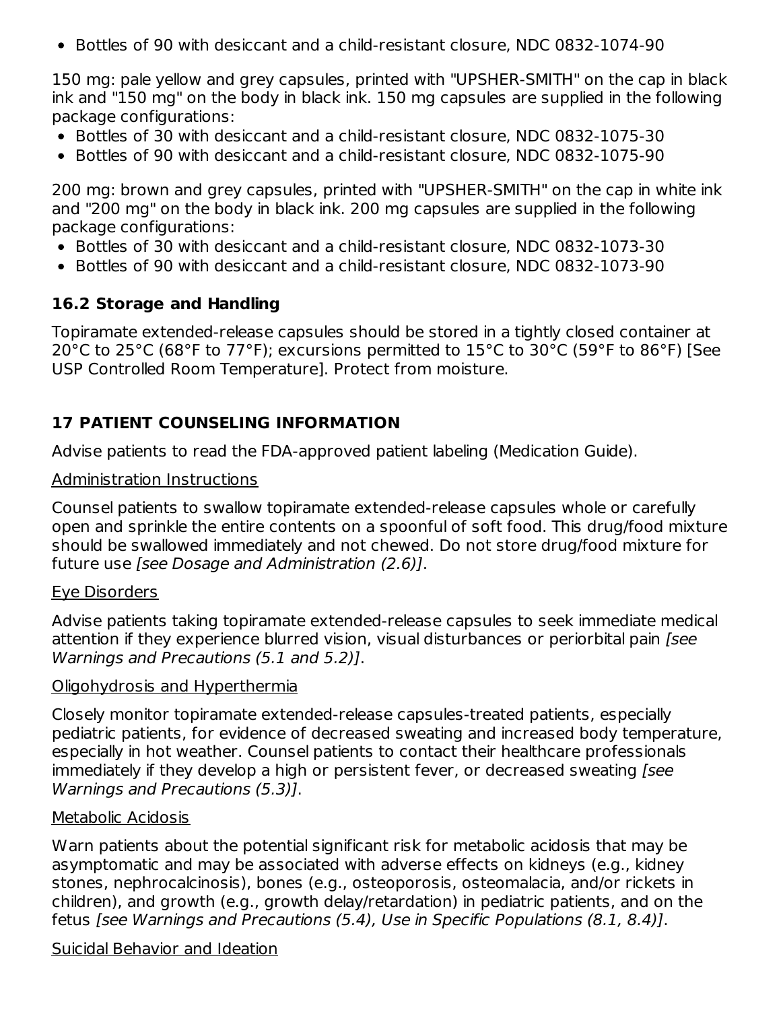• Bottles of 90 with desiccant and a child-resistant closure, NDC 0832-1074-90

150 mg: pale yellow and grey capsules, printed with "UPSHER-SMITH" on the cap in black ink and "150 mg" on the body in black ink. 150 mg capsules are supplied in the following package configurations:

- Bottles of 30 with desiccant and a child-resistant closure, NDC 0832-1075-30
- Bottles of 90 with desiccant and a child-resistant closure, NDC 0832-1075-90

200 mg: brown and grey capsules, printed with "UPSHER-SMITH" on the cap in white ink and "200 mg" on the body in black ink. 200 mg capsules are supplied in the following package configurations:

- Bottles of 30 with desiccant and a child-resistant closure, NDC 0832-1073-30
- Bottles of 90 with desiccant and a child-resistant closure, NDC 0832-1073-90

### **16.2 Storage and Handling**

Topiramate extended-release capsules should be stored in a tightly closed container at 20°C to 25°C (68°F to 77°F); excursions permitted to 15°C to 30°C (59°F to 86°F) [See USP Controlled Room Temperature]. Protect from moisture.

### **17 PATIENT COUNSELING INFORMATION**

Advise patients to read the FDA-approved patient labeling (Medication Guide).

#### Administration Instructions

Counsel patients to swallow topiramate extended-release capsules whole or carefully open and sprinkle the entire contents on a spoonful of soft food. This drug/food mixture should be swallowed immediately and not chewed. Do not store drug/food mixture for future use [see Dosage and Administration (2.6)].

#### Eye Disorders

Advise patients taking topiramate extended-release capsules to seek immediate medical attention if they experience blurred vision, visual disturbances or periorbital pain [see Warnings and Precautions (5.1 and 5.2)].

#### Oligohydrosis and Hyperthermia

Closely monitor topiramate extended-release capsules-treated patients, especially pediatric patients, for evidence of decreased sweating and increased body temperature, especially in hot weather. Counsel patients to contact their healthcare professionals immediately if they develop a high or persistent fever, or decreased sweating *[see*] Warnings and Precautions (5.3)].

#### Metabolic Acidosis

Warn patients about the potential significant risk for metabolic acidosis that may be asymptomatic and may be associated with adverse effects on kidneys (e.g., kidney stones, nephrocalcinosis), bones (e.g., osteoporosis, osteomalacia, and/or rickets in children), and growth (e.g., growth delay/retardation) in pediatric patients, and on the fetus [see Warnings and Precautions (5.4), Use in Specific Populations (8.1, 8.4)].

#### Suicidal Behavior and Ideation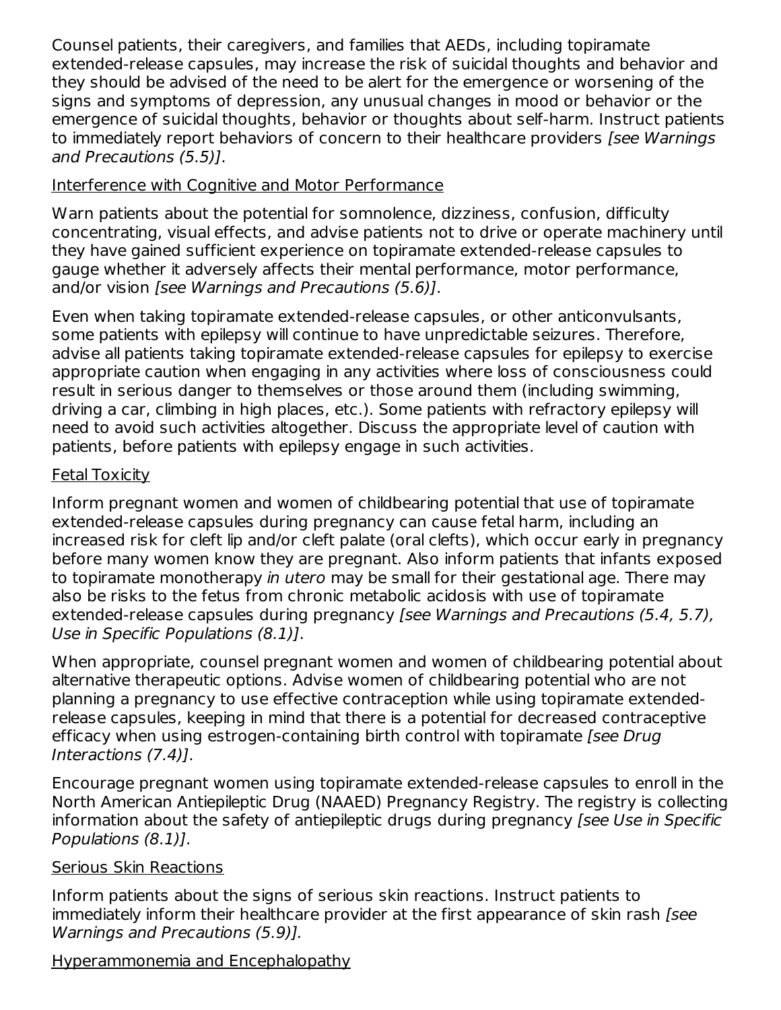Counsel patients, their caregivers, and families that AEDs, including topiramate extended-release capsules, may increase the risk of suicidal thoughts and behavior and they should be advised of the need to be alert for the emergence or worsening of the signs and symptoms of depression, any unusual changes in mood or behavior or the emergence of suicidal thoughts, behavior or thoughts about self-harm. Instruct patients to immediately report behaviors of concern to their healthcare providers [see Warnings and Precautions (5.5)].

### Interference with Cognitive and Motor Performance

Warn patients about the potential for somnolence, dizziness, confusion, difficulty concentrating, visual effects, and advise patients not to drive or operate machinery until they have gained sufficient experience on topiramate extended-release capsules to gauge whether it adversely affects their mental performance, motor performance, and/or vision [see Warnings and Precautions (5.6)].

Even when taking topiramate extended-release capsules, or other anticonvulsants, some patients with epilepsy will continue to have unpredictable seizures. Therefore, advise all patients taking topiramate extended-release capsules for epilepsy to exercise appropriate caution when engaging in any activities where loss of consciousness could result in serious danger to themselves or those around them (including swimming, driving a car, climbing in high places, etc.). Some patients with refractory epilepsy will need to avoid such activities altogether. Discuss the appropriate level of caution with patients, before patients with epilepsy engage in such activities.

### Fetal Toxicity

Inform pregnant women and women of childbearing potential that use of topiramate extended-release capsules during pregnancy can cause fetal harm, including an increased risk for cleft lip and/or cleft palate (oral clefts), which occur early in pregnancy before many women know they are pregnant. Also inform patients that infants exposed to topiramate monotherapy in utero may be small for their gestational age. There may also be risks to the fetus from chronic metabolic acidosis with use of topiramate extended-release capsules during pregnancy [see Warnings and Precautions (5.4, 5.7), Use in Specific Populations (8.1)].

When appropriate, counsel pregnant women and women of childbearing potential about alternative therapeutic options. Advise women of childbearing potential who are not planning a pregnancy to use effective contraception while using topiramate extendedrelease capsules, keeping in mind that there is a potential for decreased contraceptive efficacy when using estrogen-containing birth control with topiramate [see Drug Interactions (7.4)].

Encourage pregnant women using topiramate extended-release capsules to enroll in the North American Antiepileptic Drug (NAAED) Pregnancy Registry. The registry is collecting information about the safety of antiepileptic drugs during pregnancy [see Use in Specific Populations (8.1)].

# Serious Skin Reactions

Inform patients about the signs of serious skin reactions. Instruct patients to immediately inform their healthcare provider at the first appearance of skin rash [see Warnings and Precautions (5.9)].

# Hyperammonemia and Encephalopathy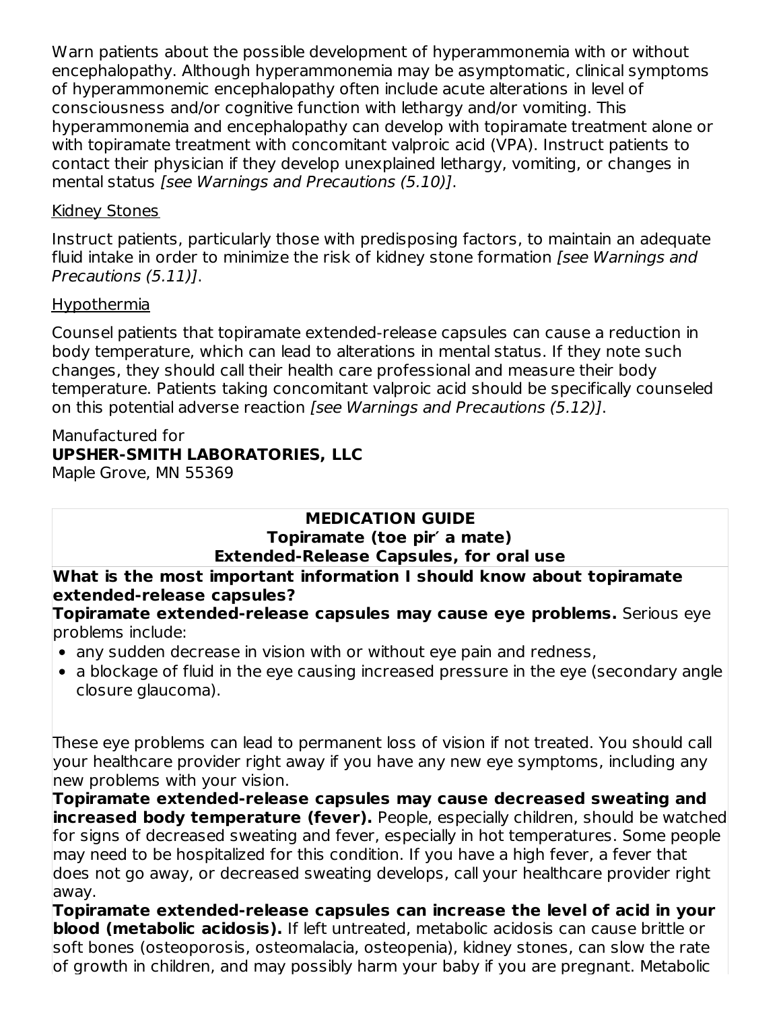Warn patients about the possible development of hyperammonemia with or without encephalopathy. Although hyperammonemia may be asymptomatic, clinical symptoms of hyperammonemic encephalopathy often include acute alterations in level of consciousness and/or cognitive function with lethargy and/or vomiting. This hyperammonemia and encephalopathy can develop with topiramate treatment alone or with topiramate treatment with concomitant valproic acid (VPA). Instruct patients to contact their physician if they develop unexplained lethargy, vomiting, or changes in mental status [see Warnings and Precautions (5.10)].

#### Kidney Stones

Instruct patients, particularly those with predisposing factors, to maintain an adequate fluid intake in order to minimize the risk of kidney stone formation *[see Warnings and* Precautions (5.11)].

### Hypothermia

Counsel patients that topiramate extended-release capsules can cause a reduction in body temperature, which can lead to alterations in mental status. If they note such changes, they should call their health care professional and measure their body temperature. Patients taking concomitant valproic acid should be specifically counseled on this potential adverse reaction [see Warnings and Precautions (5.12)].

# Manufactured for **UPSHER-SMITH LABORATORIES, LLC**

Maple Grove, MN 55369

# **MEDICATION GUIDE**

#### **Topiramate (toe pir′ a mate) Extended-Release Capsules, for oral use**

### **What is the most important information I should know about topiramate extended-release capsules?**

**Topiramate extended-release capsules may cause eye problems.** Serious eye problems include:

- any sudden decrease in vision with or without eye pain and redness,
- a blockage of fluid in the eye causing increased pressure in the eye (secondary angle closure glaucoma).

These eye problems can lead to permanent loss of vision if not treated. You should call your healthcare provider right away if you have any new eye symptoms, including any new problems with your vision.

**Topiramate extended-release capsules may cause decreased sweating and increased body temperature (fever).** People, especially children, should be watched for signs of decreased sweating and fever, especially in hot temperatures. Some people may need to be hospitalized for this condition. If you have a high fever, a fever that does not go away, or decreased sweating develops, call your healthcare provider right away.

**Topiramate extended-release capsules can increase the level of acid in your blood (metabolic acidosis).** If left untreated, metabolic acidosis can cause brittle or soft bones (osteoporosis, osteomalacia, osteopenia), kidney stones, can slow the rate of growth in children, and may possibly harm your baby if you are pregnant. Metabolic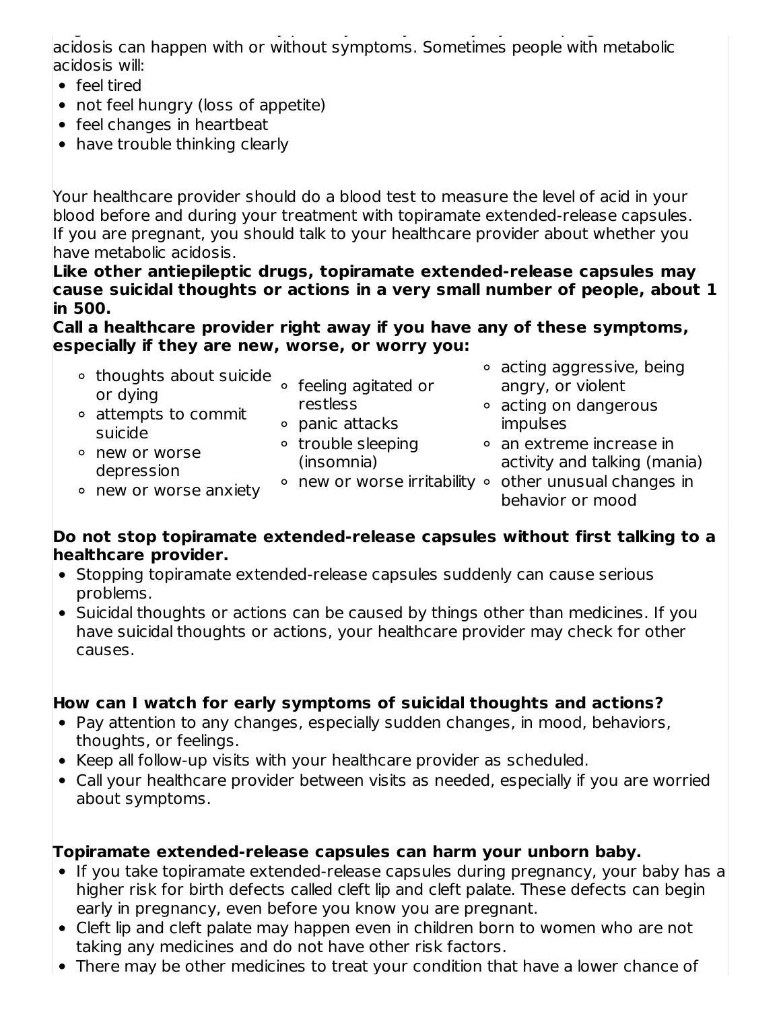of growth in children, and may possibly harm your baby if you are pregnant. Metabolic acidosis can happen with or without symptoms. Sometimes people with metabolic acidosis will:

- feel tired
- not feel hungry (loss of appetite)
- feel changes in heartbeat
- have trouble thinking clearly

Your healthcare provider should do a blood test to measure the level of acid in your blood before and during your treatment with topiramate extended-release capsules. If you are pregnant, you should talk to your healthcare provider about whether you have metabolic acidosis.

**Like other antiepileptic drugs, topiramate extended-release capsules may cause suicidal thoughts or actions in a very small number of people, about 1 in 500.**

#### **Call a healthcare provider right away if you have any of these symptoms, especially if they are new, worse, or worry you:**

| ∘ thoughts about suicide<br>or dying    | ○ feeling agitated or            | • acting aggressive, being<br>angry, or violent                            |
|-----------------------------------------|----------------------------------|----------------------------------------------------------------------------|
| • attempts to commit                    | restless<br>o panic attacks      | • acting on dangerous<br>impulses                                          |
| suicide<br>○ new or worse<br>depression | • trouble sleeping<br>(insomnia) | • an extreme increase in<br>activity and talking (mania)                   |
| • new or worse anxiety                  |                                  | • new or worse irritability • other unusual changes in<br>behavior or mood |

### **Do not stop topiramate extended-release capsules without first talking to a healthcare provider.**

- Stopping topiramate extended-release capsules suddenly can cause serious problems.
- Suicidal thoughts or actions can be caused by things other than medicines. If you have suicidal thoughts or actions, your healthcare provider may check for other causes.

# **How can I watch for early symptoms of suicidal thoughts and actions?**

- Pay attention to any changes, especially sudden changes, in mood, behaviors, thoughts, or feelings.
- Keep all follow-up visits with your healthcare provider as scheduled.
- Call your healthcare provider between visits as needed, especially if you are worried about symptoms.

# **Topiramate extended-release capsules can harm your unborn baby.**

- If you take topiramate extended-release capsules during pregnancy, your baby has a higher risk for birth defects called cleft lip and cleft palate. These defects can begin early in pregnancy, even before you know you are pregnant.
- Cleft lip and cleft palate may happen even in children born to women who are not taking any medicines and do not have other risk factors.
- There may be other medicines to treat your condition that have a lower chance of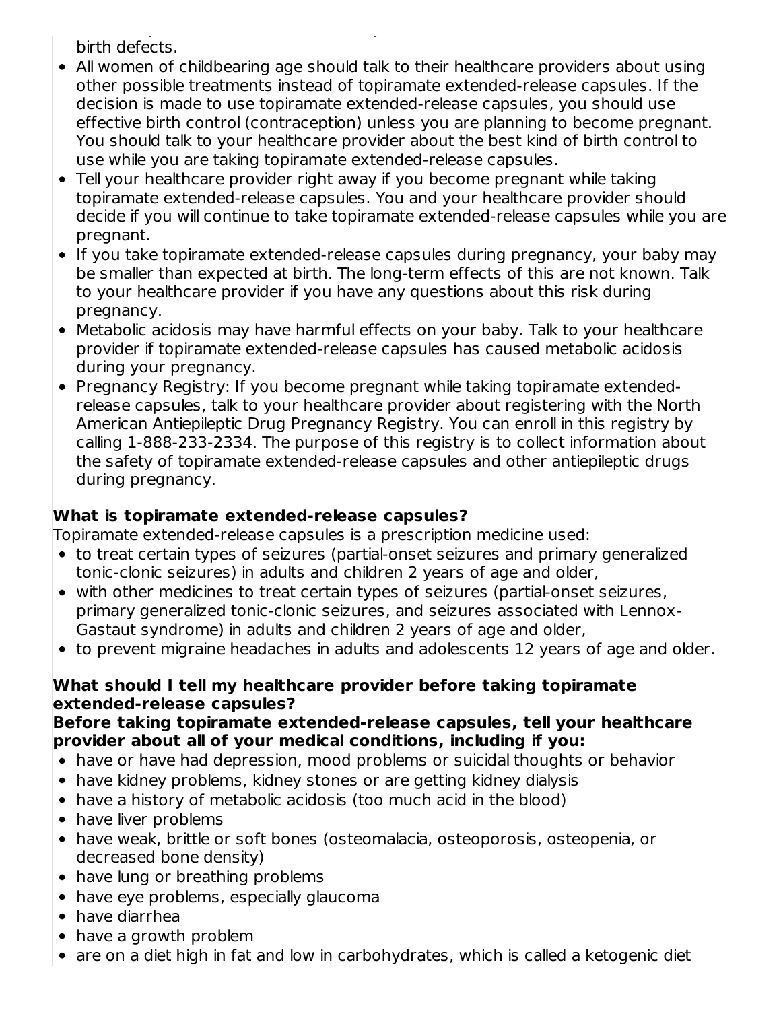There may be other medicines to treat your condition that have a lower chance of birth defects.

- All women of childbearing age should talk to their healthcare providers about using other possible treatments instead of topiramate extended-release capsules. If the decision is made to use topiramate extended-release capsules, you should use effective birth control (contraception) unless you are planning to become pregnant. You should talk to your healthcare provider about the best kind of birth control to use while you are taking topiramate extended-release capsules.
- Tell your healthcare provider right away if you become pregnant while taking topiramate extended-release capsules. You and your healthcare provider should decide if you will continue to take topiramate extended-release capsules while you are pregnant.
- If you take topiramate extended-release capsules during pregnancy, your baby may be smaller than expected at birth. The long-term effects of this are not known. Talk to your healthcare provider if you have any questions about this risk during pregnancy.
- Metabolic acidosis may have harmful effects on your baby. Talk to your healthcare provider if topiramate extended-release capsules has caused metabolic acidosis during your pregnancy.
- Pregnancy Registry: If you become pregnant while taking topiramate extendedrelease capsules, talk to your healthcare provider about registering with the North American Antiepileptic Drug Pregnancy Registry. You can enroll in this registry by calling 1-888-233-2334. The purpose of this registry is to collect information about the safety of topiramate extended-release capsules and other antiepileptic drugs during pregnancy.

# **What is topiramate extended-release capsules?**

Topiramate extended-release capsules is a prescription medicine used:

- to treat certain types of seizures (partial-onset seizures and primary generalized tonic-clonic seizures) in adults and children 2 years of age and older,
- with other medicines to treat certain types of seizures (partial-onset seizures, primary generalized tonic-clonic seizures, and seizures associated with Lennox-Gastaut syndrome) in adults and children 2 years of age and older,
- to prevent migraine headaches in adults and adolescents 12 years of age and older.

### **What should I tell my healthcare provider before taking topiramate extended-release capsules?**

#### **Before taking topiramate extended-release capsules, tell your healthcare provider about all of your medical conditions, including if you:**

- have or have had depression, mood problems or suicidal thoughts or behavior
- have kidney problems, kidney stones or are getting kidney dialysis
- have a history of metabolic acidosis (too much acid in the blood)
- have liver problems
- have weak, brittle or soft bones (osteomalacia, osteoporosis, osteopenia, or decreased bone density)
- have lung or breathing problems
- have eye problems, especially glaucoma
- have diarrhea
- have a growth problem
- are on a diet high in fat and low in carbohydrates, which is called a ketogenic diet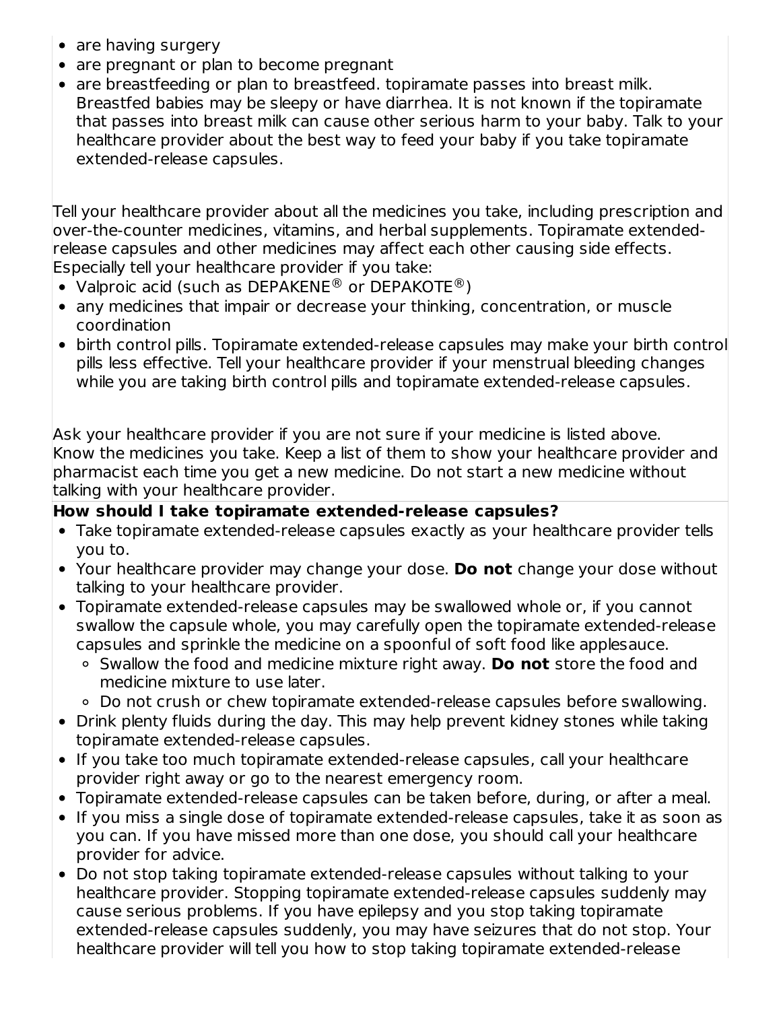- are having surgery
- are pregnant or plan to become pregnant
- are breastfeeding or plan to breastfeed. topiramate passes into breast milk. Breastfed babies may be sleepy or have diarrhea. It is not known if the topiramate that passes into breast milk can cause other serious harm to your baby. Talk to your healthcare provider about the best way to feed your baby if you take topiramate extended-release capsules.

Tell your healthcare provider about all the medicines you take, including prescription and over-the-counter medicines, vitamins, and herbal supplements. Topiramate extendedrelease capsules and other medicines may affect each other causing side effects. Especially tell your healthcare provider if you take:

- Valproic acid (such as DEPAKENE® or DEPAKOTE®)
- any medicines that impair or decrease your thinking, concentration, or muscle coordination
- birth control pills. Topiramate extended-release capsules may make your birth control pills less effective. Tell your healthcare provider if your menstrual bleeding changes while you are taking birth control pills and topiramate extended-release capsules.

Ask your healthcare provider if you are not sure if your medicine is listed above. Know the medicines you take. Keep a list of them to show your healthcare provider and pharmacist each time you get a new medicine. Do not start a new medicine without talking with your healthcare provider.

# **How should I take topiramate extended-release capsules?**

- Take topiramate extended-release capsules exactly as your healthcare provider tells you to.
- Your healthcare provider may change your dose. **Do not** change your dose without talking to your healthcare provider.
- Topiramate extended-release capsules may be swallowed whole or, if you cannot swallow the capsule whole, you may carefully open the topiramate extended-release capsules and sprinkle the medicine on a spoonful of soft food like applesauce.
	- Swallow the food and medicine mixture right away. **Do not** store the food and medicine mixture to use later.
	- Do not crush or chew topiramate extended-release capsules before swallowing.
- Drink plenty fluids during the day. This may help prevent kidney stones while taking topiramate extended-release capsules.
- If you take too much topiramate extended-release capsules, call your healthcare provider right away or go to the nearest emergency room.
- Topiramate extended-release capsules can be taken before, during, or after a meal.
- If you miss a single dose of topiramate extended-release capsules, take it as soon as you can. If you have missed more than one dose, you should call your healthcare provider for advice.
- Do not stop taking topiramate extended-release capsules without talking to your healthcare provider. Stopping topiramate extended-release capsules suddenly may cause serious problems. If you have epilepsy and you stop taking topiramate extended-release capsules suddenly, you may have seizures that do not stop. Your healthcare provider will tell you how to stop taking topiramate extended-release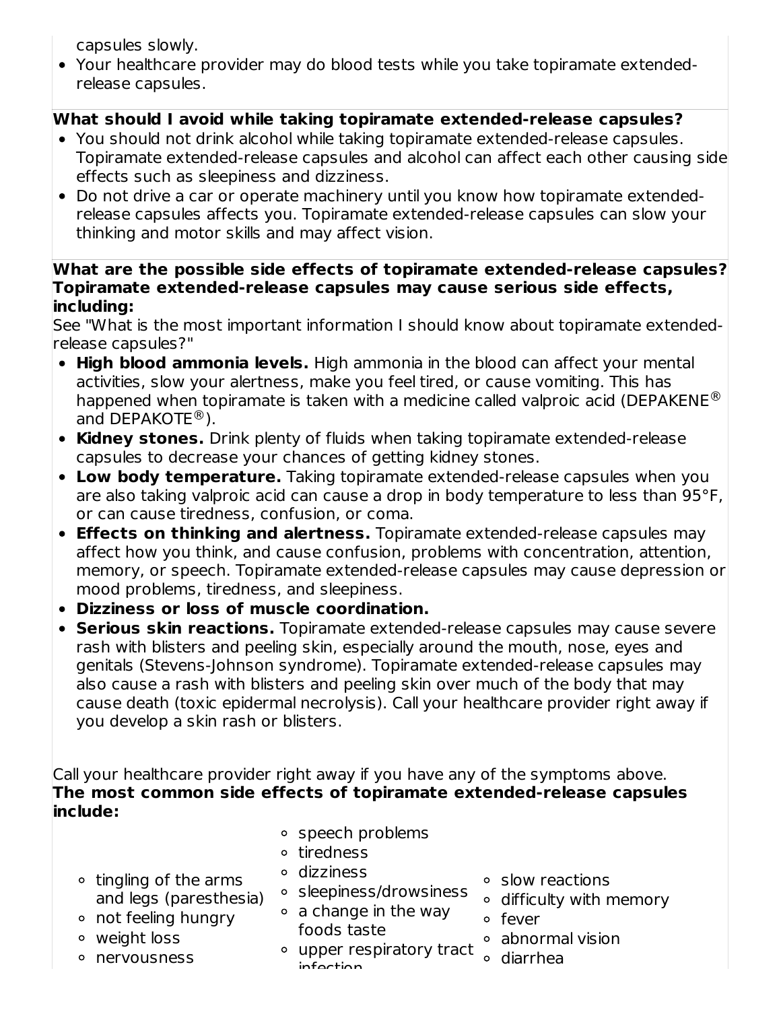capsules slowly.

Your healthcare provider may do blood tests while you take topiramate extendedrelease capsules.

# **What should I avoid while taking topiramate extended-release capsules?**

- You should not drink alcohol while taking topiramate extended-release capsules. Topiramate extended-release capsules and alcohol can affect each other causing side effects such as sleepiness and dizziness.
- Do not drive a car or operate machinery until you know how topiramate extendedrelease capsules affects you. Topiramate extended-release capsules can slow your thinking and motor skills and may affect vision.

### **What are the possible side effects of topiramate extended-release capsules? Topiramate extended-release capsules may cause serious side effects, including:**

See "What is the most important information I should know about topiramate extendedrelease capsules?"

- **High blood ammonia levels.** High ammonia in the blood can affect your mental activities, slow your alertness, make you feel tired, or cause vomiting. This has happened when topiramate is taken with a medicine called valproic acid (DEPAKENE $^{\circledR}$ and DEPAKOTE<sup>®</sup>).
- **Kidney stones.** Drink plenty of fluids when taking topiramate extended-release capsules to decrease your chances of getting kidney stones.
- **Low body temperature.** Taking topiramate extended-release capsules when you are also taking valproic acid can cause a drop in body temperature to less than 95°F, or can cause tiredness, confusion, or coma.
- **Effects on thinking and alertness.** Topiramate extended-release capsules may affect how you think, and cause confusion, problems with concentration, attention, memory, or speech. Topiramate extended-release capsules may cause depression or mood problems, tiredness, and sleepiness.
- **Dizziness or loss of muscle coordination.**
- **Serious skin reactions.** Topiramate extended-release capsules may cause severe rash with blisters and peeling skin, especially around the mouth, nose, eyes and genitals (Stevens-Johnson syndrome). Topiramate extended-release capsules may also cause a rash with blisters and peeling skin over much of the body that may cause death (toxic epidermal necrolysis). Call your healthcare provider right away if you develop a skin rash or blisters.

Call your healthcare provider right away if you have any of the symptoms above. **The most common side effects of topiramate extended-release capsules include:**

- speech problems
	- tiredness dizziness
- $\circ$  tingling of the arms and legs (paresthesia)
- not feeling hungry
- weight loss
- nervousness
- sleepiness/drowsiness
- $\circ$  a change in the way foods taste
- upper respiratory tract infection
- slow reactions
- difficulty with memory
- fever
- abnormal vision
	- diarrhea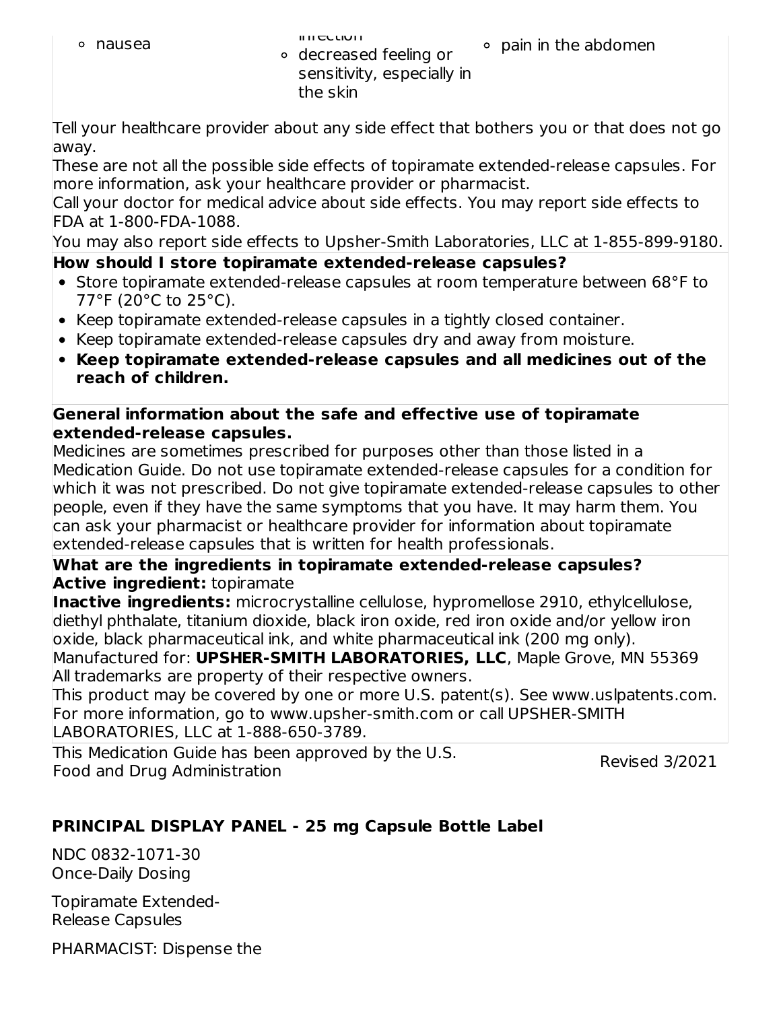$\circ$  pain in the abdomen

decreased feeling or sensitivity, especially in the skin

Tell your healthcare provider about any side effect that bothers you or that does not go away.

These are not all the possible side effects of topiramate extended-release capsules. For more information, ask your healthcare provider or pharmacist.

Call your doctor for medical advice about side effects. You may report side effects to FDA at 1-800-FDA-1088.

You may also report side effects to Upsher-Smith Laboratories, LLC at 1-855-899-9180.

# **How should I store topiramate extended-release capsules?**

- Store topiramate extended-release capsules at room temperature between 68°F to 77°F (20°C to 25°C).
- Keep topiramate extended-release capsules in a tightly closed container.
- Keep topiramate extended-release capsules dry and away from moisture.
- **Keep topiramate extended-release capsules and all medicines out of the reach of children.**

### **General information about the safe and effective use of topiramate extended-release capsules.**

Medicines are sometimes prescribed for purposes other than those listed in a Medication Guide. Do not use topiramate extended-release capsules for a condition for which it was not prescribed. Do not give topiramate extended-release capsules to other people, even if they have the same symptoms that you have. It may harm them. You can ask your pharmacist or healthcare provider for information about topiramate extended-release capsules that is written for health professionals.

### **What are the ingredients in topiramate extended-release capsules? Active ingredient:** topiramate

**Inactive ingredients:** microcrystalline cellulose, hypromellose 2910, ethylcellulose, diethyl phthalate, titanium dioxide, black iron oxide, red iron oxide and/or yellow iron oxide, black pharmaceutical ink, and white pharmaceutical ink (200 mg only).

Manufactured for: **UPSHER-SMITH LABORATORIES, LLC**, Maple Grove, MN 55369 All trademarks are property of their respective owners.

This product may be covered by one or more U.S. patent(s). See www.uslpatents.com. For more information, go to www.upsher-smith.com or call UPSHER-SMITH LABORATORIES, LLC at 1-888-650-3789.

This Medication Guide has been approved by the U.S. Food and Drug Administration

Revised 3/2021

# **PRINCIPAL DISPLAY PANEL - 25 mg Capsule Bottle Label**

NDC 0832-1071-30 Once-Daily Dosing

Topiramate Extended-Release Capsules

PHARMACIST: Dispense the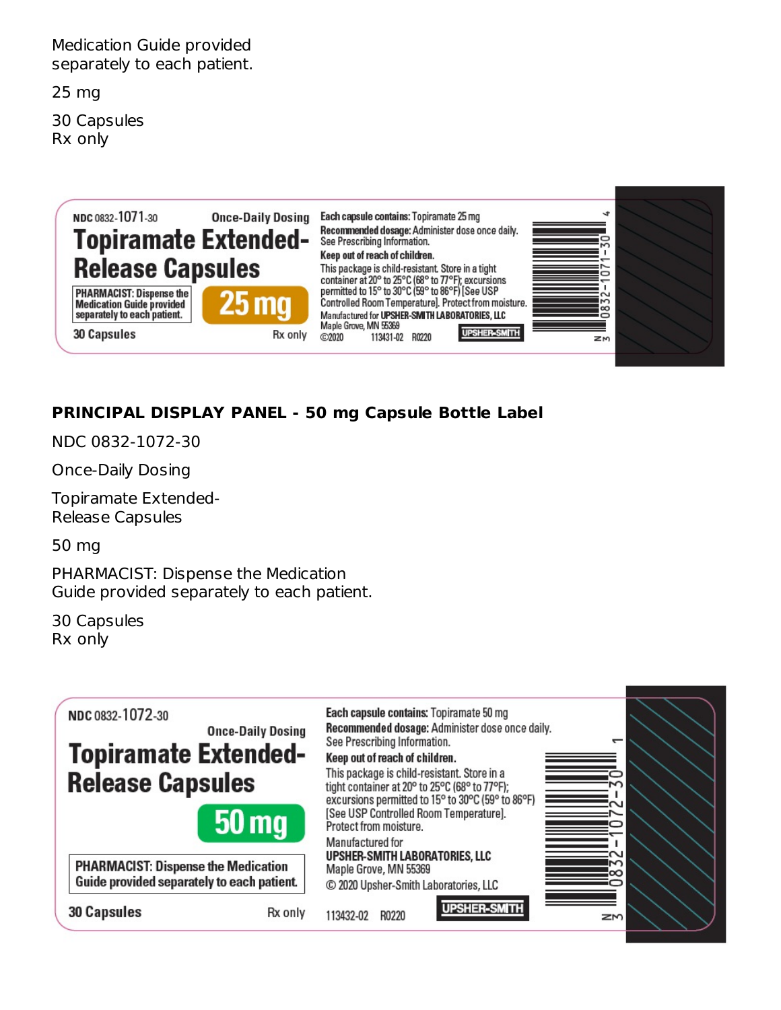Medication Guide provided separately to each patient.

25 mg

30 Capsules Rx only



# **PRINCIPAL DISPLAY PANEL - 50 mg Capsule Bottle Label**

NDC 0832-1072-30

Once-Daily Dosing

Topiramate Extended-Release Capsules

50 mg

PHARMACIST: Dispense the Medication Guide provided separately to each patient.

30 Capsules Rx only

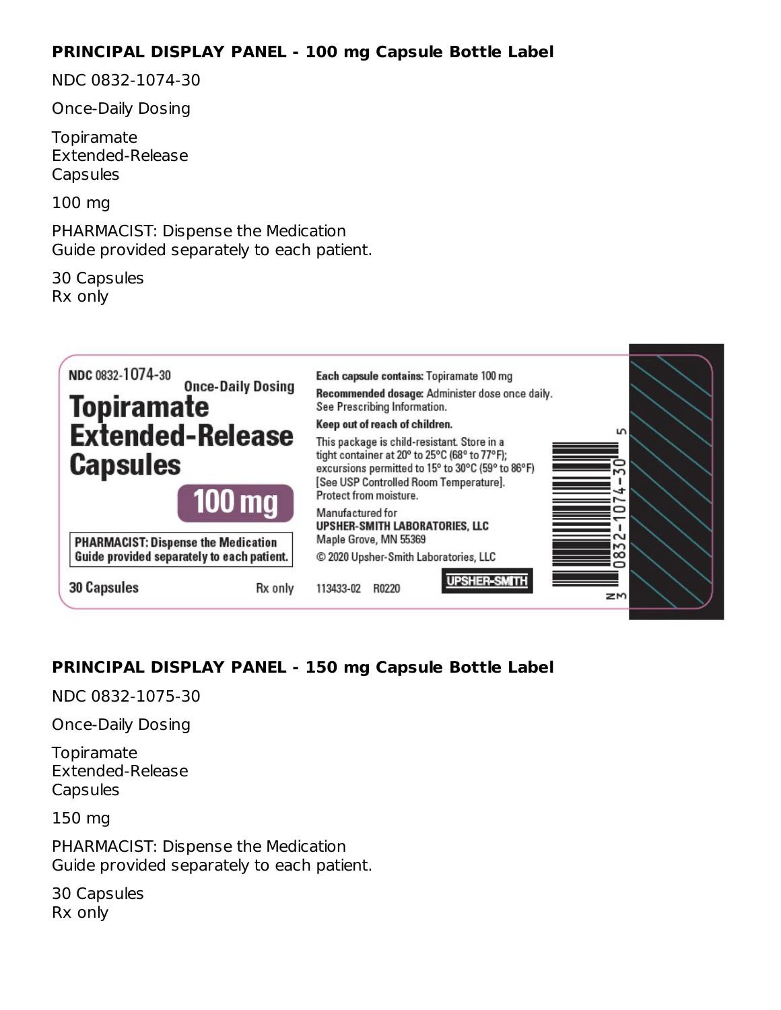### **PRINCIPAL DISPLAY PANEL - 100 mg Capsule Bottle Label**

NDC 0832-1074-30

Once-Daily Dosing

**Topiramate** Extended-Release **Capsules** 

100 mg

PHARMACIST: Dispense the Medication Guide provided separately to each patient.

30 Capsules Rx only



# **PRINCIPAL DISPLAY PANEL - 150 mg Capsule Bottle Label**

NDC 0832-1075-30

Once-Daily Dosing

Topiramate Extended-Release **Capsules** 

150 mg

PHARMACIST: Dispense the Medication Guide provided separately to each patient.

30 Capsules Rx only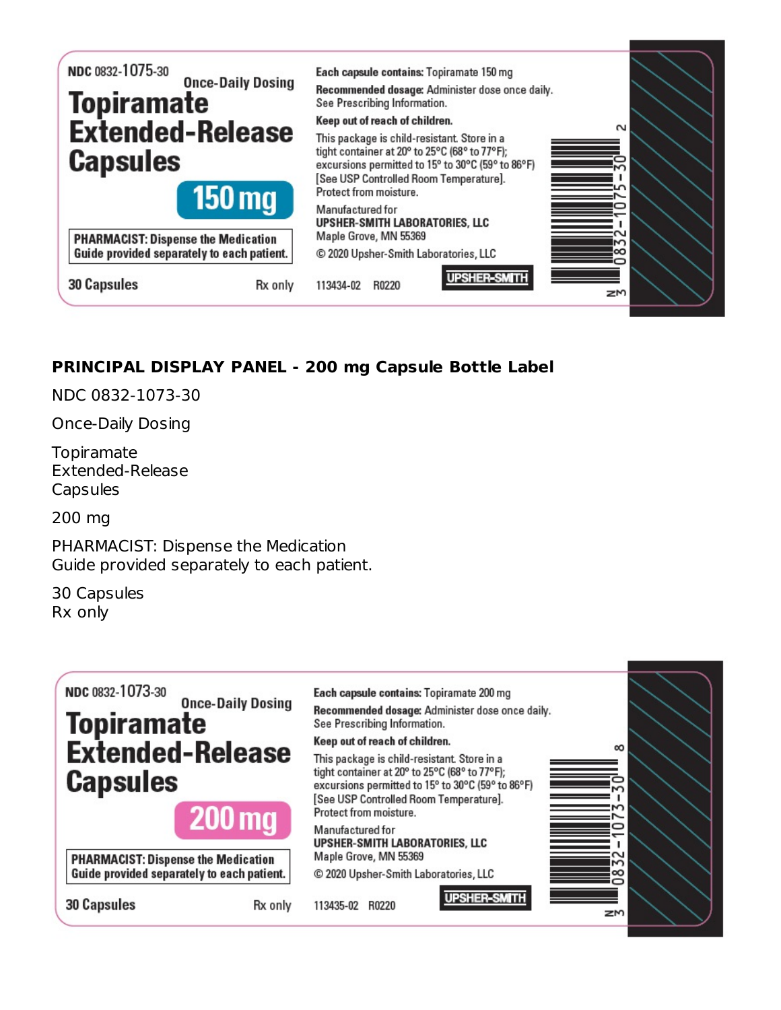

# **PRINCIPAL DISPLAY PANEL - 200 mg Capsule Bottle Label**

NDC 0832-1073-30

Once-Daily Dosing

Topiramate Extended-Release Capsules

200 mg

PHARMACIST: Dispense the Medication Guide provided separately to each patient.

30 Capsules Rx only

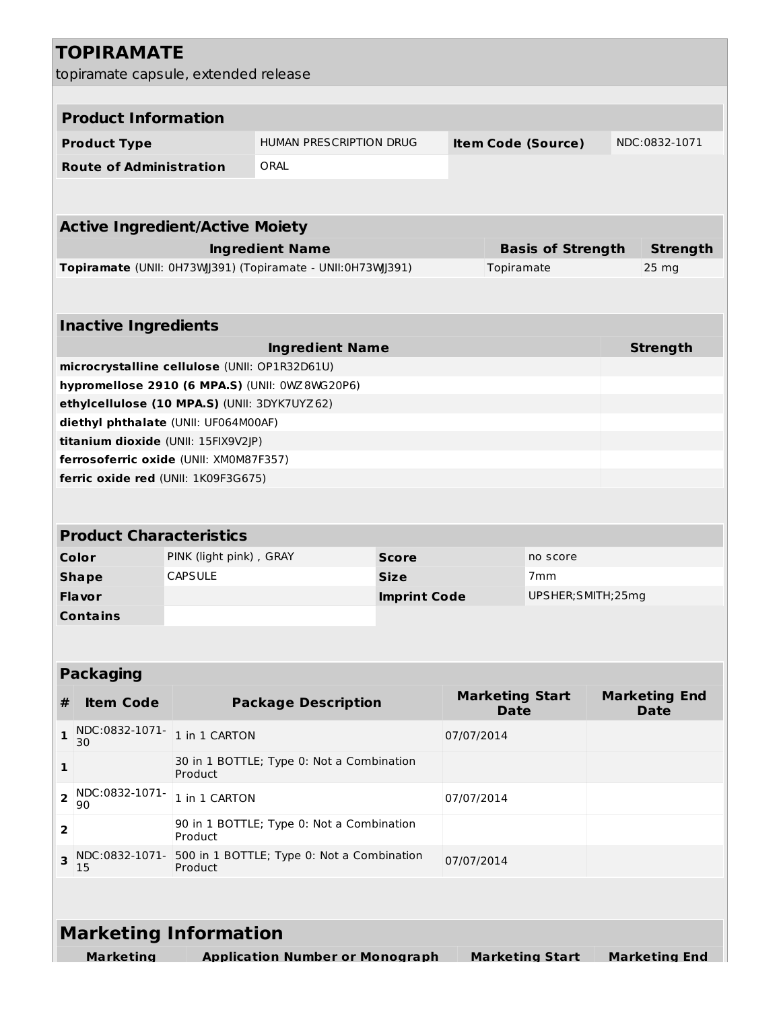| <b>TOPIRAMATE</b>                                                                              |                         |                                                            |                     |                                       |                          |                                     |
|------------------------------------------------------------------------------------------------|-------------------------|------------------------------------------------------------|---------------------|---------------------------------------|--------------------------|-------------------------------------|
| topiramate capsule, extended release                                                           |                         |                                                            |                     |                                       |                          |                                     |
|                                                                                                |                         |                                                            |                     |                                       |                          |                                     |
| <b>Product Information</b>                                                                     |                         |                                                            |                     |                                       |                          |                                     |
| <b>Product Type</b>                                                                            |                         | HUMAN PRESCRIPTION DRUG                                    |                     | <b>Item Code (Source)</b>             |                          | NDC:0832-1071                       |
| <b>Route of Administration</b>                                                                 |                         | ORAL                                                       |                     |                                       |                          |                                     |
|                                                                                                |                         |                                                            |                     |                                       |                          |                                     |
| <b>Active Ingredient/Active Moiety</b>                                                         |                         |                                                            |                     |                                       |                          |                                     |
|                                                                                                |                         | <b>Ingredient Name</b>                                     |                     |                                       | <b>Basis of Strength</b> | <b>Strength</b>                     |
|                                                                                                |                         | Topiramate (UNII: 0H73WJ391) (Topiramate - UNII:0H73WJ391) |                     | Topiramate                            |                          | $25 \, mg$                          |
|                                                                                                |                         |                                                            |                     |                                       |                          |                                     |
|                                                                                                |                         |                                                            |                     |                                       |                          |                                     |
| <b>Inactive Ingredients</b>                                                                    |                         |                                                            |                     |                                       |                          |                                     |
|                                                                                                |                         | <b>Ingredient Name</b>                                     |                     |                                       |                          | <b>Strength</b>                     |
| microcrystalline cellulose (UNII: OP1R32D61U)                                                  |                         |                                                            |                     |                                       |                          |                                     |
| hypromellose 2910 (6 MPA.S) (UNII: 0WZ8WG20P6)<br>ethylcellulose (10 MPA.S) (UNII: 3DYK7UYZ62) |                         |                                                            |                     |                                       |                          |                                     |
| diethyl phthalate (UNII: UF064M00AF)                                                           |                         |                                                            |                     |                                       |                          |                                     |
| titanium dioxide (UNII: 15FIX9V2JP)                                                            |                         |                                                            |                     |                                       |                          |                                     |
| ferrosoferric oxide (UNII: XM0M87F357)                                                         |                         |                                                            |                     |                                       |                          |                                     |
| ferric oxide red (UNII: 1K09F3G675)                                                            |                         |                                                            |                     |                                       |                          |                                     |
|                                                                                                |                         |                                                            |                     |                                       |                          |                                     |
|                                                                                                |                         |                                                            |                     |                                       |                          |                                     |
| <b>Product Characteristics</b>                                                                 |                         |                                                            |                     |                                       |                          |                                     |
| Color                                                                                          | PINK (light pink), GRAY |                                                            | <b>Score</b>        |                                       | no score                 |                                     |
| <b>Shape</b>                                                                                   | <b>CAPSULE</b>          |                                                            | <b>Size</b>         |                                       | 7 <sub>mm</sub>          |                                     |
| <b>Flavor</b>                                                                                  |                         |                                                            | <b>Imprint Code</b> |                                       | UPSHER;SMITH;25mg        |                                     |
| <b>Contains</b>                                                                                |                         |                                                            |                     |                                       |                          |                                     |
|                                                                                                |                         |                                                            |                     |                                       |                          |                                     |
| <b>Packaging</b>                                                                               |                         |                                                            |                     |                                       |                          |                                     |
| <b>Item Code</b><br>#                                                                          |                         | <b>Package Description</b>                                 |                     | <b>Marketing Start</b><br><b>Date</b> |                          | <b>Marketing End</b><br><b>Date</b> |
| NDC:0832-1071-<br>1<br>30                                                                      | 1 in 1 CARTON           |                                                            |                     | 07/07/2014                            |                          |                                     |
| 1                                                                                              | Product                 | 30 in 1 BOTTLE; Type 0: Not a Combination                  |                     |                                       |                          |                                     |
| NDC:0832-1071-<br>$\overline{2}$<br>90                                                         | 1 in 1 CARTON           | 07/07/2014                                                 |                     |                                       |                          |                                     |
| 2                                                                                              | Product                 | 90 in 1 BOTTLE; Type 0: Not a Combination                  |                     |                                       |                          |                                     |
| NDC:0832-1071-<br>3<br>15                                                                      | Product                 | 500 in 1 BOTTLE; Type 0: Not a Combination                 |                     | 07/07/2014                            |                          |                                     |
|                                                                                                |                         |                                                            |                     |                                       |                          |                                     |
| <b>Marketing Information</b>                                                                   |                         |                                                            |                     |                                       |                          |                                     |
| <b>Marketing</b>                                                                               |                         | <b>Application Number or Monograph</b>                     |                     |                                       | <b>Marketing Start</b>   | <b>Marketing End</b>                |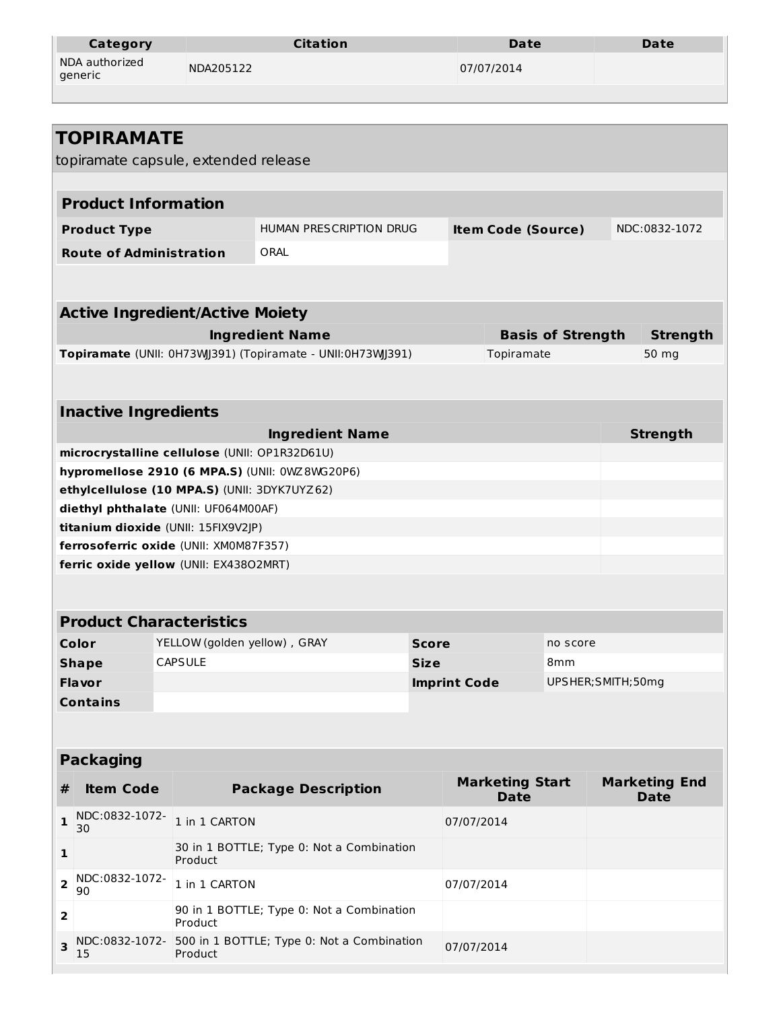| <b>Category</b>           | <b>Citation</b> | Date       | Date |
|---------------------------|-----------------|------------|------|
| NDA authorized<br>generic | NDA205122       | 07/07/2014 |      |
|                           |                 |            |      |

| <b>TOPIRAMATE</b><br>topiramate capsule, extended release<br><b>Product Information</b><br>HUMAN PRESCRIPTION DRUG<br><b>Item Code (Source)</b><br>NDC:0832-1072<br><b>Product Type</b><br><b>Route of Administration</b><br>ORAL<br><b>Active Ingredient/Active Moiety</b> |                 |  |  |  |  |  |
|-----------------------------------------------------------------------------------------------------------------------------------------------------------------------------------------------------------------------------------------------------------------------------|-----------------|--|--|--|--|--|
|                                                                                                                                                                                                                                                                             |                 |  |  |  |  |  |
|                                                                                                                                                                                                                                                                             |                 |  |  |  |  |  |
|                                                                                                                                                                                                                                                                             |                 |  |  |  |  |  |
|                                                                                                                                                                                                                                                                             |                 |  |  |  |  |  |
|                                                                                                                                                                                                                                                                             |                 |  |  |  |  |  |
|                                                                                                                                                                                                                                                                             |                 |  |  |  |  |  |
|                                                                                                                                                                                                                                                                             |                 |  |  |  |  |  |
|                                                                                                                                                                                                                                                                             |                 |  |  |  |  |  |
|                                                                                                                                                                                                                                                                             |                 |  |  |  |  |  |
| <b>Ingredient Name</b><br><b>Basis of Strength</b>                                                                                                                                                                                                                          | <b>Strength</b> |  |  |  |  |  |
| Topiramate (UNII: 0H73WJ391) (Topiramate - UNII:0H73WJ391)<br>Topiramate<br>50 mg                                                                                                                                                                                           |                 |  |  |  |  |  |
|                                                                                                                                                                                                                                                                             |                 |  |  |  |  |  |
| <b>Inactive Ingredients</b>                                                                                                                                                                                                                                                 |                 |  |  |  |  |  |
| <b>Strength</b><br><b>Ingredient Name</b>                                                                                                                                                                                                                                   |                 |  |  |  |  |  |
| microcrystalline cellulose (UNII: OP1R32D61U)                                                                                                                                                                                                                               |                 |  |  |  |  |  |
| hypromellose 2910 (6 MPA.S) (UNII: 0WZ8WG20P6)                                                                                                                                                                                                                              |                 |  |  |  |  |  |
| ethylcellulose (10 MPA.S) (UNII: 3DYK7UYZ62)                                                                                                                                                                                                                                |                 |  |  |  |  |  |
| diethyl phthalate (UNII: UF064M00AF)                                                                                                                                                                                                                                        |                 |  |  |  |  |  |
| titanium dioxide (UNII: 15FIX9V2JP)                                                                                                                                                                                                                                         |                 |  |  |  |  |  |
| ferrosoferric oxide (UNII: XM0M87F357)                                                                                                                                                                                                                                      |                 |  |  |  |  |  |
| ferric oxide yellow (UNII: EX43802MRT)                                                                                                                                                                                                                                      |                 |  |  |  |  |  |
|                                                                                                                                                                                                                                                                             |                 |  |  |  |  |  |
| <b>Product Characteristics</b>                                                                                                                                                                                                                                              |                 |  |  |  |  |  |
| Color<br>YELLOW (golden yellow), GRAY<br>Score<br>no score                                                                                                                                                                                                                  |                 |  |  |  |  |  |
| <b>CAPSULE</b><br><b>Shape</b><br><b>Size</b><br>8mm                                                                                                                                                                                                                        |                 |  |  |  |  |  |
| <b>Flavor</b><br><b>Imprint Code</b><br>UPSHER; SMITH; 50mg                                                                                                                                                                                                                 |                 |  |  |  |  |  |
| <b>Contains</b>                                                                                                                                                                                                                                                             |                 |  |  |  |  |  |
|                                                                                                                                                                                                                                                                             |                 |  |  |  |  |  |
|                                                                                                                                                                                                                                                                             |                 |  |  |  |  |  |
| <b>Packaging</b>                                                                                                                                                                                                                                                            |                 |  |  |  |  |  |
| <b>Marketing Start</b><br><b>Marketing End</b><br><b>Package Description</b><br><b>Item Code</b><br>#<br><b>Date</b><br><b>Date</b>                                                                                                                                         |                 |  |  |  |  |  |
| NDC:0832-1072-<br>1 in 1 CARTON<br>1<br>07/07/2014<br>30                                                                                                                                                                                                                    |                 |  |  |  |  |  |
| 30 in 1 BOTTLE; Type 0: Not a Combination<br>1<br>Product                                                                                                                                                                                                                   |                 |  |  |  |  |  |
| NDC:0832-1072-<br>2<br>1 in 1 CARTON<br>07/07/2014<br>90                                                                                                                                                                                                                    |                 |  |  |  |  |  |
| 90 in 1 BOTTLE; Type 0: Not a Combination<br>2<br>Product                                                                                                                                                                                                                   |                 |  |  |  |  |  |
| 500 in 1 BOTTLE; Type 0: Not a Combination<br>NDC:0832-1072-<br>3<br>07/07/2014<br>Product<br>15                                                                                                                                                                            |                 |  |  |  |  |  |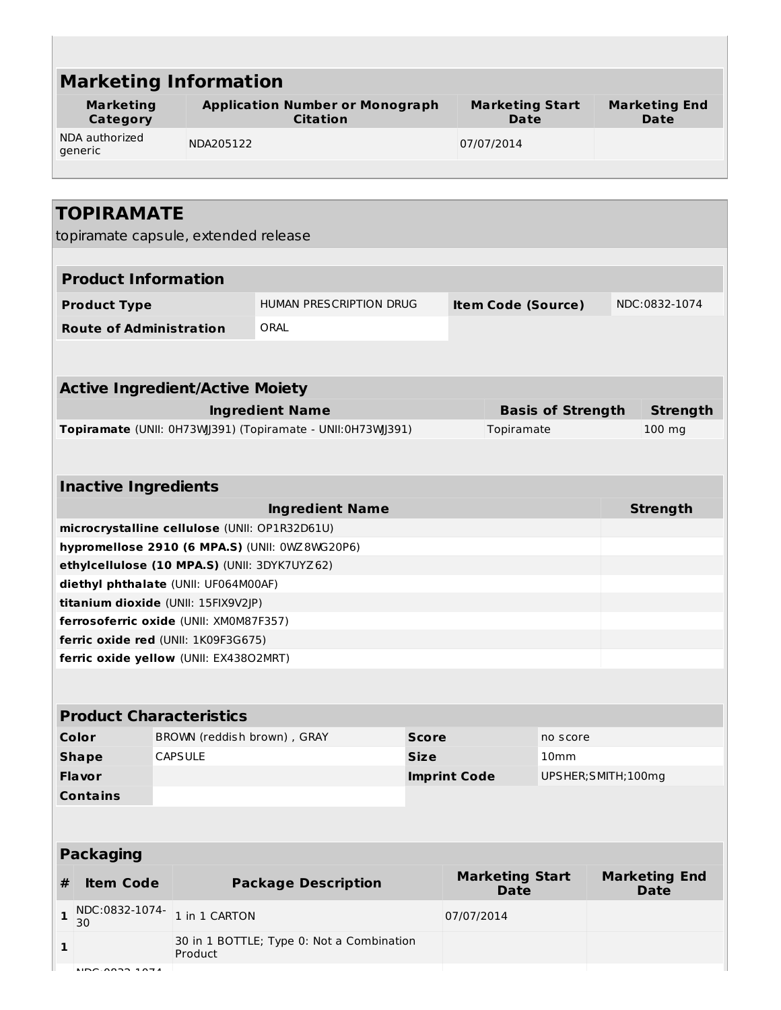| <b>Marketing Information</b>                         |                                                                               |                                                                                      |              |                     |                                       |                          |                                     |
|------------------------------------------------------|-------------------------------------------------------------------------------|--------------------------------------------------------------------------------------|--------------|---------------------|---------------------------------------|--------------------------|-------------------------------------|
| <b>Marketing</b><br>Category                         |                                                                               | <b>Application Number or Monograph</b><br><b>Citation</b>                            |              |                     | <b>Marketing Start</b><br>Date        |                          | <b>Marketing End</b><br>Date        |
| NDA authorized<br>NDA205122<br>07/07/2014<br>generic |                                                                               |                                                                                      |              |                     |                                       |                          |                                     |
| <b>TOPIRAMATE</b>                                    |                                                                               |                                                                                      |              |                     |                                       |                          |                                     |
|                                                      | topiramate capsule, extended release                                          |                                                                                      |              |                     |                                       |                          |                                     |
| <b>Product Information</b>                           |                                                                               |                                                                                      |              |                     |                                       |                          |                                     |
| <b>Product Type</b>                                  |                                                                               | HUMAN PRESCRIPTION DRUG                                                              |              |                     | <b>Item Code (Source)</b>             |                          | NDC:0832-1074                       |
| <b>Route of Administration</b>                       |                                                                               | ORAL                                                                                 |              |                     |                                       |                          |                                     |
| <b>Active Ingredient/Active Moiety</b>               |                                                                               |                                                                                      |              |                     |                                       |                          |                                     |
|                                                      |                                                                               |                                                                                      |              |                     |                                       |                          |                                     |
|                                                      |                                                                               | <b>Ingredient Name</b><br>Topiramate (UNII: 0H73WJ391) (Topiramate - UNII:0H73WJ391) |              |                     | Topiramate                            | <b>Basis of Strength</b> | <b>Strength</b><br>100 mg           |
|                                                      |                                                                               |                                                                                      |              |                     |                                       |                          |                                     |
|                                                      |                                                                               |                                                                                      |              |                     |                                       |                          |                                     |
| <b>Inactive Ingredients</b>                          |                                                                               |                                                                                      |              |                     |                                       |                          |                                     |
|                                                      |                                                                               | <b>Ingredient Name</b>                                                               |              |                     |                                       |                          | <b>Strength</b>                     |
| microcrystalline cellulose (UNII: OP1R32D61U)        |                                                                               |                                                                                      |              |                     |                                       |                          |                                     |
|                                                      |                                                                               | hypromellose 2910 (6 MPA.S) (UNII: 0WZ8WG20P6)                                       |              |                     |                                       |                          |                                     |
|                                                      | ethylcellulose (10 MPA.S) (UNII: 3DYK7UYZ62)                                  |                                                                                      |              |                     |                                       |                          |                                     |
|                                                      | diethyl phthalate (UNII: UF064M00AF)                                          |                                                                                      |              |                     |                                       |                          |                                     |
|                                                      | titanium dioxide (UNII: 15FIX9V2JP)                                           |                                                                                      |              |                     |                                       |                          |                                     |
|                                                      | ferrosoferric oxide (UNII: XM0M87F357)<br>ferric oxide red (UNII: 1K09F3G675) |                                                                                      |              |                     |                                       |                          |                                     |
|                                                      | ferric oxide yellow (UNII: EX43802MRT)                                        |                                                                                      |              |                     |                                       |                          |                                     |
|                                                      |                                                                               |                                                                                      |              |                     |                                       |                          |                                     |
| <b>Product Characteristics</b>                       |                                                                               |                                                                                      |              |                     |                                       |                          |                                     |
| Color                                                | BROWN (reddish brown), GRAY                                                   |                                                                                      | <b>Score</b> |                     |                                       | no score                 |                                     |
| <b>Shape</b>                                         | <b>CAPSULE</b>                                                                |                                                                                      | <b>Size</b>  |                     |                                       | 10 <sub>mm</sub>         |                                     |
| <b>Flavor</b>                                        |                                                                               |                                                                                      |              | <b>Imprint Code</b> |                                       | UPSHER; SMITH; 100mg     |                                     |
| <b>Contains</b>                                      |                                                                               |                                                                                      |              |                     |                                       |                          |                                     |
|                                                      |                                                                               |                                                                                      |              |                     |                                       |                          |                                     |
| <b>Packaging</b>                                     |                                                                               |                                                                                      |              |                     |                                       |                          |                                     |
| <b>Item Code</b><br>#                                |                                                                               | <b>Package Description</b>                                                           |              |                     | <b>Marketing Start</b><br><b>Date</b> |                          | <b>Marketing End</b><br><b>Date</b> |
| NDC:0832-1074-<br>$\mathbf{1}$<br>30                 | 1 in 1 CARTON                                                                 |                                                                                      |              | 07/07/2014          |                                       |                          |                                     |
| $\mathbf{1}$                                         | Product                                                                       | 30 in 1 BOTTLE; Type 0: Not a Combination                                            |              |                     |                                       |                          |                                     |
|                                                      |                                                                               |                                                                                      |              |                     |                                       |                          |                                     |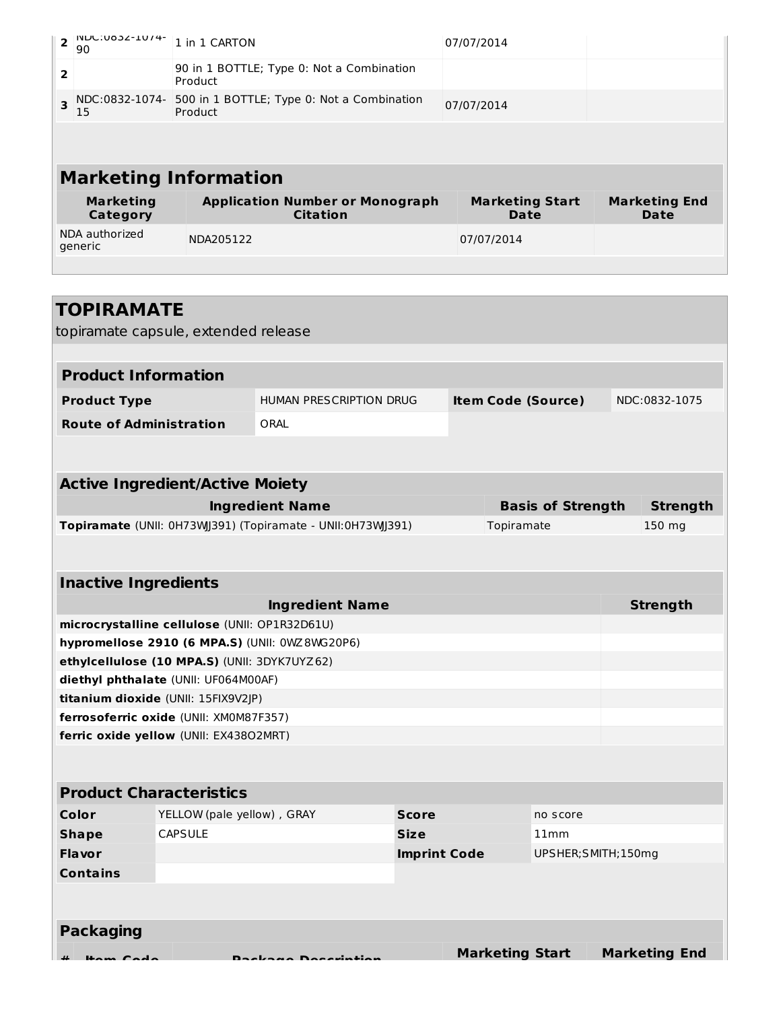| <b>INDC:083Z-1074-</b><br>$\overline{2}$<br>90  | 1 in 1 CARTON                                             | 07/07/2014                     |                              |
|-------------------------------------------------|-----------------------------------------------------------|--------------------------------|------------------------------|
| $\overline{2}$                                  | 90 in 1 BOTTLE; Type 0: Not a Combination<br>Product      |                                |                              |
| NDC:0832-1074-<br>$\overline{\mathbf{z}}$<br>15 | 500 in 1 BOTTLE; Type 0: Not a Combination<br>Product     | 07/07/2014                     |                              |
|                                                 |                                                           |                                |                              |
|                                                 | <b>Marketing Information</b>                              |                                |                              |
| <b>Marketing</b><br><b>Category</b>             | <b>Application Number or Monograph</b><br><b>Citation</b> | <b>Marketing Start</b><br>Date | <b>Marketing End</b><br>Date |
| NDA authorized<br>generic                       | NDA205122                                                 | 07/07/2014                     |                              |
|                                                 |                                                           |                                |                              |
|                                                 |                                                           |                                |                              |
|                                                 |                                                           |                                |                              |

|                                | topiramate capsule, extended release          |                                                            |                     |                        |                           |                      |
|--------------------------------|-----------------------------------------------|------------------------------------------------------------|---------------------|------------------------|---------------------------|----------------------|
|                                |                                               |                                                            |                     |                        |                           |                      |
| <b>Product Information</b>     |                                               |                                                            |                     |                        |                           |                      |
| <b>Product Type</b>            |                                               | <b>HUMAN PRESCRIPTION DRUG</b>                             |                     |                        | <b>Item Code (Source)</b> | NDC:0832-1075        |
| <b>Route of Administration</b> |                                               | ORAL                                                       |                     |                        |                           |                      |
|                                |                                               |                                                            |                     |                        |                           |                      |
|                                | <b>Active Ingredient/Active Moiety</b>        |                                                            |                     |                        |                           |                      |
|                                |                                               | <b>Ingredient Name</b>                                     |                     |                        | <b>Basis of Strength</b>  | <b>Strength</b>      |
|                                |                                               | Topiramate (UNII: 0H73WJ391) (Topiramate - UNII:0H73WJ391) |                     | Topiramate             |                           | 150 mg               |
|                                |                                               |                                                            |                     |                        |                           |                      |
|                                |                                               |                                                            |                     |                        |                           |                      |
| <b>Inactive Ingredients</b>    |                                               |                                                            |                     |                        |                           |                      |
|                                |                                               | <b>Ingredient Name</b>                                     |                     |                        |                           | <b>Strength</b>      |
|                                | microcrystalline cellulose (UNII: OP1R32D61U) |                                                            |                     |                        |                           |                      |
|                                |                                               | hypromellose 2910 (6 MPA.S) (UNII: 0WZ8WG20P6)             |                     |                        |                           |                      |
|                                | ethylcellulose (10 MPA.S) (UNII: 3DYK7UYZ62)  |                                                            |                     |                        |                           |                      |
|                                | diethyl phthalate (UNII: UF064M00AF)          |                                                            |                     |                        |                           |                      |
|                                | titanium dioxide (UNII: 15FIX9V2JP)           |                                                            |                     |                        |                           |                      |
|                                | ferrosoferric oxide (UNII: XM0M87F357)        |                                                            |                     |                        |                           |                      |
|                                | ferric oxide yellow (UNII: EX43802MRT)        |                                                            |                     |                        |                           |                      |
|                                |                                               |                                                            |                     |                        |                           |                      |
|                                | <b>Product Characteristics</b>                |                                                            |                     |                        |                           |                      |
| Color                          | YELLOW (pale yellow), GRAY                    |                                                            | <b>Score</b>        |                        | no score                  |                      |
| <b>Shape</b>                   | <b>CAPSULE</b>                                |                                                            | <b>Size</b>         |                        | 11mm                      |                      |
| Flavor                         |                                               |                                                            | <b>Imprint Code</b> |                        | UPSHER; SMITH; 150mg      |                      |
| <b>Contains</b>                |                                               |                                                            |                     |                        |                           |                      |
|                                |                                               |                                                            |                     |                        |                           |                      |
|                                |                                               |                                                            |                     |                        |                           |                      |
| <b>Packaging</b>               |                                               |                                                            |                     |                        |                           |                      |
| щ<br>Hom Codo                  |                                               | Daekaan Decerintier                                        |                     | <b>Marketing Start</b> |                           | <b>Marketing End</b> |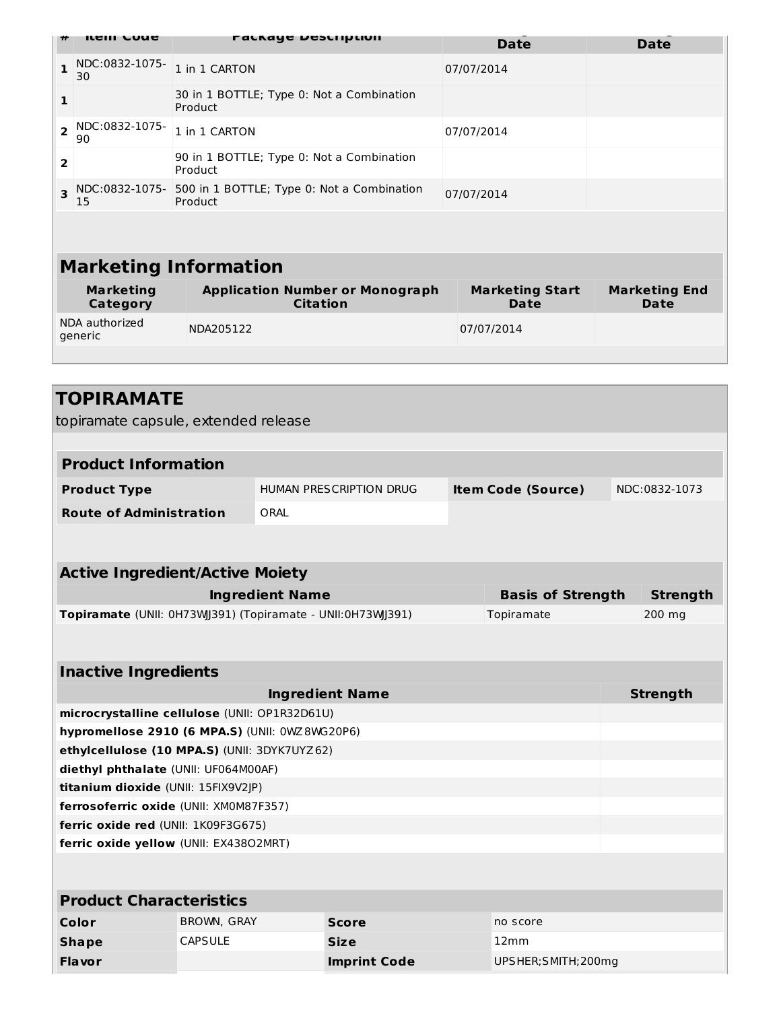|                | item coue                           | <b>PACKAYE DESCRIPLION</b>                                | <b>Date</b>                           | <b>Date</b>                         |  |  |  |
|----------------|-------------------------------------|-----------------------------------------------------------|---------------------------------------|-------------------------------------|--|--|--|
| $\mathbf{1}$   | NDC:0832-1075-<br>30                | 1 in 1 CARTON                                             | 07/07/2014                            |                                     |  |  |  |
| $\mathbf{1}$   |                                     | 30 in 1 BOTTLE; Type 0: Not a Combination<br>Product      |                                       |                                     |  |  |  |
| $\overline{2}$ | NDC:0832-1075-<br>90                | 1 in 1 CARTON                                             | 07/07/2014                            |                                     |  |  |  |
| 2              |                                     | 90 in 1 BOTTLE; Type 0: Not a Combination<br>Product      |                                       |                                     |  |  |  |
| 3              | NDC:0832-1075-<br>15                | 500 in 1 BOTTLE; Type 0: Not a Combination<br>Product     | 07/07/2014                            |                                     |  |  |  |
|                |                                     |                                                           |                                       |                                     |  |  |  |
|                | <b>Marketing Information</b>        |                                                           |                                       |                                     |  |  |  |
|                | <b>Marketing</b><br><b>Category</b> | <b>Application Number or Monograph</b><br><b>Citation</b> | <b>Marketing Start</b><br><b>Date</b> | <b>Marketing End</b><br><b>Date</b> |  |  |  |
|                | NDA authorized<br>generic           | NDA205122                                                 | 07/07/2014                            |                                     |  |  |  |
|                |                                     |                                                           |                                       |                                     |  |  |  |
|                |                                     |                                                           |                                       |                                     |  |  |  |

| TOPIRAMATE                                     |                    |                                                            |                           |                 |
|------------------------------------------------|--------------------|------------------------------------------------------------|---------------------------|-----------------|
| topiramate capsule, extended release           |                    |                                                            |                           |                 |
|                                                |                    |                                                            |                           |                 |
| <b>Product Information</b>                     |                    |                                                            |                           |                 |
| <b>Product Type</b>                            |                    | <b>HUMAN PRESCRIPTION DRUG</b>                             | <b>Item Code (Source)</b> | NDC:0832-1073   |
| <b>Route of Administration</b>                 |                    | ORAL                                                       |                           |                 |
|                                                |                    |                                                            |                           |                 |
| <b>Active Ingredient/Active Moiety</b>         |                    |                                                            |                           |                 |
|                                                |                    | <b>Ingredient Name</b>                                     | <b>Basis of Strength</b>  | <b>Strength</b> |
|                                                |                    | Topiramate (UNII: 0H73WJ391) (Topiramate - UNII:0H73WJ391) | Topiramate                | 200 mg          |
|                                                |                    |                                                            |                           |                 |
|                                                |                    |                                                            |                           |                 |
| <b>Inactive Ingredients</b>                    |                    |                                                            |                           |                 |
|                                                |                    | <b>Ingredient Name</b>                                     |                           | <b>Strength</b> |
| microcrystalline cellulose (UNII: OP1R32D61U)  |                    |                                                            |                           |                 |
| hypromellose 2910 (6 MPA.S) (UNII: 0WZ8WG20P6) |                    |                                                            |                           |                 |
| ethylcellulose (10 MPA.S) (UNII: 3DYK7UYZ62)   |                    |                                                            |                           |                 |
| diethyl phthalate (UNII: UF064M00AF)           |                    |                                                            |                           |                 |
| titanium dioxide (UNII: 15FIX9V2JP)            |                    |                                                            |                           |                 |
| ferrosoferric oxide (UNII: XM0M87F357)         |                    |                                                            |                           |                 |
| ferric oxide red (UNII: 1K09F3G675)            |                    |                                                            |                           |                 |
| ferric oxide yellow (UNII: EX43802MRT)         |                    |                                                            |                           |                 |
|                                                |                    |                                                            |                           |                 |
| <b>Product Characteristics</b>                 |                    |                                                            |                           |                 |
| Color                                          | <b>BROWN, GRAY</b> | <b>Score</b>                                               | no score                  |                 |
| <b>Shape</b>                                   | <b>CAPSULE</b>     | <b>Size</b>                                                | 12mm                      |                 |
| <b>Flavor</b>                                  |                    | <b>Imprint Code</b>                                        | UPSHER; SMITH; 200mg      |                 |